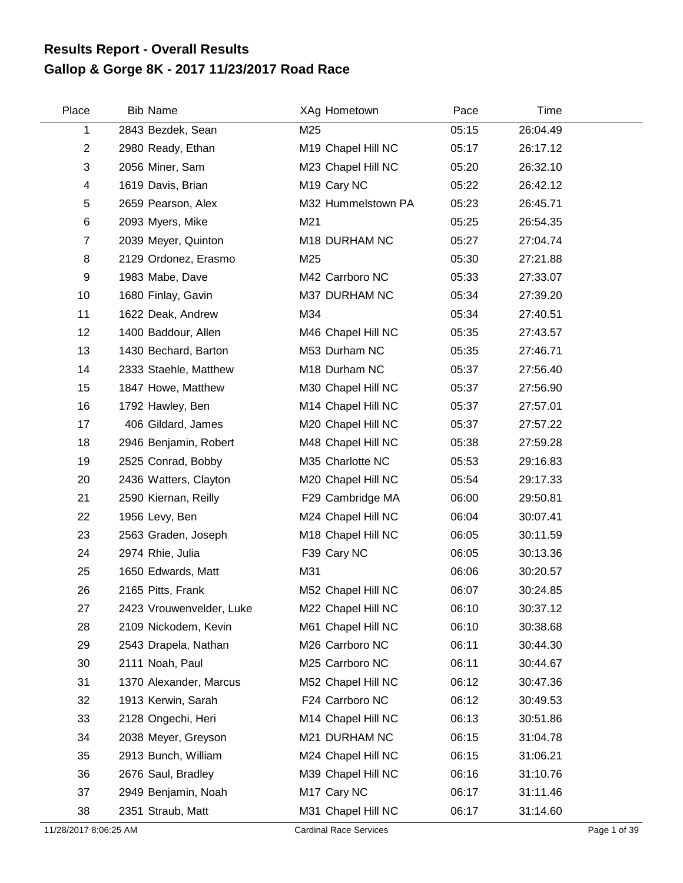## **Gallop & Gorge 8K - 2017 11/23/2017 Road Race Results Report - Overall Results**

| Place          | <b>Bib Name</b>          | XAg Hometown            | Pace  | Time     |
|----------------|--------------------------|-------------------------|-------|----------|
| 1              | 2843 Bezdek, Sean        | M25                     | 05:15 | 26:04.49 |
| $\overline{2}$ | 2980 Ready, Ethan        | M19 Chapel Hill NC      | 05:17 | 26:17.12 |
| 3              | 2056 Miner, Sam          | M23 Chapel Hill NC      | 05:20 | 26:32.10 |
| 4              | 1619 Davis, Brian        | M <sub>19</sub> Cary NC | 05:22 | 26:42.12 |
| 5              | 2659 Pearson, Alex       | M32 Hummelstown PA      | 05:23 | 26:45.71 |
| $\,6$          | 2093 Myers, Mike         | M21                     | 05:25 | 26:54.35 |
| $\overline{7}$ | 2039 Meyer, Quinton      | M18 DURHAM NC           | 05:27 | 27:04.74 |
| 8              | 2129 Ordonez, Erasmo     | M25                     | 05:30 | 27:21.88 |
| 9              | 1983 Mabe, Dave          | M42 Carrboro NC         | 05:33 | 27:33.07 |
| 10             | 1680 Finlay, Gavin       | M37 DURHAM NC           | 05:34 | 27:39.20 |
| 11             | 1622 Deak, Andrew        | M34                     | 05:34 | 27:40.51 |
| 12             | 1400 Baddour, Allen      | M46 Chapel Hill NC      | 05:35 | 27:43.57 |
| 13             | 1430 Bechard, Barton     | M53 Durham NC           | 05:35 | 27:46.71 |
| 14             | 2333 Staehle, Matthew    | M18 Durham NC           | 05:37 | 27:56.40 |
| 15             | 1847 Howe, Matthew       | M30 Chapel Hill NC      | 05:37 | 27:56.90 |
| 16             | 1792 Hawley, Ben         | M14 Chapel Hill NC      | 05:37 | 27:57.01 |
| 17             | 406 Gildard, James       | M20 Chapel Hill NC      | 05:37 | 27:57.22 |
| 18             | 2946 Benjamin, Robert    | M48 Chapel Hill NC      | 05:38 | 27:59.28 |
| 19             | 2525 Conrad, Bobby       | M35 Charlotte NC        | 05:53 | 29:16.83 |
| 20             | 2436 Watters, Clayton    | M20 Chapel Hill NC      | 05:54 | 29:17.33 |
| 21             | 2590 Kiernan, Reilly     | F29 Cambridge MA        | 06:00 | 29:50.81 |
| 22             | 1956 Levy, Ben           | M24 Chapel Hill NC      | 06:04 | 30:07.41 |
| 23             | 2563 Graden, Joseph      | M18 Chapel Hill NC      | 06:05 | 30:11.59 |
| 24             | 2974 Rhie, Julia         | F39 Cary NC             | 06:05 | 30:13.36 |
| 25             | 1650 Edwards, Matt       | M31                     | 06:06 | 30:20.57 |
| 26             | 2165 Pitts, Frank        | M52 Chapel Hill NC      | 06:07 | 30:24.85 |
| 27             | 2423 Vrouwenvelder, Luke | M22 Chapel Hill NC      | 06:10 | 30:37.12 |
| 28             | 2109 Nickodem, Kevin     | M61 Chapel Hill NC      | 06:10 | 30:38.68 |
| 29             | 2543 Drapela, Nathan     | M26 Carrboro NC         | 06:11 | 30:44.30 |
| 30             | 2111 Noah, Paul          | M25 Carrboro NC         | 06:11 | 30:44.67 |
| 31             | 1370 Alexander, Marcus   | M52 Chapel Hill NC      | 06:12 | 30:47.36 |
| 32             | 1913 Kerwin, Sarah       | F24 Carrboro NC         | 06:12 | 30:49.53 |
| 33             | 2128 Ongechi, Heri       | M14 Chapel Hill NC      | 06:13 | 30:51.86 |
| 34             | 2038 Meyer, Greyson      | M21 DURHAM NC           | 06:15 | 31:04.78 |
| 35             | 2913 Bunch, William      | M24 Chapel Hill NC      | 06:15 | 31:06.21 |
| 36             | 2676 Saul, Bradley       | M39 Chapel Hill NC      | 06:16 | 31:10.76 |
| 37             | 2949 Benjamin, Noah      | M <sub>17</sub> Cary NC | 06:17 | 31:11.46 |
| 38             | 2351 Straub, Matt        | M31 Chapel Hill NC      | 06:17 | 31:14.60 |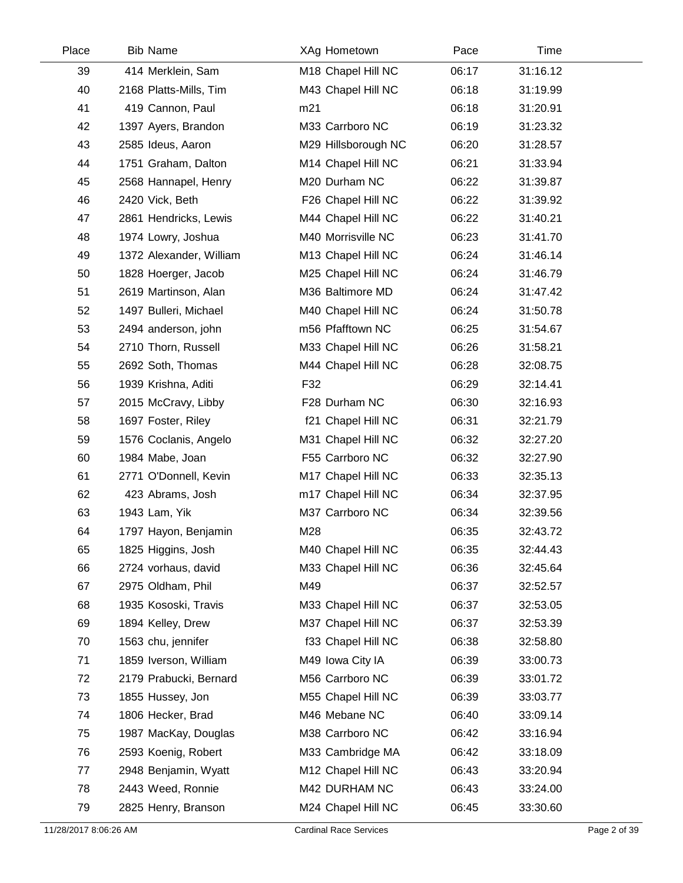| Place | <b>Bib Name</b>         | XAg Hometown        | Pace  | Time     |  |
|-------|-------------------------|---------------------|-------|----------|--|
| 39    | 414 Merklein, Sam       | M18 Chapel Hill NC  | 06:17 | 31:16.12 |  |
| 40    | 2168 Platts-Mills, Tim  | M43 Chapel Hill NC  | 06:18 | 31:19.99 |  |
| 41    | 419 Cannon, Paul        | m21                 | 06:18 | 31:20.91 |  |
| 42    | 1397 Ayers, Brandon     | M33 Carrboro NC     | 06:19 | 31:23.32 |  |
| 43    | 2585 Ideus, Aaron       | M29 Hillsborough NC | 06:20 | 31:28.57 |  |
| 44    | 1751 Graham, Dalton     | M14 Chapel Hill NC  | 06:21 | 31:33.94 |  |
| 45    | 2568 Hannapel, Henry    | M20 Durham NC       | 06:22 | 31:39.87 |  |
| 46    | 2420 Vick, Beth         | F26 Chapel Hill NC  | 06:22 | 31:39.92 |  |
| 47    | 2861 Hendricks, Lewis   | M44 Chapel Hill NC  | 06:22 | 31:40.21 |  |
| 48    | 1974 Lowry, Joshua      | M40 Morrisville NC  | 06:23 | 31:41.70 |  |
| 49    | 1372 Alexander, William | M13 Chapel Hill NC  | 06:24 | 31:46.14 |  |
| 50    | 1828 Hoerger, Jacob     | M25 Chapel Hill NC  | 06:24 | 31:46.79 |  |
| 51    | 2619 Martinson, Alan    | M36 Baltimore MD    | 06:24 | 31:47.42 |  |
| 52    | 1497 Bulleri, Michael   | M40 Chapel Hill NC  | 06:24 | 31:50.78 |  |
| 53    | 2494 anderson, john     | m56 Pfafftown NC    | 06:25 | 31:54.67 |  |
| 54    | 2710 Thorn, Russell     | M33 Chapel Hill NC  | 06:26 | 31:58.21 |  |
| 55    | 2692 Soth, Thomas       | M44 Chapel Hill NC  | 06:28 | 32:08.75 |  |
| 56    | 1939 Krishna, Aditi     | F32                 | 06:29 | 32:14.41 |  |
| 57    | 2015 McCravy, Libby     | F28 Durham NC       | 06:30 | 32:16.93 |  |
| 58    | 1697 Foster, Riley      | f21 Chapel Hill NC  | 06:31 | 32:21.79 |  |
| 59    | 1576 Coclanis, Angelo   | M31 Chapel Hill NC  | 06:32 | 32:27.20 |  |
| 60    | 1984 Mabe, Joan         | F55 Carrboro NC     | 06:32 | 32:27.90 |  |
| 61    | 2771 O'Donnell, Kevin   | M17 Chapel Hill NC  | 06:33 | 32:35.13 |  |
| 62    | 423 Abrams, Josh        | m17 Chapel Hill NC  | 06:34 | 32:37.95 |  |
| 63    | 1943 Lam, Yik           | M37 Carrboro NC     | 06:34 | 32:39.56 |  |
| 64    | 1797 Hayon, Benjamin    | M28                 | 06:35 | 32:43.72 |  |
| 65    | 1825 Higgins, Josh      | M40 Chapel Hill NC  | 06:35 | 32:44.43 |  |
| 66    | 2724 vorhaus, david     | M33 Chapel Hill NC  | 06:36 | 32:45.64 |  |
| 67    | 2975 Oldham, Phil       | M49                 | 06:37 | 32:52.57 |  |
| 68    | 1935 Kososki, Travis    | M33 Chapel Hill NC  | 06:37 | 32:53.05 |  |
| 69    | 1894 Kelley, Drew       | M37 Chapel Hill NC  | 06:37 | 32:53.39 |  |
| 70    | 1563 chu, jennifer      | f33 Chapel Hill NC  | 06:38 | 32:58.80 |  |
| 71    | 1859 Iverson, William   | M49 Iowa City IA    | 06:39 | 33:00.73 |  |
| 72    | 2179 Prabucki, Bernard  | M56 Carrboro NC     | 06:39 | 33:01.72 |  |
| 73    | 1855 Hussey, Jon        | M55 Chapel Hill NC  | 06:39 | 33:03.77 |  |
| 74    | 1806 Hecker, Brad       | M46 Mebane NC       | 06:40 | 33:09.14 |  |
| 75    | 1987 MacKay, Douglas    | M38 Carrboro NC     | 06:42 | 33:16.94 |  |
| 76    | 2593 Koenig, Robert     | M33 Cambridge MA    | 06:42 | 33:18.09 |  |
| 77    | 2948 Benjamin, Wyatt    | M12 Chapel Hill NC  | 06:43 | 33:20.94 |  |
| 78    | 2443 Weed, Ronnie       | M42 DURHAM NC       | 06:43 | 33:24.00 |  |
| 79    | 2825 Henry, Branson     | M24 Chapel Hill NC  | 06:45 | 33:30.60 |  |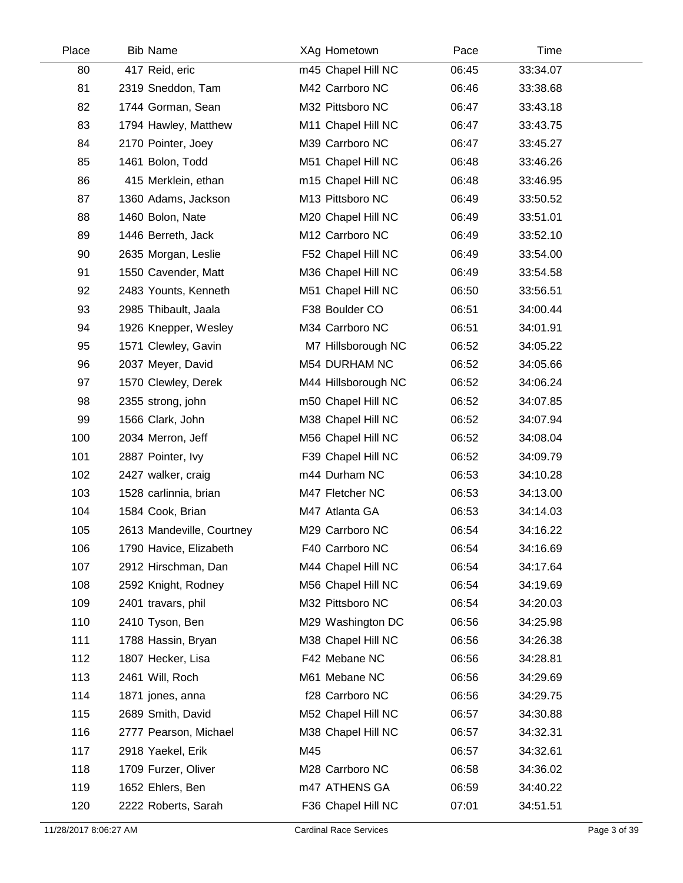| Place | <b>Bib Name</b>           |     | XAg Hometown        | Pace  | Time     |  |
|-------|---------------------------|-----|---------------------|-------|----------|--|
| 80    | 417 Reid, eric            |     | m45 Chapel Hill NC  | 06:45 | 33:34.07 |  |
| 81    | 2319 Sneddon, Tam         |     | M42 Carrboro NC     | 06:46 | 33:38.68 |  |
| 82    | 1744 Gorman, Sean         |     | M32 Pittsboro NC    | 06:47 | 33:43.18 |  |
| 83    | 1794 Hawley, Matthew      |     | M11 Chapel Hill NC  | 06:47 | 33:43.75 |  |
| 84    | 2170 Pointer, Joey        |     | M39 Carrboro NC     | 06:47 | 33:45.27 |  |
| 85    | 1461 Bolon, Todd          |     | M51 Chapel Hill NC  | 06:48 | 33:46.26 |  |
| 86    | 415 Merklein, ethan       |     | m15 Chapel Hill NC  | 06:48 | 33:46.95 |  |
| 87    | 1360 Adams, Jackson       |     | M13 Pittsboro NC    | 06:49 | 33:50.52 |  |
| 88    | 1460 Bolon, Nate          |     | M20 Chapel Hill NC  | 06:49 | 33:51.01 |  |
| 89    | 1446 Berreth, Jack        |     | M12 Carrboro NC     | 06:49 | 33:52.10 |  |
| 90    | 2635 Morgan, Leslie       |     | F52 Chapel Hill NC  | 06:49 | 33:54.00 |  |
| 91    | 1550 Cavender, Matt       |     | M36 Chapel Hill NC  | 06:49 | 33:54.58 |  |
| 92    | 2483 Younts, Kenneth      |     | M51 Chapel Hill NC  | 06:50 | 33:56.51 |  |
| 93    | 2985 Thibault, Jaala      |     | F38 Boulder CO      | 06:51 | 34:00.44 |  |
| 94    | 1926 Knepper, Wesley      |     | M34 Carrboro NC     | 06:51 | 34:01.91 |  |
| 95    | 1571 Clewley, Gavin       |     | M7 Hillsborough NC  | 06:52 | 34:05.22 |  |
| 96    | 2037 Meyer, David         |     | M54 DURHAM NC       | 06:52 | 34:05.66 |  |
| 97    | 1570 Clewley, Derek       |     | M44 Hillsborough NC | 06:52 | 34:06.24 |  |
| 98    | 2355 strong, john         |     | m50 Chapel Hill NC  | 06:52 | 34:07.85 |  |
| 99    | 1566 Clark, John          |     | M38 Chapel Hill NC  | 06:52 | 34:07.94 |  |
| 100   | 2034 Merron, Jeff         |     | M56 Chapel Hill NC  | 06:52 | 34:08.04 |  |
| 101   | 2887 Pointer, Ivy         |     | F39 Chapel Hill NC  | 06:52 | 34:09.79 |  |
| 102   | 2427 walker, craig        |     | m44 Durham NC       | 06:53 | 34:10.28 |  |
| 103   | 1528 carlinnia, brian     |     | M47 Fletcher NC     | 06:53 | 34:13.00 |  |
| 104   | 1584 Cook, Brian          |     | M47 Atlanta GA      | 06:53 | 34:14.03 |  |
| 105   | 2613 Mandeville, Courtney |     | M29 Carrboro NC     | 06:54 | 34:16.22 |  |
| 106   | 1790 Havice, Elizabeth    |     | F40 Carrboro NC     | 06:54 | 34:16.69 |  |
| 107   | 2912 Hirschman, Dan       |     | M44 Chapel Hill NC  | 06:54 | 34:17.64 |  |
| 108   | 2592 Knight, Rodney       |     | M56 Chapel Hill NC  | 06:54 | 34:19.69 |  |
| 109   | 2401 travars, phil        |     | M32 Pittsboro NC    | 06:54 | 34:20.03 |  |
| 110   | 2410 Tyson, Ben           |     | M29 Washington DC   | 06:56 | 34:25.98 |  |
| 111   | 1788 Hassin, Bryan        |     | M38 Chapel Hill NC  | 06:56 | 34:26.38 |  |
| 112   | 1807 Hecker, Lisa         |     | F42 Mebane NC       | 06:56 | 34:28.81 |  |
| 113   | 2461 Will, Roch           |     | M61 Mebane NC       | 06:56 | 34:29.69 |  |
| 114   | 1871 jones, anna          |     | f28 Carrboro NC     | 06:56 | 34:29.75 |  |
| 115   | 2689 Smith, David         |     | M52 Chapel Hill NC  | 06:57 | 34:30.88 |  |
| 116   | 2777 Pearson, Michael     |     | M38 Chapel Hill NC  | 06:57 | 34:32.31 |  |
| 117   | 2918 Yaekel, Erik         | M45 |                     | 06:57 | 34:32.61 |  |
| 118   | 1709 Furzer, Oliver       |     | M28 Carrboro NC     | 06:58 | 34:36.02 |  |
| 119   | 1652 Ehlers, Ben          |     | m47 ATHENS GA       | 06:59 | 34:40.22 |  |
| 120   | 2222 Roberts, Sarah       |     | F36 Chapel Hill NC  | 07:01 | 34:51.51 |  |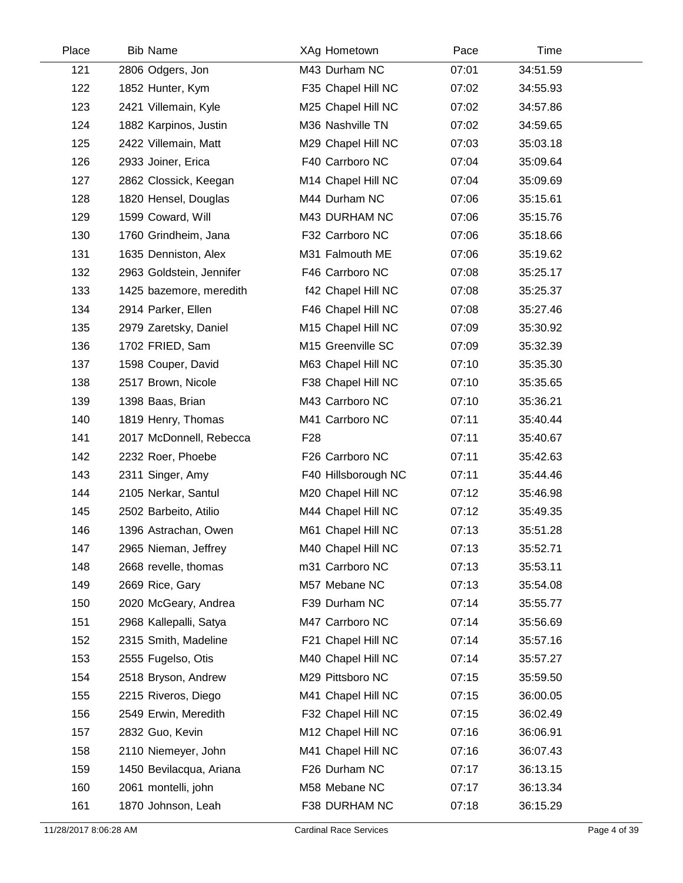| Place | <b>Bib Name</b>          | XAg Hometown        | Pace  | Time     |  |
|-------|--------------------------|---------------------|-------|----------|--|
| 121   | 2806 Odgers, Jon         | M43 Durham NC       | 07:01 | 34:51.59 |  |
| 122   | 1852 Hunter, Kym         | F35 Chapel Hill NC  | 07:02 | 34:55.93 |  |
| 123   | 2421 Villemain, Kyle     | M25 Chapel Hill NC  | 07:02 | 34:57.86 |  |
| 124   | 1882 Karpinos, Justin    | M36 Nashville TN    | 07:02 | 34:59.65 |  |
| 125   | 2422 Villemain, Matt     | M29 Chapel Hill NC  | 07:03 | 35:03.18 |  |
| 126   | 2933 Joiner, Erica       | F40 Carrboro NC     | 07:04 | 35:09.64 |  |
| 127   | 2862 Clossick, Keegan    | M14 Chapel Hill NC  | 07:04 | 35:09.69 |  |
| 128   | 1820 Hensel, Douglas     | M44 Durham NC       | 07:06 | 35:15.61 |  |
| 129   | 1599 Coward, Will        | M43 DURHAM NC       | 07:06 | 35:15.76 |  |
| 130   | 1760 Grindheim, Jana     | F32 Carrboro NC     | 07:06 | 35:18.66 |  |
| 131   | 1635 Denniston, Alex     | M31 Falmouth ME     | 07:06 | 35:19.62 |  |
| 132   | 2963 Goldstein, Jennifer | F46 Carrboro NC     | 07:08 | 35:25.17 |  |
| 133   | 1425 bazemore, meredith  | f42 Chapel Hill NC  | 07:08 | 35:25.37 |  |
| 134   | 2914 Parker, Ellen       | F46 Chapel Hill NC  | 07:08 | 35:27.46 |  |
| 135   | 2979 Zaretsky, Daniel    | M15 Chapel Hill NC  | 07:09 | 35:30.92 |  |
| 136   | 1702 FRIED, Sam          | M15 Greenville SC   | 07:09 | 35:32.39 |  |
| 137   | 1598 Couper, David       | M63 Chapel Hill NC  | 07:10 | 35:35.30 |  |
| 138   | 2517 Brown, Nicole       | F38 Chapel Hill NC  | 07:10 | 35:35.65 |  |
| 139   | 1398 Baas, Brian         | M43 Carrboro NC     | 07:10 | 35:36.21 |  |
| 140   | 1819 Henry, Thomas       | M41 Carrboro NC     | 07:11 | 35:40.44 |  |
| 141   | 2017 McDonnell, Rebecca  | F <sub>28</sub>     | 07:11 | 35:40.67 |  |
| 142   | 2232 Roer, Phoebe        | F26 Carrboro NC     | 07:11 | 35:42.63 |  |
| 143   | 2311 Singer, Amy         | F40 Hillsborough NC | 07:11 | 35:44.46 |  |
| 144   | 2105 Nerkar, Santul      | M20 Chapel Hill NC  | 07:12 | 35:46.98 |  |
| 145   | 2502 Barbeito, Atilio    | M44 Chapel Hill NC  | 07:12 | 35:49.35 |  |
| 146   | 1396 Astrachan, Owen     | M61 Chapel Hill NC  | 07:13 | 35:51.28 |  |
| 147   | 2965 Nieman, Jeffrey     | M40 Chapel Hill NC  | 07:13 | 35:52.71 |  |
| 148   | 2668 revelle, thomas     | m31 Carrboro NC     | 07:13 | 35:53.11 |  |
| 149   | 2669 Rice, Gary          | M57 Mebane NC       | 07:13 | 35:54.08 |  |
| 150   | 2020 McGeary, Andrea     | F39 Durham NC       | 07:14 | 35:55.77 |  |
| 151   | 2968 Kallepalli, Satya   | M47 Carrboro NC     | 07:14 | 35:56.69 |  |
| 152   | 2315 Smith, Madeline     | F21 Chapel Hill NC  | 07:14 | 35:57.16 |  |
| 153   | 2555 Fugelso, Otis       | M40 Chapel Hill NC  | 07:14 | 35:57.27 |  |
| 154   | 2518 Bryson, Andrew      | M29 Pittsboro NC    | 07:15 | 35:59.50 |  |
| 155   | 2215 Riveros, Diego      | M41 Chapel Hill NC  | 07:15 | 36:00.05 |  |
| 156   | 2549 Erwin, Meredith     | F32 Chapel Hill NC  | 07:15 | 36:02.49 |  |
| 157   | 2832 Guo, Kevin          | M12 Chapel Hill NC  | 07:16 | 36:06.91 |  |
| 158   | 2110 Niemeyer, John      | M41 Chapel Hill NC  | 07:16 | 36:07.43 |  |
| 159   | 1450 Bevilacqua, Ariana  | F26 Durham NC       | 07:17 | 36:13.15 |  |
| 160   | 2061 montelli, john      | M58 Mebane NC       | 07:17 | 36:13.34 |  |
| 161   | 1870 Johnson, Leah       | F38 DURHAM NC       | 07:18 | 36:15.29 |  |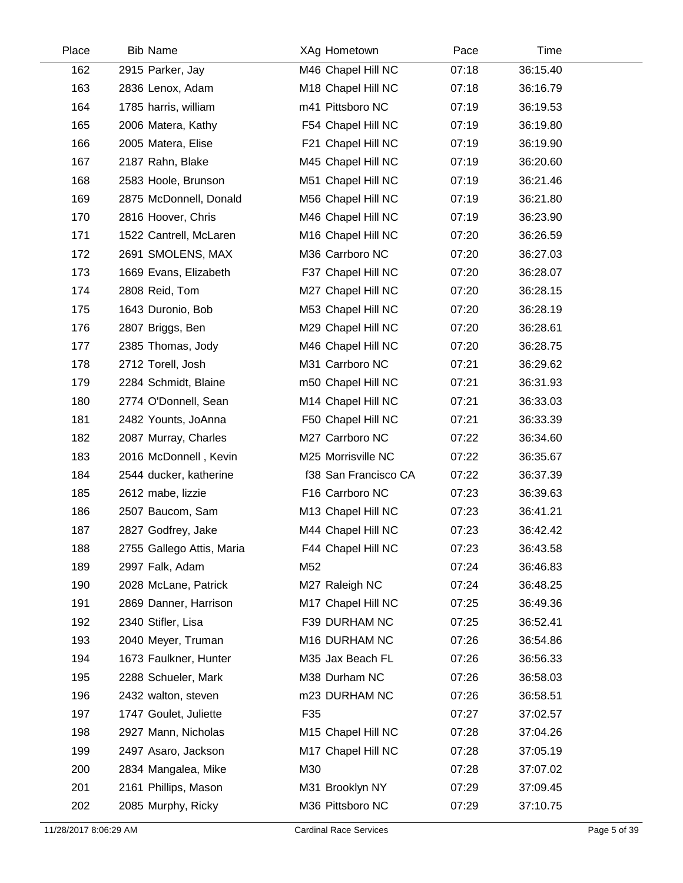| Place | <b>Bib Name</b>           | XAg Hometown         | Pace  | Time     |  |
|-------|---------------------------|----------------------|-------|----------|--|
| 162   | 2915 Parker, Jay          | M46 Chapel Hill NC   | 07:18 | 36:15.40 |  |
| 163   | 2836 Lenox, Adam          | M18 Chapel Hill NC   | 07:18 | 36:16.79 |  |
| 164   | 1785 harris, william      | m41 Pittsboro NC     | 07:19 | 36:19.53 |  |
| 165   | 2006 Matera, Kathy        | F54 Chapel Hill NC   | 07:19 | 36:19.80 |  |
| 166   | 2005 Matera, Elise        | F21 Chapel Hill NC   | 07:19 | 36:19.90 |  |
| 167   | 2187 Rahn, Blake          | M45 Chapel Hill NC   | 07:19 | 36:20.60 |  |
| 168   | 2583 Hoole, Brunson       | M51 Chapel Hill NC   | 07:19 | 36:21.46 |  |
| 169   | 2875 McDonnell, Donald    | M56 Chapel Hill NC   | 07:19 | 36:21.80 |  |
| 170   | 2816 Hoover, Chris        | M46 Chapel Hill NC   | 07:19 | 36:23.90 |  |
| 171   | 1522 Cantrell, McLaren    | M16 Chapel Hill NC   | 07:20 | 36:26.59 |  |
| 172   | 2691 SMOLENS, MAX         | M36 Carrboro NC      | 07:20 | 36:27.03 |  |
| 173   | 1669 Evans, Elizabeth     | F37 Chapel Hill NC   | 07:20 | 36:28.07 |  |
| 174   | 2808 Reid, Tom            | M27 Chapel Hill NC   | 07:20 | 36:28.15 |  |
| 175   | 1643 Duronio, Bob         | M53 Chapel Hill NC   | 07:20 | 36:28.19 |  |
| 176   | 2807 Briggs, Ben          | M29 Chapel Hill NC   | 07:20 | 36:28.61 |  |
| 177   | 2385 Thomas, Jody         | M46 Chapel Hill NC   | 07:20 | 36:28.75 |  |
| 178   | 2712 Torell, Josh         | M31 Carrboro NC      | 07:21 | 36:29.62 |  |
| 179   | 2284 Schmidt, Blaine      | m50 Chapel Hill NC   | 07:21 | 36:31.93 |  |
| 180   | 2774 O'Donnell, Sean      | M14 Chapel Hill NC   | 07:21 | 36:33.03 |  |
| 181   | 2482 Younts, JoAnna       | F50 Chapel Hill NC   | 07:21 | 36:33.39 |  |
| 182   | 2087 Murray, Charles      | M27 Carrboro NC      | 07:22 | 36:34.60 |  |
| 183   | 2016 McDonnell, Kevin     | M25 Morrisville NC   | 07:22 | 36:35.67 |  |
| 184   | 2544 ducker, katherine    | f38 San Francisco CA | 07:22 | 36:37.39 |  |
| 185   | 2612 mabe, lizzie         | F16 Carrboro NC      | 07:23 | 36:39.63 |  |
| 186   | 2507 Baucom, Sam          | M13 Chapel Hill NC   | 07:23 | 36:41.21 |  |
| 187   | 2827 Godfrey, Jake        | M44 Chapel Hill NC   | 07:23 | 36:42.42 |  |
| 188   | 2755 Gallego Attis, Maria | F44 Chapel Hill NC   | 07:23 | 36:43.58 |  |
| 189   | 2997 Falk, Adam           | M52                  | 07:24 | 36:46.83 |  |
| 190   | 2028 McLane, Patrick      | M27 Raleigh NC       | 07:24 | 36:48.25 |  |
| 191   | 2869 Danner, Harrison     | M17 Chapel Hill NC   | 07:25 | 36:49.36 |  |
| 192   | 2340 Stifler, Lisa        | F39 DURHAM NC        | 07:25 | 36:52.41 |  |
| 193   | 2040 Meyer, Truman        | M16 DURHAM NC        | 07:26 | 36:54.86 |  |
| 194   | 1673 Faulkner, Hunter     | M35 Jax Beach FL     | 07:26 | 36:56.33 |  |
| 195   | 2288 Schueler, Mark       | M38 Durham NC        | 07:26 | 36:58.03 |  |
| 196   | 2432 walton, steven       | m23 DURHAM NC        | 07:26 | 36:58.51 |  |
| 197   | 1747 Goulet, Juliette     | F35                  | 07:27 | 37:02.57 |  |
| 198   | 2927 Mann, Nicholas       | M15 Chapel Hill NC   | 07:28 | 37:04.26 |  |
| 199   | 2497 Asaro, Jackson       | M17 Chapel Hill NC   | 07:28 | 37:05.19 |  |
| 200   | 2834 Mangalea, Mike       | M30                  | 07:28 | 37:07.02 |  |
| 201   | 2161 Phillips, Mason      | M31 Brooklyn NY      | 07:29 | 37:09.45 |  |
| 202   | 2085 Murphy, Ricky        | M36 Pittsboro NC     | 07:29 | 37:10.75 |  |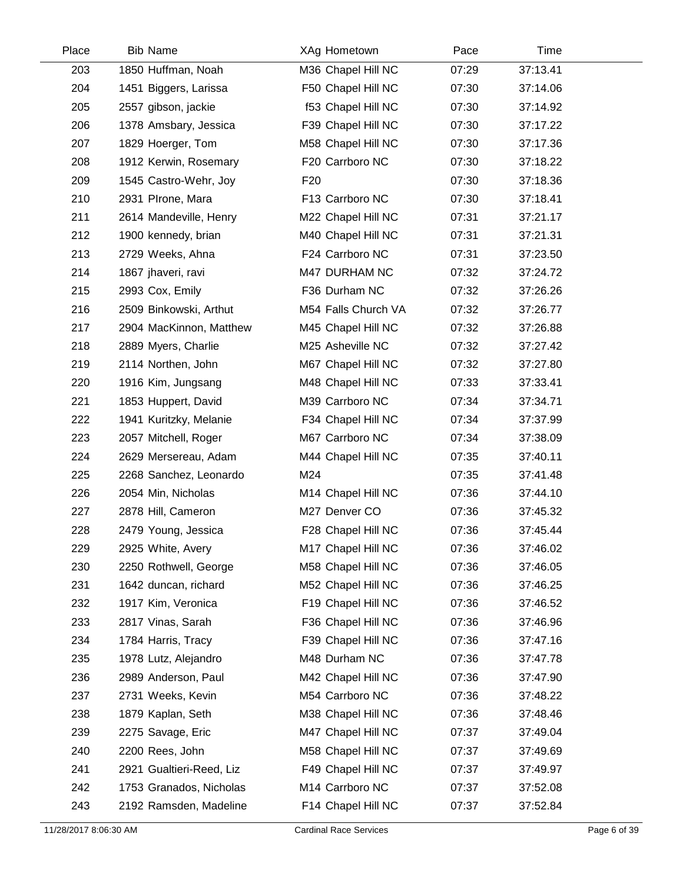| Place | <b>Bib Name</b>          | XAg Hometown        | Pace  | Time     |  |
|-------|--------------------------|---------------------|-------|----------|--|
| 203   | 1850 Huffman, Noah       | M36 Chapel Hill NC  | 07:29 | 37:13.41 |  |
| 204   | 1451 Biggers, Larissa    | F50 Chapel Hill NC  | 07:30 | 37:14.06 |  |
| 205   | 2557 gibson, jackie      | f53 Chapel Hill NC  | 07:30 | 37:14.92 |  |
| 206   | 1378 Amsbary, Jessica    | F39 Chapel Hill NC  | 07:30 | 37:17.22 |  |
| 207   | 1829 Hoerger, Tom        | M58 Chapel Hill NC  | 07:30 | 37:17.36 |  |
| 208   | 1912 Kerwin, Rosemary    | F20 Carrboro NC     | 07:30 | 37:18.22 |  |
| 209   | 1545 Castro-Wehr, Joy    | F <sub>20</sub>     | 07:30 | 37:18.36 |  |
| 210   | 2931 PIrone, Mara        | F13 Carrboro NC     | 07:30 | 37:18.41 |  |
| 211   | 2614 Mandeville, Henry   | M22 Chapel Hill NC  | 07:31 | 37:21.17 |  |
| 212   | 1900 kennedy, brian      | M40 Chapel Hill NC  | 07:31 | 37:21.31 |  |
| 213   | 2729 Weeks, Ahna         | F24 Carrboro NC     | 07:31 | 37:23.50 |  |
| 214   | 1867 jhaveri, ravi       | M47 DURHAM NC       | 07:32 | 37:24.72 |  |
| 215   | 2993 Cox, Emily          | F36 Durham NC       | 07:32 | 37:26.26 |  |
| 216   | 2509 Binkowski, Arthut   | M54 Falls Church VA | 07:32 | 37:26.77 |  |
| 217   | 2904 MacKinnon, Matthew  | M45 Chapel Hill NC  | 07:32 | 37:26.88 |  |
| 218   | 2889 Myers, Charlie      | M25 Asheville NC    | 07:32 | 37:27.42 |  |
| 219   | 2114 Northen, John       | M67 Chapel Hill NC  | 07:32 | 37:27.80 |  |
| 220   | 1916 Kim, Jungsang       | M48 Chapel Hill NC  | 07:33 | 37:33.41 |  |
| 221   | 1853 Huppert, David      | M39 Carrboro NC     | 07:34 | 37:34.71 |  |
| 222   | 1941 Kuritzky, Melanie   | F34 Chapel Hill NC  | 07:34 | 37:37.99 |  |
| 223   | 2057 Mitchell, Roger     | M67 Carrboro NC     | 07:34 | 37:38.09 |  |
| 224   | 2629 Mersereau, Adam     | M44 Chapel Hill NC  | 07:35 | 37:40.11 |  |
| 225   | 2268 Sanchez, Leonardo   | M24                 | 07:35 | 37:41.48 |  |
| 226   | 2054 Min, Nicholas       | M14 Chapel Hill NC  | 07:36 | 37:44.10 |  |
| 227   | 2878 Hill, Cameron       | M27 Denver CO       | 07:36 | 37:45.32 |  |
| 228   | 2479 Young, Jessica      | F28 Chapel Hill NC  | 07:36 | 37:45.44 |  |
| 229   | 2925 White, Avery        | M17 Chapel Hill NC  | 07:36 | 37:46.02 |  |
| 230   | 2250 Rothwell, George    | M58 Chapel Hill NC  | 07:36 | 37:46.05 |  |
| 231   | 1642 duncan, richard     | M52 Chapel Hill NC  | 07:36 | 37:46.25 |  |
| 232   | 1917 Kim, Veronica       | F19 Chapel Hill NC  | 07:36 | 37:46.52 |  |
| 233   | 2817 Vinas, Sarah        | F36 Chapel Hill NC  | 07:36 | 37:46.96 |  |
| 234   | 1784 Harris, Tracy       | F39 Chapel Hill NC  | 07:36 | 37:47.16 |  |
| 235   | 1978 Lutz, Alejandro     | M48 Durham NC       | 07:36 | 37:47.78 |  |
| 236   | 2989 Anderson, Paul      | M42 Chapel Hill NC  | 07:36 | 37:47.90 |  |
| 237   | 2731 Weeks, Kevin        | M54 Carrboro NC     | 07:36 | 37:48.22 |  |
| 238   | 1879 Kaplan, Seth        | M38 Chapel Hill NC  | 07:36 | 37:48.46 |  |
| 239   | 2275 Savage, Eric        | M47 Chapel Hill NC  | 07:37 | 37:49.04 |  |
| 240   | 2200 Rees, John          | M58 Chapel Hill NC  | 07:37 | 37:49.69 |  |
| 241   | 2921 Gualtieri-Reed, Liz | F49 Chapel Hill NC  | 07:37 | 37:49.97 |  |
| 242   | 1753 Granados, Nicholas  | M14 Carrboro NC     | 07:37 | 37:52.08 |  |
| 243   | 2192 Ramsden, Madeline   | F14 Chapel Hill NC  | 07:37 | 37:52.84 |  |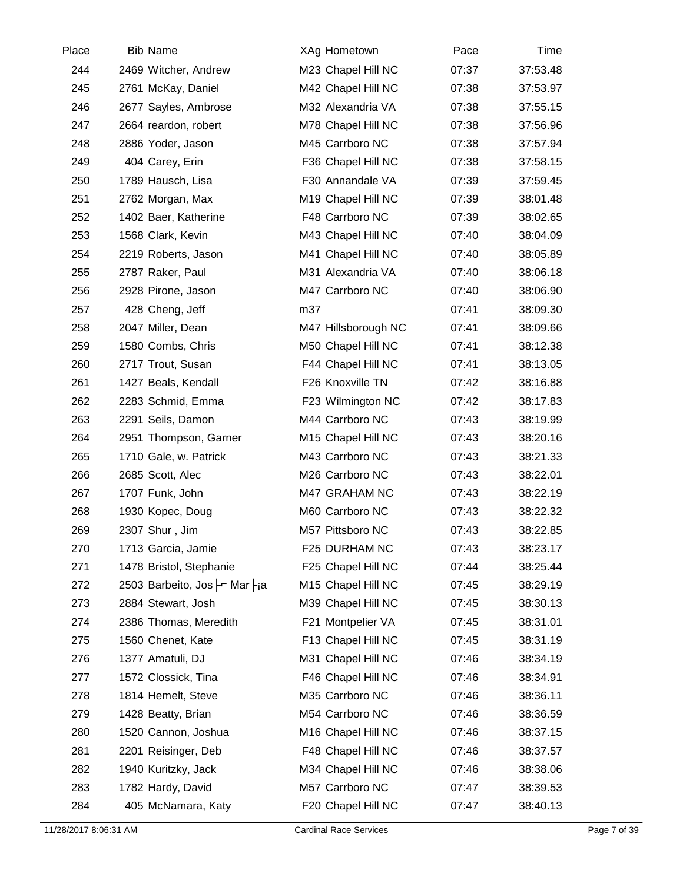| Place | <b>Bib Name</b>              | XAg Hometown        | Pace  | Time     |  |
|-------|------------------------------|---------------------|-------|----------|--|
| 244   | 2469 Witcher, Andrew         | M23 Chapel Hill NC  | 07:37 | 37:53.48 |  |
| 245   | 2761 McKay, Daniel           | M42 Chapel Hill NC  | 07:38 | 37:53.97 |  |
| 246   | 2677 Sayles, Ambrose         | M32 Alexandria VA   | 07:38 | 37:55.15 |  |
| 247   | 2664 reardon, robert         | M78 Chapel Hill NC  | 07:38 | 37:56.96 |  |
| 248   | 2886 Yoder, Jason            | M45 Carrboro NC     | 07:38 | 37:57.94 |  |
| 249   | 404 Carey, Erin              | F36 Chapel Hill NC  | 07:38 | 37:58.15 |  |
| 250   | 1789 Hausch, Lisa            | F30 Annandale VA    | 07:39 | 37:59.45 |  |
| 251   | 2762 Morgan, Max             | M19 Chapel Hill NC  | 07:39 | 38:01.48 |  |
| 252   | 1402 Baer, Katherine         | F48 Carrboro NC     | 07:39 | 38:02.65 |  |
| 253   | 1568 Clark, Kevin            | M43 Chapel Hill NC  | 07:40 | 38:04.09 |  |
| 254   | 2219 Roberts, Jason          | M41 Chapel Hill NC  | 07:40 | 38:05.89 |  |
| 255   | 2787 Raker, Paul             | M31 Alexandria VA   | 07:40 | 38:06.18 |  |
| 256   | 2928 Pirone, Jason           | M47 Carrboro NC     | 07:40 | 38:06.90 |  |
| 257   | 428 Cheng, Jeff              | m37                 | 07:41 | 38:09.30 |  |
| 258   | 2047 Miller, Dean            | M47 Hillsborough NC | 07:41 | 38:09.66 |  |
| 259   | 1580 Combs, Chris            | M50 Chapel Hill NC  | 07:41 | 38:12.38 |  |
| 260   | 2717 Trout, Susan            | F44 Chapel Hill NC  | 07:41 | 38:13.05 |  |
| 261   | 1427 Beals, Kendall          | F26 Knoxville TN    | 07:42 | 38:16.88 |  |
| 262   | 2283 Schmid, Emma            | F23 Wilmington NC   | 07:42 | 38:17.83 |  |
| 263   | 2291 Seils, Damon            | M44 Carrboro NC     | 07:43 | 38:19.99 |  |
| 264   | 2951 Thompson, Garner        | M15 Chapel Hill NC  | 07:43 | 38:20.16 |  |
| 265   | 1710 Gale, w. Patrick        | M43 Carrboro NC     | 07:43 | 38:21.33 |  |
| 266   | 2685 Scott, Alec             | M26 Carrboro NC     | 07:43 | 38:22.01 |  |
| 267   | 1707 Funk, John              | M47 GRAHAM NC       | 07:43 | 38:22.19 |  |
| 268   | 1930 Kopec, Doug             | M60 Carrboro NC     | 07:43 | 38:22.32 |  |
| 269   | 2307 Shur, Jim               | M57 Pittsboro NC    | 07:43 | 38:22.85 |  |
| 270   | 1713 Garcia, Jamie           | F25 DURHAM NC       | 07:43 | 38:23.17 |  |
| 271   | 1478 Bristol, Stephanie      | F25 Chapel Hill NC  | 07:44 | 38:25.44 |  |
| 272   | 2503 Barbeito, Jos - Mar -ia | M15 Chapel Hill NC  | 07:45 | 38:29.19 |  |
| 273   | 2884 Stewart, Josh           | M39 Chapel Hill NC  | 07:45 | 38:30.13 |  |
| 274   | 2386 Thomas, Meredith        | F21 Montpelier VA   | 07:45 | 38:31.01 |  |
| 275   | 1560 Chenet, Kate            | F13 Chapel Hill NC  | 07:45 | 38:31.19 |  |
| 276   | 1377 Amatuli, DJ             | M31 Chapel Hill NC  | 07:46 | 38:34.19 |  |
| 277   | 1572 Clossick, Tina          | F46 Chapel Hill NC  | 07:46 | 38:34.91 |  |
| 278   | 1814 Hemelt, Steve           | M35 Carrboro NC     | 07:46 | 38:36.11 |  |
| 279   | 1428 Beatty, Brian           | M54 Carrboro NC     | 07:46 | 38:36.59 |  |
| 280   | 1520 Cannon, Joshua          | M16 Chapel Hill NC  | 07:46 | 38:37.15 |  |
| 281   | 2201 Reisinger, Deb          | F48 Chapel Hill NC  | 07:46 | 38:37.57 |  |
| 282   | 1940 Kuritzky, Jack          | M34 Chapel Hill NC  | 07:46 | 38:38.06 |  |
| 283   | 1782 Hardy, David            | M57 Carrboro NC     | 07:47 | 38:39.53 |  |
| 284   | 405 McNamara, Katy           | F20 Chapel Hill NC  | 07:47 | 38:40.13 |  |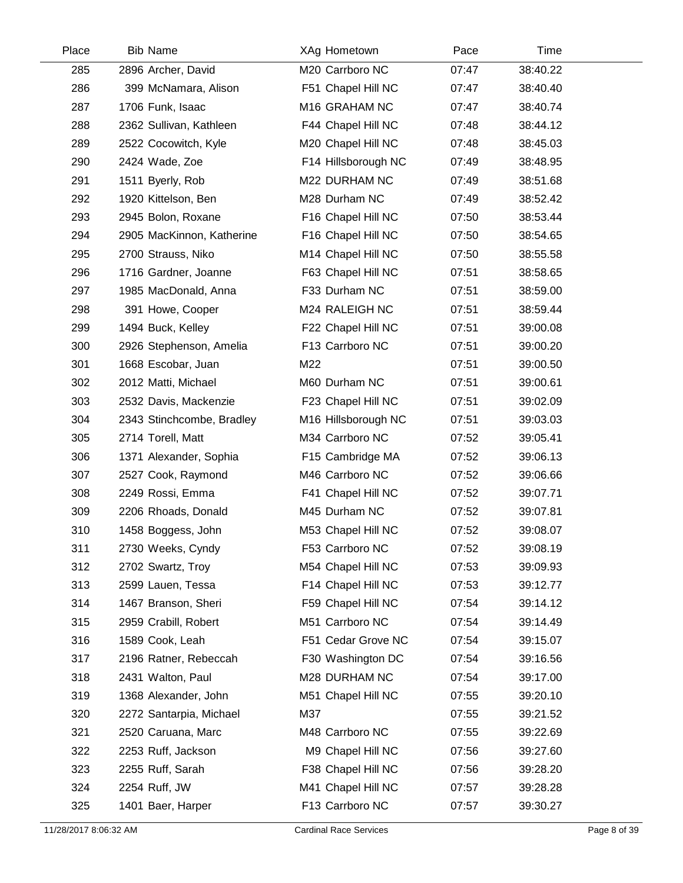| Place | <b>Bib Name</b>           | XAg Hometown        | Pace  | Time     |
|-------|---------------------------|---------------------|-------|----------|
| 285   | 2896 Archer, David        | M20 Carrboro NC     | 07:47 | 38:40.22 |
| 286   | 399 McNamara, Alison      | F51 Chapel Hill NC  | 07:47 | 38:40.40 |
| 287   | 1706 Funk, Isaac          | M16 GRAHAM NC       | 07:47 | 38:40.74 |
| 288   | 2362 Sullivan, Kathleen   | F44 Chapel Hill NC  | 07:48 | 38:44.12 |
| 289   | 2522 Cocowitch, Kyle      | M20 Chapel Hill NC  | 07:48 | 38:45.03 |
| 290   | 2424 Wade, Zoe            | F14 Hillsborough NC | 07:49 | 38:48.95 |
| 291   | 1511 Byerly, Rob          | M22 DURHAM NC       | 07:49 | 38:51.68 |
| 292   | 1920 Kittelson, Ben       | M28 Durham NC       | 07:49 | 38:52.42 |
| 293   | 2945 Bolon, Roxane        | F16 Chapel Hill NC  | 07:50 | 38:53.44 |
| 294   | 2905 MacKinnon, Katherine | F16 Chapel Hill NC  | 07:50 | 38:54.65 |
| 295   | 2700 Strauss, Niko        | M14 Chapel Hill NC  | 07:50 | 38:55.58 |
| 296   | 1716 Gardner, Joanne      | F63 Chapel Hill NC  | 07:51 | 38:58.65 |
| 297   | 1985 MacDonald, Anna      | F33 Durham NC       | 07:51 | 38:59.00 |
| 298   | 391 Howe, Cooper          | M24 RALEIGH NC      | 07:51 | 38:59.44 |
| 299   | 1494 Buck, Kelley         | F22 Chapel Hill NC  | 07:51 | 39:00.08 |
| 300   | 2926 Stephenson, Amelia   | F13 Carrboro NC     | 07:51 | 39:00.20 |
| 301   | 1668 Escobar, Juan        | M22                 | 07:51 | 39:00.50 |
| 302   | 2012 Matti, Michael       | M60 Durham NC       | 07:51 | 39:00.61 |
| 303   | 2532 Davis, Mackenzie     | F23 Chapel Hill NC  | 07:51 | 39:02.09 |
| 304   | 2343 Stinchcombe, Bradley | M16 Hillsborough NC | 07:51 | 39:03.03 |
| 305   | 2714 Torell, Matt         | M34 Carrboro NC     | 07:52 | 39:05.41 |
| 306   | 1371 Alexander, Sophia    | F15 Cambridge MA    | 07:52 | 39:06.13 |
| 307   | 2527 Cook, Raymond        | M46 Carrboro NC     | 07:52 | 39:06.66 |
| 308   | 2249 Rossi, Emma          | F41 Chapel Hill NC  | 07:52 | 39:07.71 |
| 309   | 2206 Rhoads, Donald       | M45 Durham NC       | 07:52 | 39:07.81 |
| 310   | 1458 Boggess, John        | M53 Chapel Hill NC  | 07:52 | 39:08.07 |
| 311   | 2730 Weeks, Cyndy         | F53 Carrboro NC     | 07:52 | 39:08.19 |
| 312   | 2702 Swartz, Troy         | M54 Chapel Hill NC  | 07:53 | 39:09.93 |
| 313   | 2599 Lauen, Tessa         | F14 Chapel Hill NC  | 07:53 | 39:12.77 |
| 314   | 1467 Branson, Sheri       | F59 Chapel Hill NC  | 07:54 | 39:14.12 |
| 315   | 2959 Crabill, Robert      | M51 Carrboro NC     | 07:54 | 39:14.49 |
| 316   | 1589 Cook, Leah           | F51 Cedar Grove NC  | 07:54 | 39:15.07 |
| 317   | 2196 Ratner, Rebeccah     | F30 Washington DC   | 07:54 | 39:16.56 |
| 318   | 2431 Walton, Paul         | M28 DURHAM NC       | 07:54 | 39:17.00 |
| 319   | 1368 Alexander, John      | M51 Chapel Hill NC  | 07:55 | 39:20.10 |
| 320   | 2272 Santarpia, Michael   | M37                 | 07:55 | 39:21.52 |
| 321   | 2520 Caruana, Marc        | M48 Carrboro NC     | 07:55 | 39:22.69 |
| 322   | 2253 Ruff, Jackson        | M9 Chapel Hill NC   | 07:56 | 39:27.60 |
| 323   | 2255 Ruff, Sarah          | F38 Chapel Hill NC  | 07:56 | 39:28.20 |
| 324   | 2254 Ruff, JW             | M41 Chapel Hill NC  | 07:57 | 39:28.28 |
| 325   | 1401 Baer, Harper         | F13 Carrboro NC     | 07:57 | 39:30.27 |
|       |                           |                     |       |          |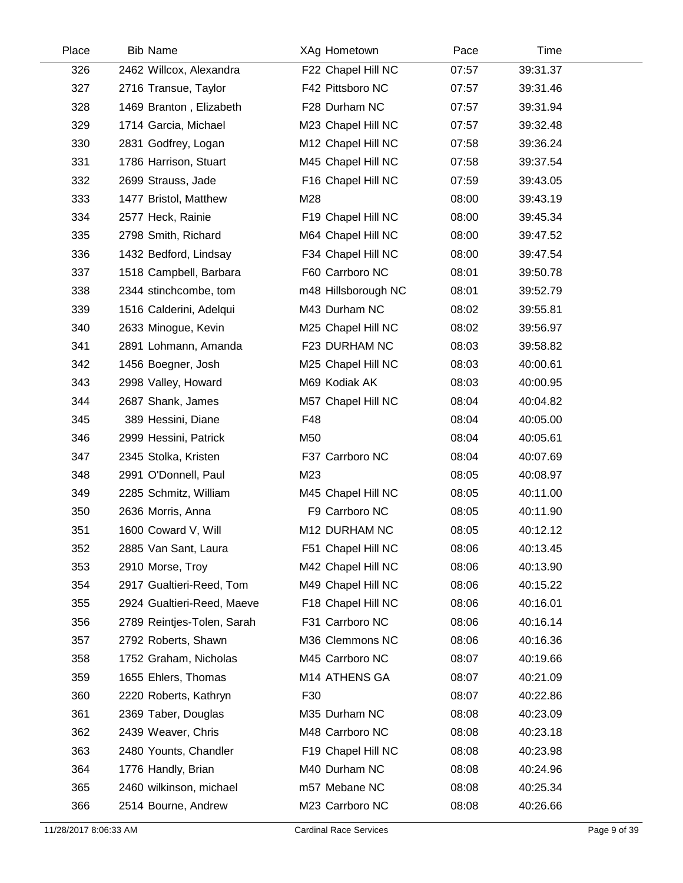| Place | <b>Bib Name</b>            | XAg Hometown        | Pace  | Time     |  |
|-------|----------------------------|---------------------|-------|----------|--|
| 326   | 2462 Willcox, Alexandra    | F22 Chapel Hill NC  | 07:57 | 39:31.37 |  |
| 327   | 2716 Transue, Taylor       | F42 Pittsboro NC    | 07:57 | 39:31.46 |  |
| 328   | 1469 Branton, Elizabeth    | F28 Durham NC       | 07:57 | 39:31.94 |  |
| 329   | 1714 Garcia, Michael       | M23 Chapel Hill NC  | 07:57 | 39:32.48 |  |
| 330   | 2831 Godfrey, Logan        | M12 Chapel Hill NC  | 07:58 | 39:36.24 |  |
| 331   | 1786 Harrison, Stuart      | M45 Chapel Hill NC  | 07:58 | 39:37.54 |  |
| 332   | 2699 Strauss, Jade         | F16 Chapel Hill NC  | 07:59 | 39:43.05 |  |
| 333   | 1477 Bristol, Matthew      | M28                 | 08:00 | 39:43.19 |  |
| 334   | 2577 Heck, Rainie          | F19 Chapel Hill NC  | 08:00 | 39:45.34 |  |
| 335   | 2798 Smith, Richard        | M64 Chapel Hill NC  | 08:00 | 39:47.52 |  |
| 336   | 1432 Bedford, Lindsay      | F34 Chapel Hill NC  | 08:00 | 39:47.54 |  |
| 337   | 1518 Campbell, Barbara     | F60 Carrboro NC     | 08:01 | 39:50.78 |  |
| 338   | 2344 stinchcombe, tom      | m48 Hillsborough NC | 08:01 | 39:52.79 |  |
| 339   | 1516 Calderini, Adelqui    | M43 Durham NC       | 08:02 | 39:55.81 |  |
| 340   | 2633 Minogue, Kevin        | M25 Chapel Hill NC  | 08:02 | 39:56.97 |  |
| 341   | 2891 Lohmann, Amanda       | F23 DURHAM NC       | 08:03 | 39:58.82 |  |
| 342   | 1456 Boegner, Josh         | M25 Chapel Hill NC  | 08:03 | 40:00.61 |  |
| 343   | 2998 Valley, Howard        | M69 Kodiak AK       | 08:03 | 40:00.95 |  |
| 344   | 2687 Shank, James          | M57 Chapel Hill NC  | 08:04 | 40:04.82 |  |
| 345   | 389 Hessini, Diane         | F48                 | 08:04 | 40:05.00 |  |
| 346   | 2999 Hessini, Patrick      | M50                 | 08:04 | 40:05.61 |  |
| 347   | 2345 Stolka, Kristen       | F37 Carrboro NC     | 08:04 | 40:07.69 |  |
| 348   | 2991 O'Donnell, Paul       | M23                 | 08:05 | 40:08.97 |  |
| 349   | 2285 Schmitz, William      | M45 Chapel Hill NC  | 08:05 | 40:11.00 |  |
| 350   | 2636 Morris, Anna          | F9 Carrboro NC      | 08:05 | 40:11.90 |  |
| 351   | 1600 Coward V, Will        | M12 DURHAM NC       | 08:05 | 40:12.12 |  |
| 352   | 2885 Van Sant, Laura       | F51 Chapel Hill NC  | 08:06 | 40:13.45 |  |
| 353   | 2910 Morse, Troy           | M42 Chapel Hill NC  | 08:06 | 40:13.90 |  |
| 354   | 2917 Gualtieri-Reed, Tom   | M49 Chapel Hill NC  | 08:06 | 40:15.22 |  |
| 355   | 2924 Gualtieri-Reed, Maeve | F18 Chapel Hill NC  | 08:06 | 40:16.01 |  |
| 356   | 2789 Reintjes-Tolen, Sarah | F31 Carrboro NC     | 08:06 | 40:16.14 |  |
| 357   | 2792 Roberts, Shawn        | M36 Clemmons NC     | 08:06 | 40:16.36 |  |
| 358   | 1752 Graham, Nicholas      | M45 Carrboro NC     | 08:07 | 40:19.66 |  |
| 359   | 1655 Ehlers, Thomas        | M14 ATHENS GA       | 08:07 | 40:21.09 |  |
| 360   | 2220 Roberts, Kathryn      | F30                 | 08:07 | 40:22.86 |  |
| 361   | 2369 Taber, Douglas        | M35 Durham NC       | 08:08 | 40:23.09 |  |
| 362   | 2439 Weaver, Chris         | M48 Carrboro NC     | 08:08 | 40:23.18 |  |
| 363   | 2480 Younts, Chandler      | F19 Chapel Hill NC  | 08:08 | 40:23.98 |  |
| 364   | 1776 Handly, Brian         | M40 Durham NC       | 08:08 | 40:24.96 |  |
| 365   | 2460 wilkinson, michael    | m57 Mebane NC       | 08:08 | 40:25.34 |  |
| 366   | 2514 Bourne, Andrew        | M23 Carrboro NC     | 08:08 | 40:26.66 |  |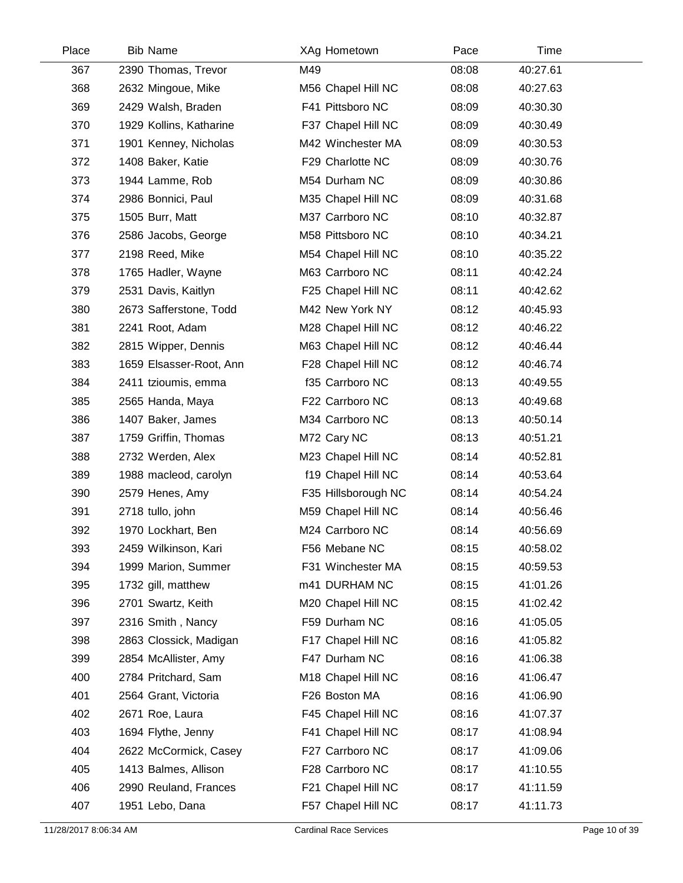| Place | <b>Bib Name</b>         | XAg Hometown        | Pace  | Time     |  |
|-------|-------------------------|---------------------|-------|----------|--|
| 367   | 2390 Thomas, Trevor     | M49                 | 08:08 | 40:27.61 |  |
| 368   | 2632 Mingoue, Mike      | M56 Chapel Hill NC  | 08:08 | 40:27.63 |  |
| 369   | 2429 Walsh, Braden      | F41 Pittsboro NC    | 08:09 | 40:30.30 |  |
| 370   | 1929 Kollins, Katharine | F37 Chapel Hill NC  | 08:09 | 40:30.49 |  |
| 371   | 1901 Kenney, Nicholas   | M42 Winchester MA   | 08:09 | 40:30.53 |  |
| 372   | 1408 Baker, Katie       | F29 Charlotte NC    | 08:09 | 40:30.76 |  |
| 373   | 1944 Lamme, Rob         | M54 Durham NC       | 08:09 | 40:30.86 |  |
| 374   | 2986 Bonnici, Paul      | M35 Chapel Hill NC  | 08:09 | 40:31.68 |  |
| 375   | 1505 Burr, Matt         | M37 Carrboro NC     | 08:10 | 40:32.87 |  |
| 376   | 2586 Jacobs, George     | M58 Pittsboro NC    | 08:10 | 40:34.21 |  |
| 377   | 2198 Reed, Mike         | M54 Chapel Hill NC  | 08:10 | 40:35.22 |  |
| 378   | 1765 Hadler, Wayne      | M63 Carrboro NC     | 08:11 | 40:42.24 |  |
| 379   | 2531 Davis, Kaitlyn     | F25 Chapel Hill NC  | 08:11 | 40:42.62 |  |
| 380   | 2673 Safferstone, Todd  | M42 New York NY     | 08:12 | 40:45.93 |  |
| 381   | 2241 Root, Adam         | M28 Chapel Hill NC  | 08:12 | 40:46.22 |  |
| 382   | 2815 Wipper, Dennis     | M63 Chapel Hill NC  | 08:12 | 40:46.44 |  |
| 383   | 1659 Elsasser-Root, Ann | F28 Chapel Hill NC  | 08:12 | 40:46.74 |  |
| 384   | 2411 tzioumis, emma     | f35 Carrboro NC     | 08:13 | 40:49.55 |  |
| 385   | 2565 Handa, Maya        | F22 Carrboro NC     | 08:13 | 40:49.68 |  |
| 386   | 1407 Baker, James       | M34 Carrboro NC     | 08:13 | 40:50.14 |  |
| 387   | 1759 Griffin, Thomas    | M72 Cary NC         | 08:13 | 40:51.21 |  |
| 388   | 2732 Werden, Alex       | M23 Chapel Hill NC  | 08:14 | 40:52.81 |  |
| 389   | 1988 macleod, carolyn   | f19 Chapel Hill NC  | 08:14 | 40:53.64 |  |
| 390   | 2579 Henes, Amy         | F35 Hillsborough NC | 08:14 | 40:54.24 |  |
| 391   | 2718 tullo, john        | M59 Chapel Hill NC  | 08:14 | 40:56.46 |  |
| 392   | 1970 Lockhart, Ben      | M24 Carrboro NC     | 08:14 | 40:56.69 |  |
| 393   | 2459 Wilkinson, Kari    | F56 Mebane NC       | 08:15 | 40:58.02 |  |
| 394   | 1999 Marion, Summer     | F31 Winchester MA   | 08:15 | 40:59.53 |  |
| 395   | 1732 gill, matthew      | m41 DURHAM NC       | 08:15 | 41:01.26 |  |
| 396   | 2701 Swartz, Keith      | M20 Chapel Hill NC  | 08:15 | 41:02.42 |  |
| 397   | 2316 Smith, Nancy       | F59 Durham NC       | 08:16 | 41:05.05 |  |
| 398   | 2863 Clossick, Madigan  | F17 Chapel Hill NC  | 08:16 | 41:05.82 |  |
| 399   | 2854 McAllister, Amy    | F47 Durham NC       | 08:16 | 41:06.38 |  |
| 400   | 2784 Pritchard, Sam     | M18 Chapel Hill NC  | 08:16 | 41:06.47 |  |
| 401   | 2564 Grant, Victoria    | F26 Boston MA       | 08:16 | 41:06.90 |  |
| 402   | 2671 Roe, Laura         | F45 Chapel Hill NC  | 08:16 | 41:07.37 |  |
| 403   | 1694 Flythe, Jenny      | F41 Chapel Hill NC  | 08:17 | 41:08.94 |  |
| 404   | 2622 McCormick, Casey   | F27 Carrboro NC     | 08:17 | 41:09.06 |  |
| 405   | 1413 Balmes, Allison    | F28 Carrboro NC     | 08:17 | 41:10.55 |  |
| 406   | 2990 Reuland, Frances   | F21 Chapel Hill NC  | 08:17 | 41:11.59 |  |
| 407   | 1951 Lebo, Dana         | F57 Chapel Hill NC  | 08:17 | 41:11.73 |  |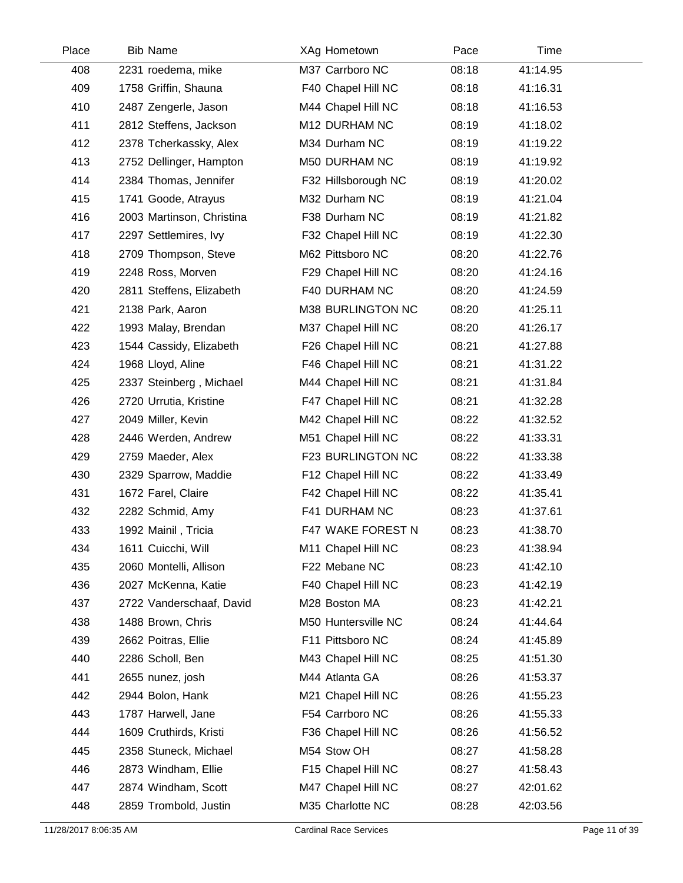| Place | <b>Bib Name</b>           | XAg Hometown        | Pace  | <b>Time</b> |  |
|-------|---------------------------|---------------------|-------|-------------|--|
| 408   | 2231 roedema, mike        | M37 Carrboro NC     | 08:18 | 41:14.95    |  |
| 409   | 1758 Griffin, Shauna      | F40 Chapel Hill NC  | 08:18 | 41:16.31    |  |
| 410   | 2487 Zengerle, Jason      | M44 Chapel Hill NC  | 08:18 | 41:16.53    |  |
| 411   | 2812 Steffens, Jackson    | M12 DURHAM NC       | 08:19 | 41:18.02    |  |
| 412   | 2378 Tcherkassky, Alex    | M34 Durham NC       | 08:19 | 41:19.22    |  |
| 413   | 2752 Dellinger, Hampton   | M50 DURHAM NC       | 08:19 | 41:19.92    |  |
| 414   | 2384 Thomas, Jennifer     | F32 Hillsborough NC | 08:19 | 41:20.02    |  |
| 415   | 1741 Goode, Atrayus       | M32 Durham NC       | 08:19 | 41:21.04    |  |
| 416   | 2003 Martinson, Christina | F38 Durham NC       | 08:19 | 41:21.82    |  |
| 417   | 2297 Settlemires, Ivy     | F32 Chapel Hill NC  | 08:19 | 41:22.30    |  |
| 418   | 2709 Thompson, Steve      | M62 Pittsboro NC    | 08:20 | 41:22.76    |  |
| 419   | 2248 Ross, Morven         | F29 Chapel Hill NC  | 08:20 | 41:24.16    |  |
| 420   | 2811 Steffens, Elizabeth  | F40 DURHAM NC       | 08:20 | 41:24.59    |  |
| 421   | 2138 Park, Aaron          | M38 BURLINGTON NC   | 08:20 | 41:25.11    |  |
| 422   | 1993 Malay, Brendan       | M37 Chapel Hill NC  | 08:20 | 41:26.17    |  |
| 423   | 1544 Cassidy, Elizabeth   | F26 Chapel Hill NC  | 08:21 | 41:27.88    |  |
| 424   | 1968 Lloyd, Aline         | F46 Chapel Hill NC  | 08:21 | 41:31.22    |  |
| 425   | 2337 Steinberg, Michael   | M44 Chapel Hill NC  | 08:21 | 41:31.84    |  |
| 426   | 2720 Urrutia, Kristine    | F47 Chapel Hill NC  | 08:21 | 41:32.28    |  |
| 427   | 2049 Miller, Kevin        | M42 Chapel Hill NC  | 08:22 | 41:32.52    |  |
| 428   | 2446 Werden, Andrew       | M51 Chapel Hill NC  | 08:22 | 41:33.31    |  |
| 429   | 2759 Maeder, Alex         | F23 BURLINGTON NC   | 08:22 | 41:33.38    |  |
| 430   | 2329 Sparrow, Maddie      | F12 Chapel Hill NC  | 08:22 | 41:33.49    |  |
| 431   | 1672 Farel, Claire        | F42 Chapel Hill NC  | 08:22 | 41:35.41    |  |
| 432   | 2282 Schmid, Amy          | F41 DURHAM NC       | 08:23 | 41:37.61    |  |
| 433   | 1992 Mainil, Tricia       | F47 WAKE FOREST N   | 08:23 | 41:38.70    |  |
| 434   | 1611 Cuicchi, Will        | M11 Chapel Hill NC  | 08:23 | 41:38.94    |  |
| 435   | 2060 Montelli, Allison    | F22 Mebane NC       | 08:23 | 41:42.10    |  |
| 436   | 2027 McKenna, Katie       | F40 Chapel Hill NC  | 08:23 | 41:42.19    |  |
| 437   | 2722 Vanderschaaf, David  | M28 Boston MA       | 08:23 | 41:42.21    |  |
| 438   | 1488 Brown, Chris         | M50 Huntersville NC | 08:24 | 41:44.64    |  |
| 439   | 2662 Poitras, Ellie       | F11 Pittsboro NC    | 08:24 | 41:45.89    |  |
| 440   | 2286 Scholl, Ben          | M43 Chapel Hill NC  | 08:25 | 41:51.30    |  |
| 441   | 2655 nunez, josh          | M44 Atlanta GA      | 08:26 | 41:53.37    |  |
| 442   | 2944 Bolon, Hank          | M21 Chapel Hill NC  | 08:26 | 41:55.23    |  |
| 443   | 1787 Harwell, Jane        | F54 Carrboro NC     | 08:26 | 41:55.33    |  |
| 444   | 1609 Cruthirds, Kristi    | F36 Chapel Hill NC  | 08:26 | 41:56.52    |  |
| 445   | 2358 Stuneck, Michael     | M54 Stow OH         | 08:27 | 41:58.28    |  |
| 446   | 2873 Windham, Ellie       | F15 Chapel Hill NC  | 08:27 | 41:58.43    |  |
| 447   | 2874 Windham, Scott       | M47 Chapel Hill NC  | 08:27 | 42:01.62    |  |
| 448   | 2859 Trombold, Justin     | M35 Charlotte NC    | 08:28 | 42:03.56    |  |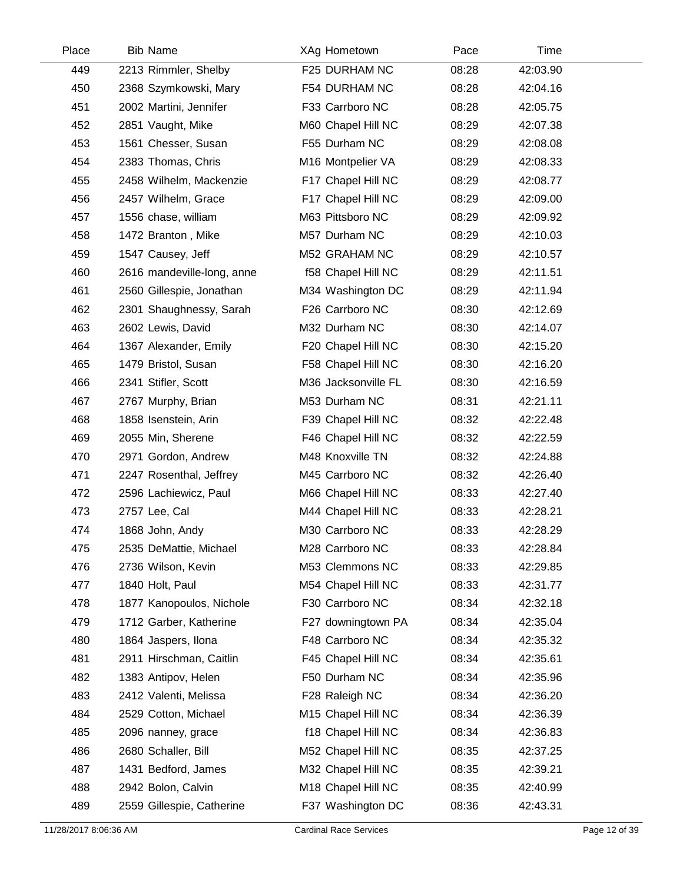| Place | <b>Bib Name</b>            | XAg Hometown        | Pace  | Time     |  |
|-------|----------------------------|---------------------|-------|----------|--|
| 449   | 2213 Rimmler, Shelby       | F25 DURHAM NC       | 08:28 | 42:03.90 |  |
| 450   | 2368 Szymkowski, Mary      | F54 DURHAM NC       | 08:28 | 42:04.16 |  |
| 451   | 2002 Martini, Jennifer     | F33 Carrboro NC     | 08:28 | 42:05.75 |  |
| 452   | 2851 Vaught, Mike          | M60 Chapel Hill NC  | 08:29 | 42:07.38 |  |
| 453   | 1561 Chesser, Susan        | F55 Durham NC       | 08:29 | 42:08.08 |  |
| 454   | 2383 Thomas, Chris         | M16 Montpelier VA   | 08:29 | 42:08.33 |  |
| 455   | 2458 Wilhelm, Mackenzie    | F17 Chapel Hill NC  | 08:29 | 42:08.77 |  |
| 456   | 2457 Wilhelm, Grace        | F17 Chapel Hill NC  | 08:29 | 42:09.00 |  |
| 457   | 1556 chase, william        | M63 Pittsboro NC    | 08:29 | 42:09.92 |  |
| 458   | 1472 Branton, Mike         | M57 Durham NC       | 08:29 | 42:10.03 |  |
| 459   | 1547 Causey, Jeff          | M52 GRAHAM NC       | 08:29 | 42:10.57 |  |
| 460   | 2616 mandeville-long, anne | f58 Chapel Hill NC  | 08:29 | 42:11.51 |  |
| 461   | 2560 Gillespie, Jonathan   | M34 Washington DC   | 08:29 | 42:11.94 |  |
| 462   | 2301 Shaughnessy, Sarah    | F26 Carrboro NC     | 08:30 | 42:12.69 |  |
| 463   | 2602 Lewis, David          | M32 Durham NC       | 08:30 | 42:14.07 |  |
| 464   | 1367 Alexander, Emily      | F20 Chapel Hill NC  | 08:30 | 42:15.20 |  |
| 465   | 1479 Bristol, Susan        | F58 Chapel Hill NC  | 08:30 | 42:16.20 |  |
| 466   | 2341 Stifler, Scott        | M36 Jacksonville FL | 08:30 | 42:16.59 |  |
| 467   | 2767 Murphy, Brian         | M53 Durham NC       | 08:31 | 42:21.11 |  |
| 468   | 1858 Isenstein, Arin       | F39 Chapel Hill NC  | 08:32 | 42:22.48 |  |
| 469   | 2055 Min, Sherene          | F46 Chapel Hill NC  | 08:32 | 42:22.59 |  |
| 470   | 2971 Gordon, Andrew        | M48 Knoxville TN    | 08:32 | 42:24.88 |  |
| 471   | 2247 Rosenthal, Jeffrey    | M45 Carrboro NC     | 08:32 | 42:26.40 |  |
| 472   | 2596 Lachiewicz, Paul      | M66 Chapel Hill NC  | 08:33 | 42:27.40 |  |
| 473   | 2757 Lee, Cal              | M44 Chapel Hill NC  | 08:33 | 42:28.21 |  |
| 474   | 1868 John, Andy            | M30 Carrboro NC     | 08:33 | 42:28.29 |  |
| 475   | 2535 DeMattie, Michael     | M28 Carrboro NC     | 08:33 | 42:28.84 |  |
| 476   | 2736 Wilson, Kevin         | M53 Clemmons NC     | 08:33 | 42:29.85 |  |
| 477   | 1840 Holt, Paul            | M54 Chapel Hill NC  | 08:33 | 42:31.77 |  |
| 478   | 1877 Kanopoulos, Nichole   | F30 Carrboro NC     | 08:34 | 42:32.18 |  |
| 479   | 1712 Garber, Katherine     | F27 downingtown PA  | 08:34 | 42:35.04 |  |
| 480   | 1864 Jaspers, Ilona        | F48 Carrboro NC     | 08:34 | 42:35.32 |  |
| 481   | 2911 Hirschman, Caitlin    | F45 Chapel Hill NC  | 08:34 | 42:35.61 |  |
| 482   | 1383 Antipov, Helen        | F50 Durham NC       | 08:34 | 42:35.96 |  |
| 483   | 2412 Valenti, Melissa      | F28 Raleigh NC      | 08:34 | 42:36.20 |  |
| 484   | 2529 Cotton, Michael       | M15 Chapel Hill NC  | 08:34 | 42:36.39 |  |
| 485   | 2096 nanney, grace         | f18 Chapel Hill NC  | 08:34 | 42:36.83 |  |
| 486   | 2680 Schaller, Bill        | M52 Chapel Hill NC  | 08:35 | 42:37.25 |  |
| 487   | 1431 Bedford, James        | M32 Chapel Hill NC  | 08:35 | 42:39.21 |  |
| 488   | 2942 Bolon, Calvin         | M18 Chapel Hill NC  | 08:35 | 42:40.99 |  |
| 489   | 2559 Gillespie, Catherine  | F37 Washington DC   | 08:36 | 42:43.31 |  |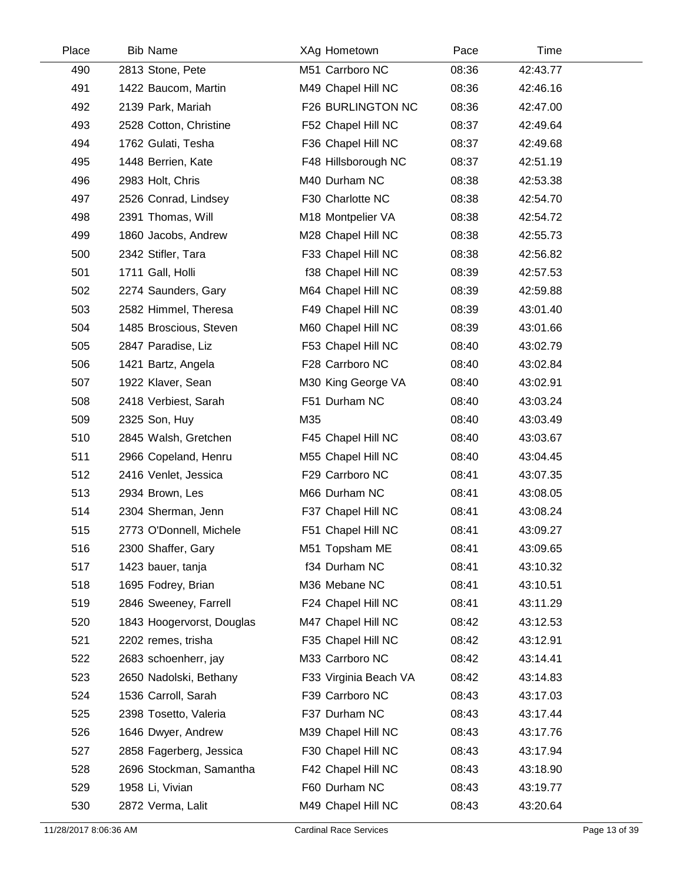| Place | <b>Bib Name</b>           | XAg Hometown          | Pace  | Time     |  |
|-------|---------------------------|-----------------------|-------|----------|--|
| 490   | 2813 Stone, Pete          | M51 Carrboro NC       | 08:36 | 42:43.77 |  |
| 491   | 1422 Baucom, Martin       | M49 Chapel Hill NC    | 08:36 | 42:46.16 |  |
| 492   | 2139 Park, Mariah         | F26 BURLINGTON NC     | 08:36 | 42:47.00 |  |
| 493   | 2528 Cotton, Christine    | F52 Chapel Hill NC    | 08:37 | 42:49.64 |  |
| 494   | 1762 Gulati, Tesha        | F36 Chapel Hill NC    | 08:37 | 42:49.68 |  |
| 495   | 1448 Berrien, Kate        | F48 Hillsborough NC   | 08:37 | 42:51.19 |  |
| 496   | 2983 Holt, Chris          | M40 Durham NC         | 08:38 | 42:53.38 |  |
| 497   | 2526 Conrad, Lindsey      | F30 Charlotte NC      | 08:38 | 42:54.70 |  |
| 498   | 2391 Thomas, Will         | M18 Montpelier VA     | 08:38 | 42:54.72 |  |
| 499   | 1860 Jacobs, Andrew       | M28 Chapel Hill NC    | 08:38 | 42:55.73 |  |
| 500   | 2342 Stifler, Tara        | F33 Chapel Hill NC    | 08:38 | 42:56.82 |  |
| 501   | 1711 Gall, Holli          | f38 Chapel Hill NC    | 08:39 | 42:57.53 |  |
| 502   | 2274 Saunders, Gary       | M64 Chapel Hill NC    | 08:39 | 42:59.88 |  |
| 503   | 2582 Himmel, Theresa      | F49 Chapel Hill NC    | 08:39 | 43:01.40 |  |
| 504   | 1485 Broscious, Steven    | M60 Chapel Hill NC    | 08:39 | 43:01.66 |  |
| 505   | 2847 Paradise, Liz        | F53 Chapel Hill NC    | 08:40 | 43:02.79 |  |
| 506   | 1421 Bartz, Angela        | F28 Carrboro NC       | 08:40 | 43:02.84 |  |
| 507   | 1922 Klaver, Sean         | M30 King George VA    | 08:40 | 43:02.91 |  |
| 508   | 2418 Verbiest, Sarah      | F51 Durham NC         | 08:40 | 43:03.24 |  |
| 509   | 2325 Son, Huy             | M35                   | 08:40 | 43:03.49 |  |
| 510   | 2845 Walsh, Gretchen      | F45 Chapel Hill NC    | 08:40 | 43:03.67 |  |
| 511   | 2966 Copeland, Henru      | M55 Chapel Hill NC    | 08:40 | 43:04.45 |  |
| 512   | 2416 Venlet, Jessica      | F29 Carrboro NC       | 08:41 | 43:07.35 |  |
| 513   | 2934 Brown, Les           | M66 Durham NC         | 08:41 | 43:08.05 |  |
| 514   | 2304 Sherman, Jenn        | F37 Chapel Hill NC    | 08:41 | 43:08.24 |  |
| 515   | 2773 O'Donnell, Michele   | F51 Chapel Hill NC    | 08:41 | 43:09.27 |  |
| 516   | 2300 Shaffer, Gary        | M51 Topsham ME        | 08:41 | 43:09.65 |  |
| 517   | 1423 bauer, tanja         | f34 Durham NC         | 08:41 | 43:10.32 |  |
| 518   | 1695 Fodrey, Brian        | M36 Mebane NC         | 08:41 | 43:10.51 |  |
| 519   | 2846 Sweeney, Farrell     | F24 Chapel Hill NC    | 08:41 | 43:11.29 |  |
| 520   | 1843 Hoogervorst, Douglas | M47 Chapel Hill NC    | 08:42 | 43:12.53 |  |
| 521   | 2202 remes, trisha        | F35 Chapel Hill NC    | 08:42 | 43:12.91 |  |
| 522   | 2683 schoenherr, jay      | M33 Carrboro NC       | 08:42 | 43:14.41 |  |
| 523   | 2650 Nadolski, Bethany    | F33 Virginia Beach VA | 08:42 | 43:14.83 |  |
| 524   | 1536 Carroll, Sarah       | F39 Carrboro NC       | 08:43 | 43:17.03 |  |
| 525   | 2398 Tosetto, Valeria     | F37 Durham NC         | 08:43 | 43:17.44 |  |
| 526   | 1646 Dwyer, Andrew        | M39 Chapel Hill NC    | 08:43 | 43:17.76 |  |
| 527   | 2858 Fagerberg, Jessica   | F30 Chapel Hill NC    | 08:43 | 43:17.94 |  |
| 528   | 2696 Stockman, Samantha   | F42 Chapel Hill NC    | 08:43 | 43:18.90 |  |
| 529   | 1958 Li, Vivian           | F60 Durham NC         | 08:43 | 43:19.77 |  |
| 530   | 2872 Verma, Lalit         | M49 Chapel Hill NC    | 08:43 | 43:20.64 |  |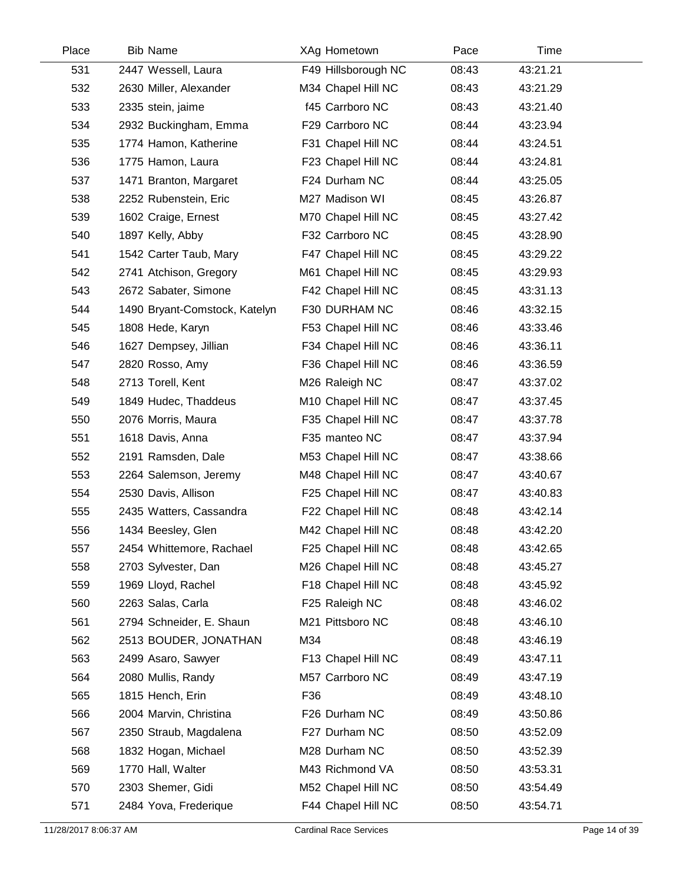| Place | <b>Bib Name</b>               | XAg Hometown        | Pace  | Time     |  |
|-------|-------------------------------|---------------------|-------|----------|--|
| 531   | 2447 Wessell, Laura           | F49 Hillsborough NC | 08:43 | 43:21.21 |  |
| 532   | 2630 Miller, Alexander        | M34 Chapel Hill NC  | 08:43 | 43:21.29 |  |
| 533   | 2335 stein, jaime             | f45 Carrboro NC     | 08:43 | 43:21.40 |  |
| 534   | 2932 Buckingham, Emma         | F29 Carrboro NC     | 08:44 | 43:23.94 |  |
| 535   | 1774 Hamon, Katherine         | F31 Chapel Hill NC  | 08:44 | 43:24.51 |  |
| 536   | 1775 Hamon, Laura             | F23 Chapel Hill NC  | 08:44 | 43:24.81 |  |
| 537   | 1471 Branton, Margaret        | F24 Durham NC       | 08:44 | 43:25.05 |  |
| 538   | 2252 Rubenstein, Eric         | M27 Madison WI      | 08:45 | 43:26.87 |  |
| 539   | 1602 Craige, Ernest           | M70 Chapel Hill NC  | 08:45 | 43:27.42 |  |
| 540   | 1897 Kelly, Abby              | F32 Carrboro NC     | 08:45 | 43:28.90 |  |
| 541   | 1542 Carter Taub, Mary        | F47 Chapel Hill NC  | 08:45 | 43:29.22 |  |
| 542   | 2741 Atchison, Gregory        | M61 Chapel Hill NC  | 08:45 | 43:29.93 |  |
| 543   | 2672 Sabater, Simone          | F42 Chapel Hill NC  | 08:45 | 43:31.13 |  |
| 544   | 1490 Bryant-Comstock, Katelyn | F30 DURHAM NC       | 08:46 | 43:32.15 |  |
| 545   | 1808 Hede, Karyn              | F53 Chapel Hill NC  | 08:46 | 43:33.46 |  |
| 546   | 1627 Dempsey, Jillian         | F34 Chapel Hill NC  | 08:46 | 43:36.11 |  |
| 547   | 2820 Rosso, Amy               | F36 Chapel Hill NC  | 08:46 | 43:36.59 |  |
| 548   | 2713 Torell, Kent             | M26 Raleigh NC      | 08:47 | 43:37.02 |  |
| 549   | 1849 Hudec, Thaddeus          | M10 Chapel Hill NC  | 08:47 | 43:37.45 |  |
| 550   | 2076 Morris, Maura            | F35 Chapel Hill NC  | 08:47 | 43:37.78 |  |
| 551   | 1618 Davis, Anna              | F35 manteo NC       | 08:47 | 43:37.94 |  |
| 552   | 2191 Ramsden, Dale            | M53 Chapel Hill NC  | 08:47 | 43:38.66 |  |
| 553   | 2264 Salemson, Jeremy         | M48 Chapel Hill NC  | 08:47 | 43:40.67 |  |
| 554   | 2530 Davis, Allison           | F25 Chapel Hill NC  | 08:47 | 43:40.83 |  |
| 555   | 2435 Watters, Cassandra       | F22 Chapel Hill NC  | 08:48 | 43:42.14 |  |
| 556   | 1434 Beesley, Glen            | M42 Chapel Hill NC  | 08:48 | 43:42.20 |  |
| 557   | 2454 Whittemore, Rachael      | F25 Chapel Hill NC  | 08:48 | 43:42.65 |  |
| 558   | 2703 Sylvester, Dan           | M26 Chapel Hill NC  | 08:48 | 43:45.27 |  |
| 559   | 1969 Lloyd, Rachel            | F18 Chapel Hill NC  | 08:48 | 43:45.92 |  |
| 560   | 2263 Salas, Carla             | F25 Raleigh NC      | 08:48 | 43:46.02 |  |
| 561   | 2794 Schneider, E. Shaun      | M21 Pittsboro NC    | 08:48 | 43:46.10 |  |
| 562   | 2513 BOUDER, JONATHAN         | M34                 | 08:48 | 43:46.19 |  |
| 563   | 2499 Asaro, Sawyer            | F13 Chapel Hill NC  | 08:49 | 43:47.11 |  |
| 564   | 2080 Mullis, Randy            | M57 Carrboro NC     | 08:49 | 43:47.19 |  |
| 565   | 1815 Hench, Erin              | F36                 | 08:49 | 43:48.10 |  |
| 566   | 2004 Marvin, Christina        | F26 Durham NC       | 08:49 | 43:50.86 |  |
| 567   | 2350 Straub, Magdalena        | F27 Durham NC       | 08:50 | 43:52.09 |  |
| 568   | 1832 Hogan, Michael           | M28 Durham NC       | 08:50 | 43:52.39 |  |
| 569   | 1770 Hall, Walter             | M43 Richmond VA     | 08:50 | 43:53.31 |  |
| 570   | 2303 Shemer, Gidi             | M52 Chapel Hill NC  | 08:50 | 43:54.49 |  |
| 571   | 2484 Yova, Frederique         | F44 Chapel Hill NC  | 08:50 | 43:54.71 |  |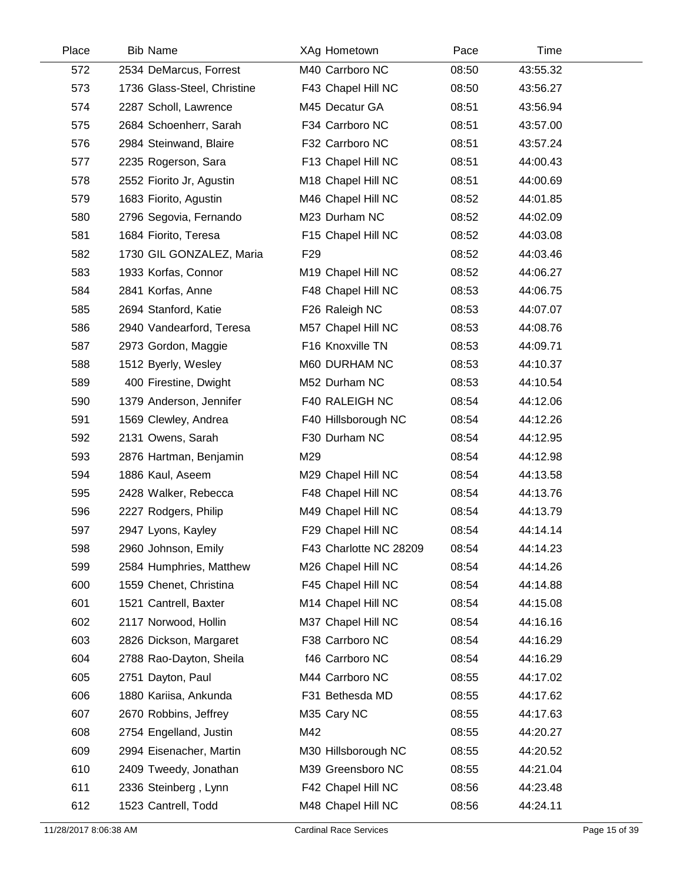| Place | <b>Bib Name</b>             | XAg Hometown           | Pace  | Time     |  |
|-------|-----------------------------|------------------------|-------|----------|--|
| 572   | 2534 DeMarcus, Forrest      | M40 Carrboro NC        | 08:50 | 43:55.32 |  |
| 573   | 1736 Glass-Steel, Christine | F43 Chapel Hill NC     | 08:50 | 43:56.27 |  |
| 574   | 2287 Scholl, Lawrence       | M45 Decatur GA         | 08:51 | 43:56.94 |  |
| 575   | 2684 Schoenherr, Sarah      | F34 Carrboro NC        | 08:51 | 43:57.00 |  |
| 576   | 2984 Steinwand, Blaire      | F32 Carrboro NC        | 08:51 | 43:57.24 |  |
| 577   | 2235 Rogerson, Sara         | F13 Chapel Hill NC     | 08:51 | 44:00.43 |  |
| 578   | 2552 Fiorito Jr, Agustin    | M18 Chapel Hill NC     | 08:51 | 44:00.69 |  |
| 579   | 1683 Fiorito, Agustin       | M46 Chapel Hill NC     | 08:52 | 44:01.85 |  |
| 580   | 2796 Segovia, Fernando      | M23 Durham NC          | 08:52 | 44:02.09 |  |
| 581   | 1684 Fiorito, Teresa        | F15 Chapel Hill NC     | 08:52 | 44:03.08 |  |
| 582   | 1730 GIL GONZALEZ, Maria    | F <sub>29</sub>        | 08:52 | 44:03.46 |  |
| 583   | 1933 Korfas, Connor         | M19 Chapel Hill NC     | 08:52 | 44:06.27 |  |
| 584   | 2841 Korfas, Anne           | F48 Chapel Hill NC     | 08:53 | 44:06.75 |  |
| 585   | 2694 Stanford, Katie        | F26 Raleigh NC         | 08:53 | 44:07.07 |  |
| 586   | 2940 Vandearford, Teresa    | M57 Chapel Hill NC     | 08:53 | 44:08.76 |  |
| 587   | 2973 Gordon, Maggie         | F16 Knoxville TN       | 08:53 | 44:09.71 |  |
| 588   | 1512 Byerly, Wesley         | M60 DURHAM NC          | 08:53 | 44:10.37 |  |
| 589   | 400 Firestine, Dwight       | M52 Durham NC          | 08:53 | 44:10.54 |  |
| 590   | 1379 Anderson, Jennifer     | F40 RALEIGH NC         | 08:54 | 44:12.06 |  |
| 591   | 1569 Clewley, Andrea        | F40 Hillsborough NC    | 08:54 | 44:12.26 |  |
| 592   | 2131 Owens, Sarah           | F30 Durham NC          | 08:54 | 44:12.95 |  |
| 593   | 2876 Hartman, Benjamin      | M29                    | 08:54 | 44:12.98 |  |
| 594   | 1886 Kaul, Aseem            | M29 Chapel Hill NC     | 08:54 | 44:13.58 |  |
| 595   | 2428 Walker, Rebecca        | F48 Chapel Hill NC     | 08:54 | 44:13.76 |  |
| 596   | 2227 Rodgers, Philip        | M49 Chapel Hill NC     | 08:54 | 44:13.79 |  |
| 597   | 2947 Lyons, Kayley          | F29 Chapel Hill NC     | 08:54 | 44:14.14 |  |
| 598   | 2960 Johnson, Emily         | F43 Charlotte NC 28209 | 08:54 | 44:14.23 |  |
| 599   | 2584 Humphries, Matthew     | M26 Chapel Hill NC     | 08:54 | 44:14.26 |  |
| 600   | 1559 Chenet, Christina      | F45 Chapel Hill NC     | 08:54 | 44:14.88 |  |
| 601   | 1521 Cantrell, Baxter       | M14 Chapel Hill NC     | 08:54 | 44:15.08 |  |
| 602   | 2117 Norwood, Hollin        | M37 Chapel Hill NC     | 08:54 | 44:16.16 |  |
| 603   | 2826 Dickson, Margaret      | F38 Carrboro NC        | 08:54 | 44:16.29 |  |
| 604   | 2788 Rao-Dayton, Sheila     | f46 Carrboro NC        | 08:54 | 44:16.29 |  |
| 605   | 2751 Dayton, Paul           | M44 Carrboro NC        | 08:55 | 44:17.02 |  |
| 606   | 1880 Kariisa, Ankunda       | F31 Bethesda MD        | 08:55 | 44:17.62 |  |
| 607   | 2670 Robbins, Jeffrey       | M35 Cary NC            | 08:55 | 44:17.63 |  |
| 608   | 2754 Engelland, Justin      | M42                    | 08:55 | 44:20.27 |  |
| 609   | 2994 Eisenacher, Martin     | M30 Hillsborough NC    | 08:55 | 44:20.52 |  |
| 610   | 2409 Tweedy, Jonathan       | M39 Greensboro NC      | 08:55 | 44:21.04 |  |
| 611   | 2336 Steinberg, Lynn        | F42 Chapel Hill NC     | 08:56 | 44:23.48 |  |
| 612   | 1523 Cantrell, Todd         | M48 Chapel Hill NC     | 08:56 | 44:24.11 |  |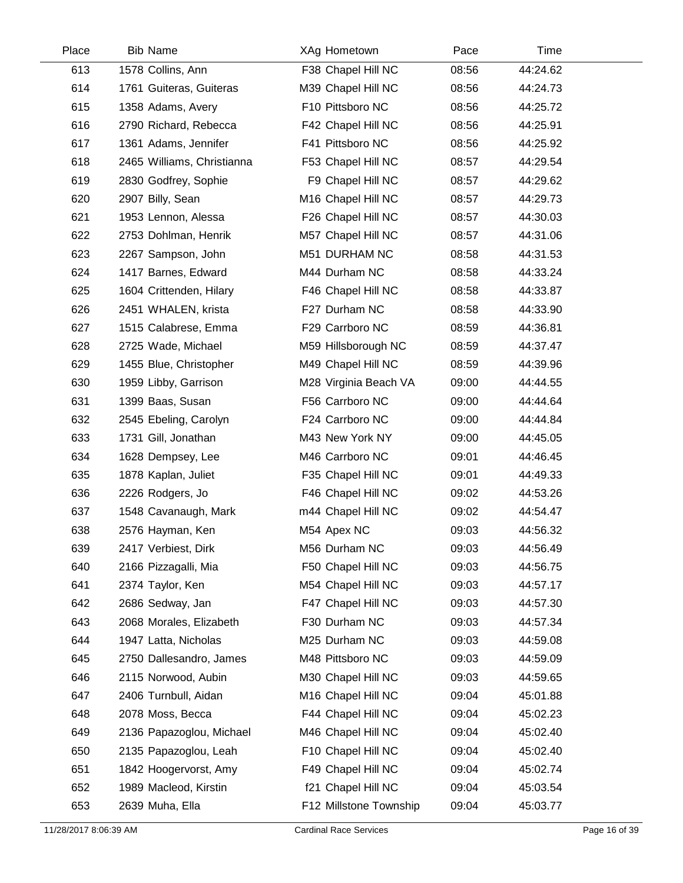| Place | <b>Bib Name</b>            | XAg Hometown           | Pace  | Time     |  |
|-------|----------------------------|------------------------|-------|----------|--|
| 613   | 1578 Collins, Ann          | F38 Chapel Hill NC     | 08:56 | 44:24.62 |  |
| 614   | 1761 Guiteras, Guiteras    | M39 Chapel Hill NC     | 08:56 | 44:24.73 |  |
| 615   | 1358 Adams, Avery          | F10 Pittsboro NC       | 08:56 | 44:25.72 |  |
| 616   | 2790 Richard, Rebecca      | F42 Chapel Hill NC     | 08:56 | 44:25.91 |  |
| 617   | 1361 Adams, Jennifer       | F41 Pittsboro NC       | 08:56 | 44:25.92 |  |
| 618   | 2465 Williams, Christianna | F53 Chapel Hill NC     | 08:57 | 44:29.54 |  |
| 619   | 2830 Godfrey, Sophie       | F9 Chapel Hill NC      | 08:57 | 44:29.62 |  |
| 620   | 2907 Billy, Sean           | M16 Chapel Hill NC     | 08:57 | 44:29.73 |  |
| 621   | 1953 Lennon, Alessa        | F26 Chapel Hill NC     | 08:57 | 44:30.03 |  |
| 622   | 2753 Dohlman, Henrik       | M57 Chapel Hill NC     | 08:57 | 44:31.06 |  |
| 623   | 2267 Sampson, John         | M51 DURHAM NC          | 08:58 | 44:31.53 |  |
| 624   | 1417 Barnes, Edward        | M44 Durham NC          | 08:58 | 44:33.24 |  |
| 625   | 1604 Crittenden, Hilary    | F46 Chapel Hill NC     | 08:58 | 44:33.87 |  |
| 626   | 2451 WHALEN, krista        | F27 Durham NC          | 08:58 | 44:33.90 |  |
| 627   | 1515 Calabrese, Emma       | F29 Carrboro NC        | 08:59 | 44:36.81 |  |
| 628   | 2725 Wade, Michael         | M59 Hillsborough NC    | 08:59 | 44:37.47 |  |
| 629   | 1455 Blue, Christopher     | M49 Chapel Hill NC     | 08:59 | 44:39.96 |  |
| 630   | 1959 Libby, Garrison       | M28 Virginia Beach VA  | 09:00 | 44:44.55 |  |
| 631   | 1399 Baas, Susan           | F56 Carrboro NC        | 09:00 | 44:44.64 |  |
| 632   | 2545 Ebeling, Carolyn      | F24 Carrboro NC        | 09:00 | 44:44.84 |  |
| 633   | 1731 Gill, Jonathan        | M43 New York NY        | 09:00 | 44:45.05 |  |
| 634   | 1628 Dempsey, Lee          | M46 Carrboro NC        | 09:01 | 44:46.45 |  |
| 635   | 1878 Kaplan, Juliet        | F35 Chapel Hill NC     | 09:01 | 44:49.33 |  |
| 636   | 2226 Rodgers, Jo           | F46 Chapel Hill NC     | 09:02 | 44:53.26 |  |
| 637   | 1548 Cavanaugh, Mark       | m44 Chapel Hill NC     | 09:02 | 44:54.47 |  |
| 638   | 2576 Hayman, Ken           | M54 Apex NC            | 09:03 | 44:56.32 |  |
| 639   | 2417 Verbiest, Dirk        | M56 Durham NC          | 09:03 | 44:56.49 |  |
| 640   | 2166 Pizzagalli, Mia       | F50 Chapel Hill NC     | 09:03 | 44:56.75 |  |
| 641   | 2374 Taylor, Ken           | M54 Chapel Hill NC     | 09:03 | 44:57.17 |  |
| 642   | 2686 Sedway, Jan           | F47 Chapel Hill NC     | 09:03 | 44:57.30 |  |
| 643   | 2068 Morales, Elizabeth    | F30 Durham NC          | 09:03 | 44:57.34 |  |
| 644   | 1947 Latta, Nicholas       | M25 Durham NC          | 09:03 | 44:59.08 |  |
| 645   | 2750 Dallesandro, James    | M48 Pittsboro NC       | 09:03 | 44:59.09 |  |
| 646   | 2115 Norwood, Aubin        | M30 Chapel Hill NC     | 09:03 | 44:59.65 |  |
| 647   | 2406 Turnbull, Aidan       | M16 Chapel Hill NC     | 09:04 | 45:01.88 |  |
| 648   | 2078 Moss, Becca           | F44 Chapel Hill NC     | 09:04 | 45:02.23 |  |
| 649   | 2136 Papazoglou, Michael   | M46 Chapel Hill NC     | 09:04 | 45:02.40 |  |
| 650   | 2135 Papazoglou, Leah      | F10 Chapel Hill NC     | 09:04 | 45:02.40 |  |
| 651   | 1842 Hoogervorst, Amy      | F49 Chapel Hill NC     | 09:04 | 45:02.74 |  |
| 652   | 1989 Macleod, Kirstin      | f21 Chapel Hill NC     | 09:04 | 45:03.54 |  |
| 653   | 2639 Muha, Ella            | F12 Millstone Township | 09:04 | 45:03.77 |  |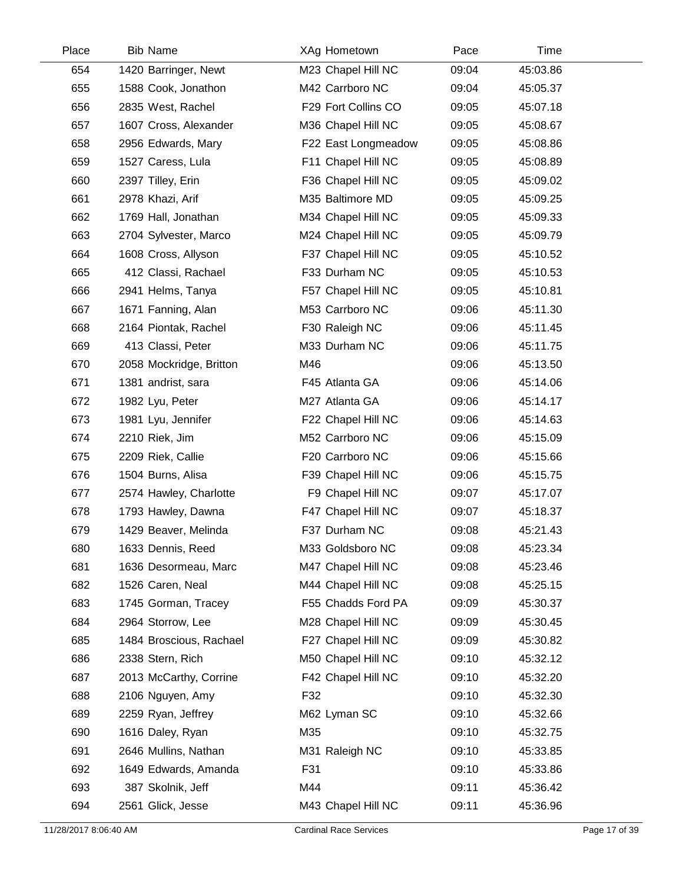| Place | <b>Bib Name</b>         | XAg Hometown        | Pace  | Time     |  |
|-------|-------------------------|---------------------|-------|----------|--|
| 654   | 1420 Barringer, Newt    | M23 Chapel Hill NC  | 09:04 | 45:03.86 |  |
| 655   | 1588 Cook, Jonathon     | M42 Carrboro NC     | 09:04 | 45:05.37 |  |
| 656   | 2835 West, Rachel       | F29 Fort Collins CO | 09:05 | 45:07.18 |  |
| 657   | 1607 Cross, Alexander   | M36 Chapel Hill NC  | 09:05 | 45:08.67 |  |
| 658   | 2956 Edwards, Mary      | F22 East Longmeadow | 09:05 | 45:08.86 |  |
| 659   | 1527 Caress, Lula       | F11 Chapel Hill NC  | 09:05 | 45:08.89 |  |
| 660   | 2397 Tilley, Erin       | F36 Chapel Hill NC  | 09:05 | 45:09.02 |  |
| 661   | 2978 Khazi, Arif        | M35 Baltimore MD    | 09:05 | 45:09.25 |  |
| 662   | 1769 Hall, Jonathan     | M34 Chapel Hill NC  | 09:05 | 45:09.33 |  |
| 663   | 2704 Sylvester, Marco   | M24 Chapel Hill NC  | 09:05 | 45:09.79 |  |
| 664   | 1608 Cross, Allyson     | F37 Chapel Hill NC  | 09:05 | 45:10.52 |  |
| 665   | 412 Classi, Rachael     | F33 Durham NC       | 09:05 | 45:10.53 |  |
| 666   | 2941 Helms, Tanya       | F57 Chapel Hill NC  | 09:05 | 45:10.81 |  |
| 667   | 1671 Fanning, Alan      | M53 Carrboro NC     | 09:06 | 45:11.30 |  |
| 668   | 2164 Piontak, Rachel    | F30 Raleigh NC      | 09:06 | 45:11.45 |  |
| 669   | 413 Classi, Peter       | M33 Durham NC       | 09:06 | 45:11.75 |  |
| 670   | 2058 Mockridge, Britton | M46                 | 09:06 | 45:13.50 |  |
| 671   | 1381 andrist, sara      | F45 Atlanta GA      | 09:06 | 45:14.06 |  |
| 672   | 1982 Lyu, Peter         | M27 Atlanta GA      | 09:06 | 45:14.17 |  |
| 673   | 1981 Lyu, Jennifer      | F22 Chapel Hill NC  | 09:06 | 45:14.63 |  |
| 674   | 2210 Riek, Jim          | M52 Carrboro NC     | 09:06 | 45:15.09 |  |
| 675   | 2209 Riek, Callie       | F20 Carrboro NC     | 09:06 | 45:15.66 |  |
| 676   | 1504 Burns, Alisa       | F39 Chapel Hill NC  | 09:06 | 45:15.75 |  |
| 677   | 2574 Hawley, Charlotte  | F9 Chapel Hill NC   | 09:07 | 45:17.07 |  |
| 678   | 1793 Hawley, Dawna      | F47 Chapel Hill NC  | 09:07 | 45:18.37 |  |
| 679   | 1429 Beaver, Melinda    | F37 Durham NC       | 09:08 | 45:21.43 |  |
| 680   | 1633 Dennis, Reed       | M33 Goldsboro NC    | 09:08 | 45:23.34 |  |
| 681   | 1636 Desormeau, Marc    | M47 Chapel Hill NC  | 09:08 | 45:23.46 |  |
| 682   | 1526 Caren, Neal        | M44 Chapel Hill NC  | 09:08 | 45:25.15 |  |
| 683   | 1745 Gorman, Tracey     | F55 Chadds Ford PA  | 09:09 | 45:30.37 |  |
| 684   | 2964 Storrow, Lee       | M28 Chapel Hill NC  | 09:09 | 45:30.45 |  |
| 685   | 1484 Broscious, Rachael | F27 Chapel Hill NC  | 09:09 | 45:30.82 |  |
| 686   | 2338 Stern, Rich        | M50 Chapel Hill NC  | 09:10 | 45:32.12 |  |
| 687   | 2013 McCarthy, Corrine  | F42 Chapel Hill NC  | 09:10 | 45:32.20 |  |
| 688   | 2106 Nguyen, Amy        | F32                 | 09:10 | 45:32.30 |  |
| 689   | 2259 Ryan, Jeffrey      | M62 Lyman SC        | 09:10 | 45:32.66 |  |
| 690   | 1616 Daley, Ryan        | M35                 | 09:10 | 45:32.75 |  |
| 691   | 2646 Mullins, Nathan    | M31 Raleigh NC      | 09:10 | 45:33.85 |  |
| 692   | 1649 Edwards, Amanda    | F31                 | 09:10 | 45:33.86 |  |
| 693   | 387 Skolnik, Jeff       | M44                 | 09:11 | 45:36.42 |  |
| 694   | 2561 Glick, Jesse       | M43 Chapel Hill NC  | 09:11 | 45:36.96 |  |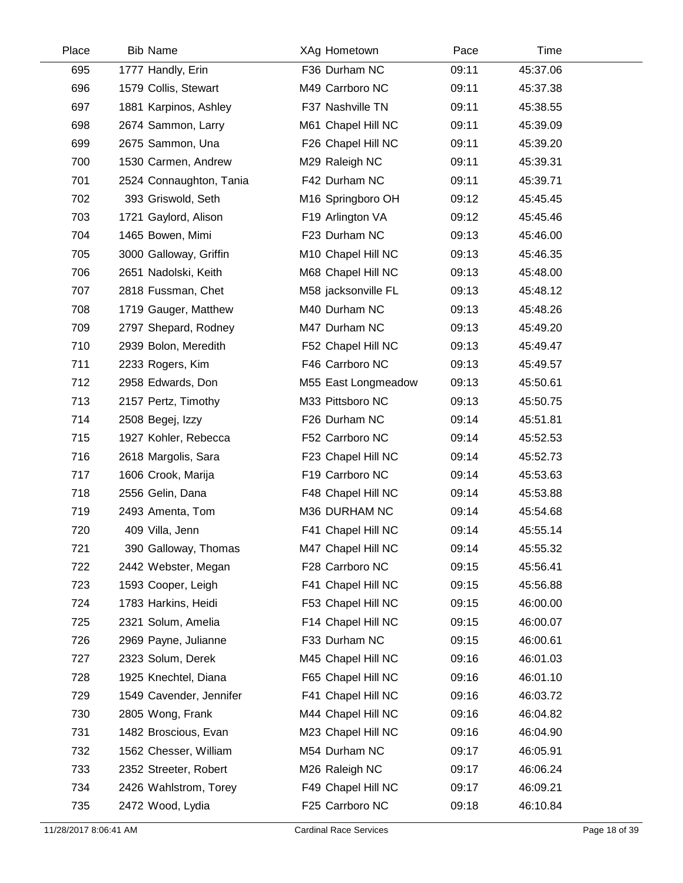| Place | <b>Bib Name</b>         | XAg Hometown        | Pace  | Time     |
|-------|-------------------------|---------------------|-------|----------|
| 695   | 1777 Handly, Erin       | F36 Durham NC       | 09:11 | 45:37.06 |
| 696   | 1579 Collis, Stewart    | M49 Carrboro NC     | 09:11 | 45:37.38 |
| 697   | 1881 Karpinos, Ashley   | F37 Nashville TN    | 09:11 | 45:38.55 |
| 698   | 2674 Sammon, Larry      | M61 Chapel Hill NC  | 09:11 | 45:39.09 |
| 699   | 2675 Sammon, Una        | F26 Chapel Hill NC  | 09:11 | 45:39.20 |
| 700   | 1530 Carmen, Andrew     | M29 Raleigh NC      | 09:11 | 45:39.31 |
| 701   | 2524 Connaughton, Tania | F42 Durham NC       | 09:11 | 45:39.71 |
| 702   | 393 Griswold, Seth      | M16 Springboro OH   | 09:12 | 45:45.45 |
| 703   | 1721 Gaylord, Alison    | F19 Arlington VA    | 09:12 | 45:45.46 |
| 704   | 1465 Bowen, Mimi        | F23 Durham NC       | 09:13 | 45:46.00 |
| 705   | 3000 Galloway, Griffin  | M10 Chapel Hill NC  | 09:13 | 45:46.35 |
| 706   | 2651 Nadolski, Keith    | M68 Chapel Hill NC  | 09:13 | 45:48.00 |
| 707   | 2818 Fussman, Chet      | M58 jacksonville FL | 09:13 | 45:48.12 |
| 708   | 1719 Gauger, Matthew    | M40 Durham NC       | 09:13 | 45:48.26 |
| 709   | 2797 Shepard, Rodney    | M47 Durham NC       | 09:13 | 45:49.20 |
| 710   | 2939 Bolon, Meredith    | F52 Chapel Hill NC  | 09:13 | 45:49.47 |
| 711   | 2233 Rogers, Kim        | F46 Carrboro NC     | 09:13 | 45:49.57 |
| 712   | 2958 Edwards, Don       | M55 East Longmeadow | 09:13 | 45:50.61 |
| 713   | 2157 Pertz, Timothy     | M33 Pittsboro NC    | 09:13 | 45:50.75 |
| 714   | 2508 Begej, Izzy        | F26 Durham NC       | 09:14 | 45:51.81 |
| 715   | 1927 Kohler, Rebecca    | F52 Carrboro NC     | 09:14 | 45:52.53 |
| 716   | 2618 Margolis, Sara     | F23 Chapel Hill NC  | 09:14 | 45:52.73 |
| 717   | 1606 Crook, Marija      | F19 Carrboro NC     | 09:14 | 45:53.63 |
| 718   | 2556 Gelin, Dana        | F48 Chapel Hill NC  | 09:14 | 45:53.88 |
| 719   | 2493 Amenta, Tom        | M36 DURHAM NC       | 09:14 | 45:54.68 |
| 720   | 409 Villa, Jenn         | F41 Chapel Hill NC  | 09:14 | 45:55.14 |
| 721   | 390 Galloway, Thomas    | M47 Chapel Hill NC  | 09:14 | 45:55.32 |
| 722   | 2442 Webster, Megan     | F28 Carrboro NC     | 09:15 | 45:56.41 |
| 723   | 1593 Cooper, Leigh      | F41 Chapel Hill NC  | 09:15 | 45:56.88 |
| 724   | 1783 Harkins, Heidi     | F53 Chapel Hill NC  | 09:15 | 46:00.00 |
| 725   | 2321 Solum, Amelia      | F14 Chapel Hill NC  | 09:15 | 46:00.07 |
| 726   | 2969 Payne, Julianne    | F33 Durham NC       | 09:15 | 46:00.61 |
| 727   | 2323 Solum, Derek       | M45 Chapel Hill NC  | 09:16 | 46:01.03 |
| 728   | 1925 Knechtel, Diana    | F65 Chapel Hill NC  | 09:16 | 46:01.10 |
| 729   | 1549 Cavender, Jennifer | F41 Chapel Hill NC  | 09:16 | 46:03.72 |
| 730   | 2805 Wong, Frank        | M44 Chapel Hill NC  | 09:16 | 46:04.82 |
| 731   | 1482 Broscious, Evan    | M23 Chapel Hill NC  | 09:16 | 46:04.90 |
| 732   | 1562 Chesser, William   | M54 Durham NC       | 09:17 | 46:05.91 |
| 733   | 2352 Streeter, Robert   | M26 Raleigh NC      | 09:17 | 46:06.24 |
| 734   | 2426 Wahlstrom, Torey   | F49 Chapel Hill NC  | 09:17 | 46:09.21 |
| 735   | 2472 Wood, Lydia        | F25 Carrboro NC     | 09:18 | 46:10.84 |
|       |                         |                     |       |          |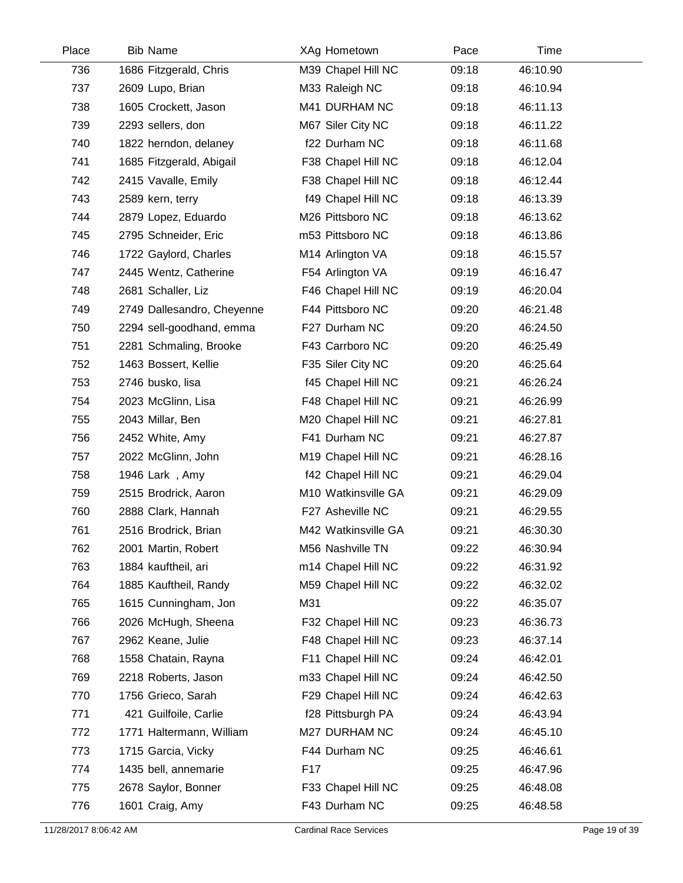| Place | <b>Bib Name</b>            | XAg Hometown        | Pace  | Time     |  |
|-------|----------------------------|---------------------|-------|----------|--|
| 736   | 1686 Fitzgerald, Chris     | M39 Chapel Hill NC  | 09:18 | 46:10.90 |  |
| 737   | 2609 Lupo, Brian           | M33 Raleigh NC      | 09:18 | 46:10.94 |  |
| 738   | 1605 Crockett, Jason       | M41 DURHAM NC       | 09:18 | 46:11.13 |  |
| 739   | 2293 sellers, don          | M67 Siler City NC   | 09:18 | 46:11.22 |  |
| 740   | 1822 herndon, delaney      | f22 Durham NC       | 09:18 | 46:11.68 |  |
| 741   | 1685 Fitzgerald, Abigail   | F38 Chapel Hill NC  | 09:18 | 46:12.04 |  |
| 742   | 2415 Vavalle, Emily        | F38 Chapel Hill NC  | 09:18 | 46:12.44 |  |
| 743   | 2589 kern, terry           | f49 Chapel Hill NC  | 09:18 | 46:13.39 |  |
| 744   | 2879 Lopez, Eduardo        | M26 Pittsboro NC    | 09:18 | 46:13.62 |  |
| 745   | 2795 Schneider, Eric       | m53 Pittsboro NC    | 09:18 | 46:13.86 |  |
| 746   | 1722 Gaylord, Charles      | M14 Arlington VA    | 09:18 | 46:15.57 |  |
| 747   | 2445 Wentz, Catherine      | F54 Arlington VA    | 09:19 | 46:16.47 |  |
| 748   | 2681 Schaller, Liz         | F46 Chapel Hill NC  | 09:19 | 46:20.04 |  |
| 749   | 2749 Dallesandro, Cheyenne | F44 Pittsboro NC    | 09:20 | 46:21.48 |  |
| 750   | 2294 sell-goodhand, emma   | F27 Durham NC       | 09:20 | 46:24.50 |  |
| 751   | 2281 Schmaling, Brooke     | F43 Carrboro NC     | 09:20 | 46:25.49 |  |
| 752   | 1463 Bossert, Kellie       | F35 Siler City NC   | 09:20 | 46:25.64 |  |
| 753   | 2746 busko, lisa           | f45 Chapel Hill NC  | 09:21 | 46:26.24 |  |
| 754   | 2023 McGlinn, Lisa         | F48 Chapel Hill NC  | 09:21 | 46:26.99 |  |
| 755   | 2043 Millar, Ben           | M20 Chapel Hill NC  | 09:21 | 46:27.81 |  |
| 756   | 2452 White, Amy            | F41 Durham NC       | 09:21 | 46:27.87 |  |
| 757   | 2022 McGlinn, John         | M19 Chapel Hill NC  | 09:21 | 46:28.16 |  |
| 758   | 1946 Lark, Amy             | f42 Chapel Hill NC  | 09:21 | 46:29.04 |  |
| 759   | 2515 Brodrick, Aaron       | M10 Watkinsville GA | 09:21 | 46:29.09 |  |
| 760   | 2888 Clark, Hannah         | F27 Asheville NC    | 09:21 | 46:29.55 |  |
| 761   | 2516 Brodrick, Brian       | M42 Watkinsville GA | 09:21 | 46:30.30 |  |
| 762   | 2001 Martin, Robert        | M56 Nashville TN    | 09:22 | 46:30.94 |  |
| 763   | 1884 kauftheil, ari        | m14 Chapel Hill NC  | 09:22 | 46:31.92 |  |
| 764   | 1885 Kauftheil, Randy      | M59 Chapel Hill NC  | 09:22 | 46:32.02 |  |
| 765   | 1615 Cunningham, Jon       | M31                 | 09:22 | 46:35.07 |  |
| 766   | 2026 McHugh, Sheena        | F32 Chapel Hill NC  | 09:23 | 46:36.73 |  |
| 767   | 2962 Keane, Julie          | F48 Chapel Hill NC  | 09:23 | 46:37.14 |  |
| 768   | 1558 Chatain, Rayna        | F11 Chapel Hill NC  | 09:24 | 46:42.01 |  |
| 769   | 2218 Roberts, Jason        | m33 Chapel Hill NC  | 09:24 | 46:42.50 |  |
| 770   | 1756 Grieco, Sarah         | F29 Chapel Hill NC  | 09:24 | 46:42.63 |  |
| 771   | 421 Guilfoile, Carlie      | f28 Pittsburgh PA   | 09:24 | 46:43.94 |  |
| 772   | 1771 Haltermann, William   | M27 DURHAM NC       | 09:24 | 46:45.10 |  |
| 773   | 1715 Garcia, Vicky         | F44 Durham NC       | 09:25 | 46:46.61 |  |
| 774   | 1435 bell, annemarie       | F17                 | 09:25 | 46:47.96 |  |
| 775   | 2678 Saylor, Bonner        | F33 Chapel Hill NC  | 09:25 | 46:48.08 |  |
| 776   | 1601 Craig, Amy            | F43 Durham NC       | 09:25 | 46:48.58 |  |
|       |                            |                     |       |          |  |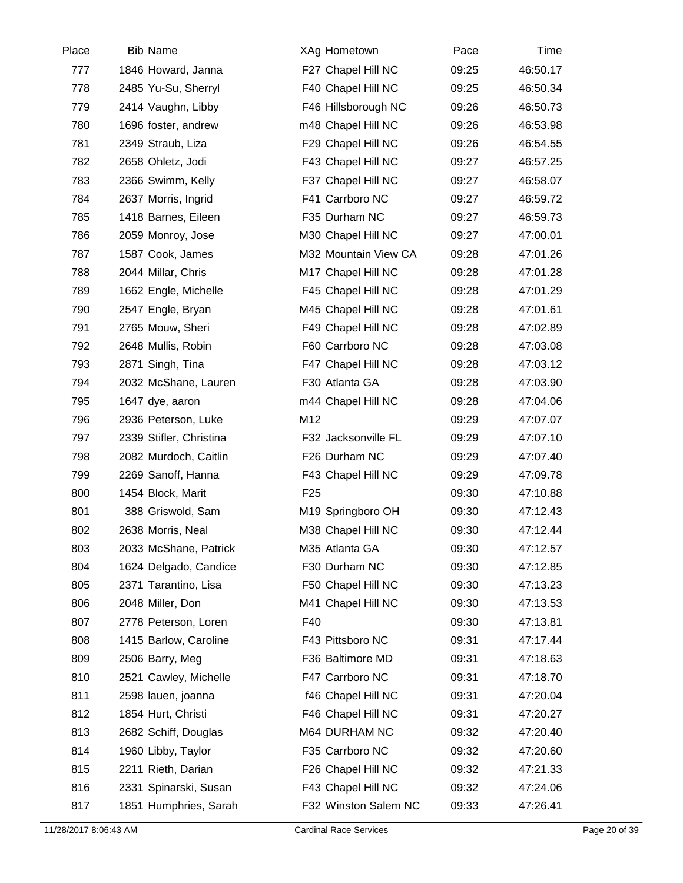| Place | <b>Bib Name</b>         | XAg Hometown         | Pace  | Time     |  |
|-------|-------------------------|----------------------|-------|----------|--|
| 777   | 1846 Howard, Janna      | F27 Chapel Hill NC   | 09:25 | 46:50.17 |  |
| 778   | 2485 Yu-Su, Sherryl     | F40 Chapel Hill NC   | 09:25 | 46:50.34 |  |
| 779   | 2414 Vaughn, Libby      | F46 Hillsborough NC  | 09:26 | 46:50.73 |  |
| 780   | 1696 foster, andrew     | m48 Chapel Hill NC   | 09:26 | 46:53.98 |  |
| 781   | 2349 Straub, Liza       | F29 Chapel Hill NC   | 09:26 | 46:54.55 |  |
| 782   | 2658 Ohletz, Jodi       | F43 Chapel Hill NC   | 09:27 | 46:57.25 |  |
| 783   | 2366 Swimm, Kelly       | F37 Chapel Hill NC   | 09:27 | 46:58.07 |  |
| 784   | 2637 Morris, Ingrid     | F41 Carrboro NC      | 09:27 | 46:59.72 |  |
| 785   | 1418 Barnes, Eileen     | F35 Durham NC        | 09:27 | 46:59.73 |  |
| 786   | 2059 Monroy, Jose       | M30 Chapel Hill NC   | 09:27 | 47:00.01 |  |
| 787   | 1587 Cook, James        | M32 Mountain View CA | 09:28 | 47:01.26 |  |
| 788   | 2044 Millar, Chris      | M17 Chapel Hill NC   | 09:28 | 47:01.28 |  |
| 789   | 1662 Engle, Michelle    | F45 Chapel Hill NC   | 09:28 | 47:01.29 |  |
| 790   | 2547 Engle, Bryan       | M45 Chapel Hill NC   | 09:28 | 47:01.61 |  |
| 791   | 2765 Mouw, Sheri        | F49 Chapel Hill NC   | 09:28 | 47:02.89 |  |
| 792   | 2648 Mullis, Robin      | F60 Carrboro NC      | 09:28 | 47:03.08 |  |
| 793   | 2871 Singh, Tina        | F47 Chapel Hill NC   | 09:28 | 47:03.12 |  |
| 794   | 2032 McShane, Lauren    | F30 Atlanta GA       | 09:28 | 47:03.90 |  |
| 795   | 1647 dye, aaron         | m44 Chapel Hill NC   | 09:28 | 47:04.06 |  |
| 796   | 2936 Peterson, Luke     | M12                  | 09:29 | 47:07.07 |  |
| 797   | 2339 Stifler, Christina | F32 Jacksonville FL  | 09:29 | 47:07.10 |  |
| 798   | 2082 Murdoch, Caitlin   | F26 Durham NC        | 09:29 | 47:07.40 |  |
| 799   | 2269 Sanoff, Hanna      | F43 Chapel Hill NC   | 09:29 | 47:09.78 |  |
| 800   | 1454 Block, Marit       | F <sub>25</sub>      | 09:30 | 47:10.88 |  |
| 801   | 388 Griswold, Sam       | M19 Springboro OH    | 09:30 | 47:12.43 |  |
| 802   | 2638 Morris, Neal       | M38 Chapel Hill NC   | 09:30 | 47:12.44 |  |
| 803   | 2033 McShane, Patrick   | M35 Atlanta GA       | 09:30 | 47:12.57 |  |
| 804   | 1624 Delgado, Candice   | F30 Durham NC        | 09:30 | 47:12.85 |  |
| 805   | 2371 Tarantino, Lisa    | F50 Chapel Hill NC   | 09:30 | 47:13.23 |  |
| 806   | 2048 Miller, Don        | M41 Chapel Hill NC   | 09:30 | 47:13.53 |  |
| 807   | 2778 Peterson, Loren    | F40                  | 09:30 | 47:13.81 |  |
| 808   | 1415 Barlow, Caroline   | F43 Pittsboro NC     | 09:31 | 47:17.44 |  |
| 809   | 2506 Barry, Meg         | F36 Baltimore MD     | 09:31 | 47:18.63 |  |
| 810   | 2521 Cawley, Michelle   | F47 Carrboro NC      | 09:31 | 47:18.70 |  |
| 811   | 2598 lauen, joanna      | f46 Chapel Hill NC   | 09:31 | 47:20.04 |  |
| 812   | 1854 Hurt, Christi      | F46 Chapel Hill NC   | 09:31 | 47:20.27 |  |
| 813   | 2682 Schiff, Douglas    | M64 DURHAM NC        | 09:32 | 47:20.40 |  |
| 814   | 1960 Libby, Taylor      | F35 Carrboro NC      | 09:32 | 47:20.60 |  |
| 815   | 2211 Rieth, Darian      | F26 Chapel Hill NC   | 09:32 | 47:21.33 |  |
| 816   | 2331 Spinarski, Susan   | F43 Chapel Hill NC   | 09:32 | 47:24.06 |  |
| 817   | 1851 Humphries, Sarah   | F32 Winston Salem NC | 09:33 | 47:26.41 |  |
|       |                         |                      |       |          |  |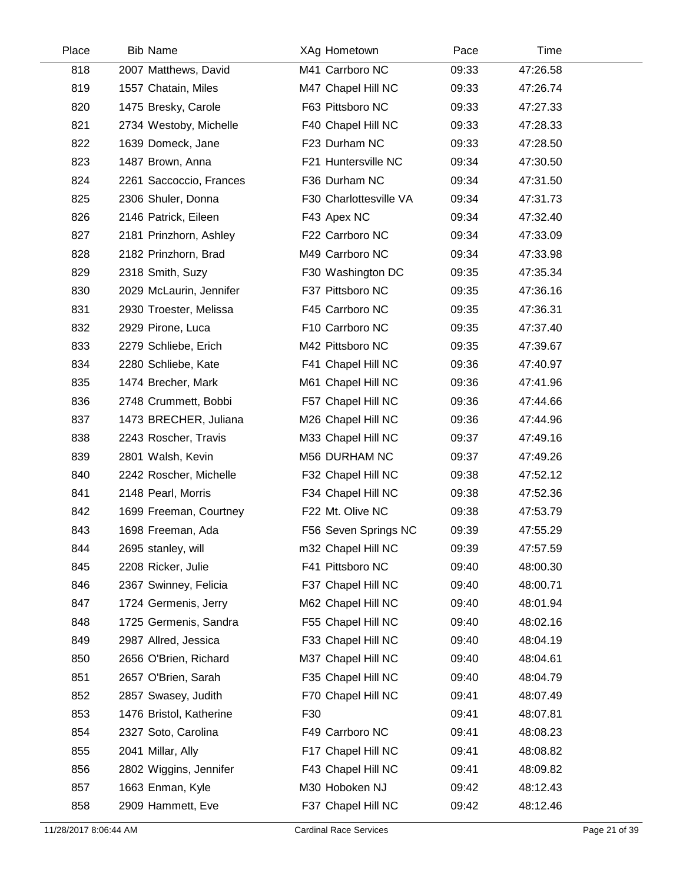| Place | <b>Bib Name</b>         | XAg Hometown           | Pace  | Time     |
|-------|-------------------------|------------------------|-------|----------|
| 818   | 2007 Matthews, David    | M41 Carrboro NC        | 09:33 | 47:26.58 |
| 819   | 1557 Chatain, Miles     | M47 Chapel Hill NC     | 09:33 | 47:26.74 |
| 820   | 1475 Bresky, Carole     | F63 Pittsboro NC       | 09:33 | 47:27.33 |
| 821   | 2734 Westoby, Michelle  | F40 Chapel Hill NC     | 09:33 | 47:28.33 |
| 822   | 1639 Domeck, Jane       | F23 Durham NC          | 09:33 | 47:28.50 |
| 823   | 1487 Brown, Anna        | F21 Huntersville NC    | 09:34 | 47:30.50 |
| 824   | 2261 Saccoccio, Frances | F36 Durham NC          | 09:34 | 47:31.50 |
| 825   | 2306 Shuler, Donna      | F30 Charlottesville VA | 09:34 | 47:31.73 |
| 826   | 2146 Patrick, Eileen    | F43 Apex NC            | 09:34 | 47:32.40 |
| 827   | 2181 Prinzhorn, Ashley  | F22 Carrboro NC        | 09:34 | 47:33.09 |
| 828   | 2182 Prinzhorn, Brad    | M49 Carrboro NC        | 09:34 | 47:33.98 |
| 829   | 2318 Smith, Suzy        | F30 Washington DC      | 09:35 | 47:35.34 |
| 830   | 2029 McLaurin, Jennifer | F37 Pittsboro NC       | 09:35 | 47:36.16 |
| 831   | 2930 Troester, Melissa  | F45 Carrboro NC        | 09:35 | 47:36.31 |
| 832   | 2929 Pirone, Luca       | F10 Carrboro NC        | 09:35 | 47:37.40 |
| 833   | 2279 Schliebe, Erich    | M42 Pittsboro NC       | 09:35 | 47:39.67 |
| 834   | 2280 Schliebe, Kate     | F41 Chapel Hill NC     | 09:36 | 47:40.97 |
| 835   | 1474 Brecher, Mark      | M61 Chapel Hill NC     | 09:36 | 47:41.96 |
| 836   | 2748 Crummett, Bobbi    | F57 Chapel Hill NC     | 09:36 | 47:44.66 |
| 837   | 1473 BRECHER, Juliana   | M26 Chapel Hill NC     | 09:36 | 47:44.96 |
| 838   | 2243 Roscher, Travis    | M33 Chapel Hill NC     | 09:37 | 47:49.16 |
| 839   | 2801 Walsh, Kevin       | M56 DURHAM NC          | 09:37 | 47:49.26 |
| 840   | 2242 Roscher, Michelle  | F32 Chapel Hill NC     | 09:38 | 47:52.12 |
| 841   | 2148 Pearl, Morris      | F34 Chapel Hill NC     | 09:38 | 47:52.36 |
| 842   | 1699 Freeman, Courtney  | F22 Mt. Olive NC       | 09:38 | 47:53.79 |
| 843   | 1698 Freeman, Ada       | F56 Seven Springs NC   | 09:39 | 47:55.29 |
| 844   | 2695 stanley, will      | m32 Chapel Hill NC     | 09:39 | 47:57.59 |
| 845   | 2208 Ricker, Julie      | F41 Pittsboro NC       | 09:40 | 48:00.30 |
| 846   | 2367 Swinney, Felicia   | F37 Chapel Hill NC     | 09:40 | 48:00.71 |
| 847   | 1724 Germenis, Jerry    | M62 Chapel Hill NC     | 09:40 | 48:01.94 |
| 848   | 1725 Germenis, Sandra   | F55 Chapel Hill NC     | 09:40 | 48:02.16 |
| 849   | 2987 Allred, Jessica    | F33 Chapel Hill NC     | 09:40 | 48:04.19 |
| 850   | 2656 O'Brien, Richard   | M37 Chapel Hill NC     | 09:40 | 48:04.61 |
| 851   | 2657 O'Brien, Sarah     | F35 Chapel Hill NC     | 09:40 | 48:04.79 |
| 852   | 2857 Swasey, Judith     | F70 Chapel Hill NC     | 09:41 | 48:07.49 |
| 853   | 1476 Bristol, Katherine | F30                    | 09:41 | 48:07.81 |
| 854   | 2327 Soto, Carolina     | F49 Carrboro NC        | 09:41 | 48:08.23 |
| 855   | 2041 Millar, Ally       | F17 Chapel Hill NC     | 09:41 | 48:08.82 |
| 856   | 2802 Wiggins, Jennifer  | F43 Chapel Hill NC     | 09:41 | 48:09.82 |
| 857   | 1663 Enman, Kyle        | M30 Hoboken NJ         | 09:42 | 48:12.43 |
| 858   | 2909 Hammett, Eve       | F37 Chapel Hill NC     | 09:42 | 48:12.46 |
|       |                         |                        |       |          |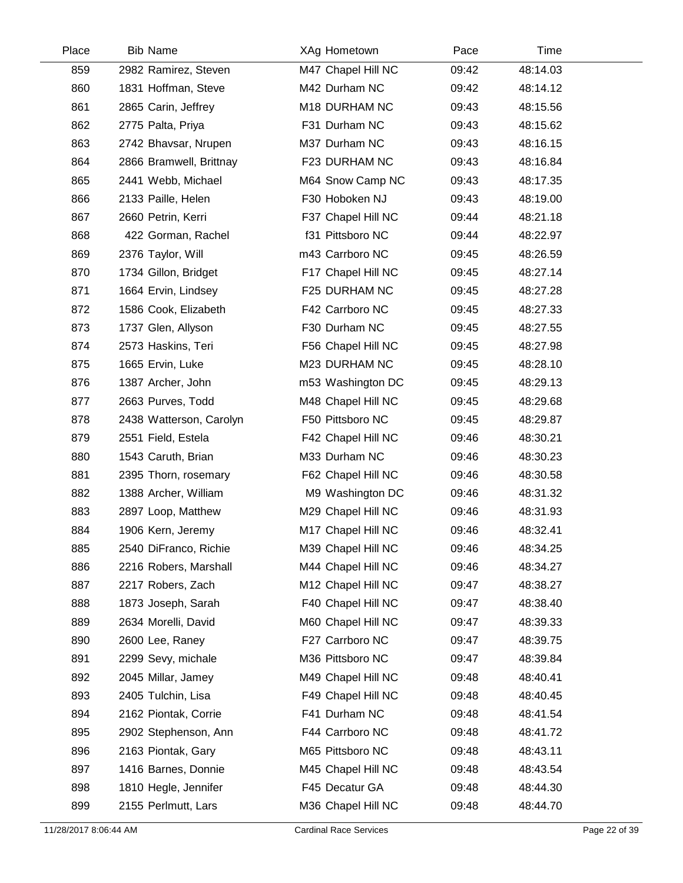| Place | <b>Bib Name</b>         | XAg Hometown       | Pace  | Time     |
|-------|-------------------------|--------------------|-------|----------|
| 859   | 2982 Ramirez, Steven    | M47 Chapel Hill NC | 09:42 | 48:14.03 |
| 860   | 1831 Hoffman, Steve     | M42 Durham NC      | 09:42 | 48:14.12 |
| 861   | 2865 Carin, Jeffrey     | M18 DURHAM NC      | 09:43 | 48:15.56 |
| 862   | 2775 Palta, Priya       | F31 Durham NC      | 09:43 | 48:15.62 |
| 863   | 2742 Bhavsar, Nrupen    | M37 Durham NC      | 09:43 | 48:16.15 |
| 864   | 2866 Bramwell, Brittnay | F23 DURHAM NC      | 09:43 | 48:16.84 |
| 865   | 2441 Webb, Michael      | M64 Snow Camp NC   | 09:43 | 48:17.35 |
| 866   | 2133 Paille, Helen      | F30 Hoboken NJ     | 09:43 | 48:19.00 |
| 867   | 2660 Petrin, Kerri      | F37 Chapel Hill NC | 09:44 | 48:21.18 |
| 868   | 422 Gorman, Rachel      | f31 Pittsboro NC   | 09:44 | 48:22.97 |
| 869   | 2376 Taylor, Will       | m43 Carrboro NC    | 09:45 | 48:26.59 |
| 870   | 1734 Gillon, Bridget    | F17 Chapel Hill NC | 09:45 | 48:27.14 |
| 871   | 1664 Ervin, Lindsey     | F25 DURHAM NC      | 09:45 | 48:27.28 |
| 872   | 1586 Cook, Elizabeth    | F42 Carrboro NC    | 09:45 | 48:27.33 |
| 873   | 1737 Glen, Allyson      | F30 Durham NC      | 09:45 | 48:27.55 |
| 874   | 2573 Haskins, Teri      | F56 Chapel Hill NC | 09:45 | 48:27.98 |
| 875   | 1665 Ervin, Luke        | M23 DURHAM NC      | 09:45 | 48:28.10 |
| 876   | 1387 Archer, John       | m53 Washington DC  | 09:45 | 48:29.13 |
| 877   | 2663 Purves, Todd       | M48 Chapel Hill NC | 09:45 | 48:29.68 |
| 878   | 2438 Watterson, Carolyn | F50 Pittsboro NC   | 09:45 | 48:29.87 |
| 879   | 2551 Field, Estela      | F42 Chapel Hill NC | 09:46 | 48:30.21 |
| 880   | 1543 Caruth, Brian      | M33 Durham NC      | 09:46 | 48:30.23 |
| 881   | 2395 Thorn, rosemary    | F62 Chapel Hill NC | 09:46 | 48:30.58 |
| 882   | 1388 Archer, William    | M9 Washington DC   | 09:46 | 48:31.32 |
| 883   | 2897 Loop, Matthew      | M29 Chapel Hill NC | 09:46 | 48:31.93 |
| 884   | 1906 Kern, Jeremy       | M17 Chapel Hill NC | 09:46 | 48:32.41 |
| 885   | 2540 DiFranco, Richie   | M39 Chapel Hill NC | 09:46 | 48:34.25 |
| 886   | 2216 Robers, Marshall   | M44 Chapel Hill NC | 09:46 | 48:34.27 |
| 887   | 2217 Robers, Zach       | M12 Chapel Hill NC | 09:47 | 48:38.27 |
| 888   | 1873 Joseph, Sarah      | F40 Chapel Hill NC | 09:47 | 48:38.40 |
| 889   | 2634 Morelli, David     | M60 Chapel Hill NC | 09:47 | 48:39.33 |
| 890   | 2600 Lee, Raney         | F27 Carrboro NC    | 09:47 | 48:39.75 |
| 891   | 2299 Sevy, michale      | M36 Pittsboro NC   | 09:47 | 48:39.84 |
| 892   | 2045 Millar, Jamey      | M49 Chapel Hill NC | 09:48 | 48:40.41 |
| 893   | 2405 Tulchin, Lisa      | F49 Chapel Hill NC | 09:48 | 48:40.45 |
| 894   | 2162 Piontak, Corrie    | F41 Durham NC      | 09:48 | 48:41.54 |
| 895   | 2902 Stephenson, Ann    | F44 Carrboro NC    | 09:48 | 48:41.72 |
| 896   | 2163 Piontak, Gary      | M65 Pittsboro NC   | 09:48 | 48:43.11 |
| 897   | 1416 Barnes, Donnie     | M45 Chapel Hill NC | 09:48 | 48:43.54 |
| 898   | 1810 Hegle, Jennifer    | F45 Decatur GA     | 09:48 | 48:44.30 |
| 899   | 2155 Perlmutt, Lars     | M36 Chapel Hill NC | 09:48 | 48:44.70 |
|       |                         |                    |       |          |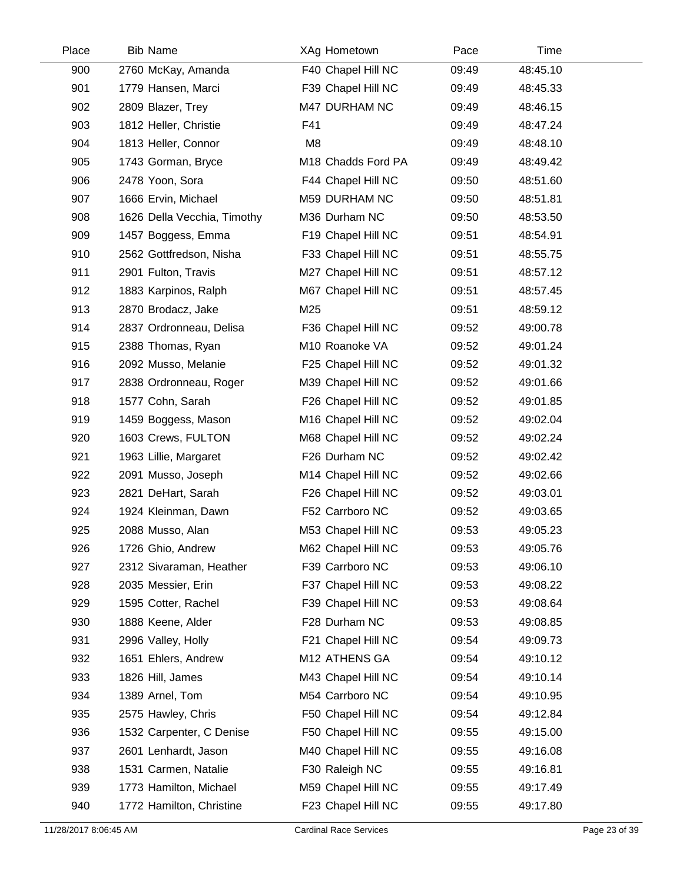| Place | <b>Bib Name</b>             | XAg Hometown       | Pace  | Time     |
|-------|-----------------------------|--------------------|-------|----------|
| 900   | 2760 McKay, Amanda          | F40 Chapel Hill NC | 09:49 | 48:45.10 |
| 901   | 1779 Hansen, Marci          | F39 Chapel Hill NC | 09:49 | 48:45.33 |
| 902   | 2809 Blazer, Trey           | M47 DURHAM NC      | 09:49 | 48:46.15 |
| 903   | 1812 Heller, Christie       | F41                | 09:49 | 48:47.24 |
| 904   | 1813 Heller, Connor         | M <sub>8</sub>     | 09:49 | 48:48.10 |
| 905   | 1743 Gorman, Bryce          | M18 Chadds Ford PA | 09:49 | 48:49.42 |
| 906   | 2478 Yoon, Sora             | F44 Chapel Hill NC | 09:50 | 48:51.60 |
| 907   | 1666 Ervin, Michael         | M59 DURHAM NC      | 09:50 | 48:51.81 |
| 908   | 1626 Della Vecchia, Timothy | M36 Durham NC      | 09:50 | 48:53.50 |
| 909   | 1457 Boggess, Emma          | F19 Chapel Hill NC | 09:51 | 48:54.91 |
| 910   | 2562 Gottfredson, Nisha     | F33 Chapel Hill NC | 09:51 | 48:55.75 |
| 911   | 2901 Fulton, Travis         | M27 Chapel Hill NC | 09:51 | 48:57.12 |
| 912   | 1883 Karpinos, Ralph        | M67 Chapel Hill NC | 09:51 | 48:57.45 |
| 913   | 2870 Brodacz, Jake          | M25                | 09:51 | 48:59.12 |
| 914   | 2837 Ordronneau, Delisa     | F36 Chapel Hill NC | 09:52 | 49:00.78 |
| 915   | 2388 Thomas, Ryan           | M10 Roanoke VA     | 09:52 | 49:01.24 |
| 916   | 2092 Musso, Melanie         | F25 Chapel Hill NC | 09:52 | 49:01.32 |
| 917   | 2838 Ordronneau, Roger      | M39 Chapel Hill NC | 09:52 | 49:01.66 |
| 918   | 1577 Cohn, Sarah            | F26 Chapel Hill NC | 09:52 | 49:01.85 |
| 919   | 1459 Boggess, Mason         | M16 Chapel Hill NC | 09:52 | 49:02.04 |
| 920   | 1603 Crews, FULTON          | M68 Chapel Hill NC | 09:52 | 49:02.24 |
| 921   | 1963 Lillie, Margaret       | F26 Durham NC      | 09:52 | 49:02.42 |
| 922   | 2091 Musso, Joseph          | M14 Chapel Hill NC | 09:52 | 49:02.66 |
| 923   | 2821 DeHart, Sarah          | F26 Chapel Hill NC | 09:52 | 49:03.01 |
| 924   | 1924 Kleinman, Dawn         | F52 Carrboro NC    | 09:52 | 49:03.65 |
| 925   | 2088 Musso, Alan            | M53 Chapel Hill NC | 09:53 | 49:05.23 |
| 926   | 1726 Ghio, Andrew           | M62 Chapel Hill NC | 09:53 | 49:05.76 |
| 927   | 2312 Sivaraman, Heather     | F39 Carrboro NC    | 09:53 | 49:06.10 |
| 928   | 2035 Messier, Erin          | F37 Chapel Hill NC | 09:53 | 49:08.22 |
| 929   | 1595 Cotter, Rachel         | F39 Chapel Hill NC | 09:53 | 49:08.64 |
| 930   | 1888 Keene, Alder           | F28 Durham NC      | 09:53 | 49:08.85 |
| 931   | 2996 Valley, Holly          | F21 Chapel Hill NC | 09:54 | 49:09.73 |
| 932   | 1651 Ehlers, Andrew         | M12 ATHENS GA      | 09:54 | 49:10.12 |
| 933   | 1826 Hill, James            | M43 Chapel Hill NC | 09:54 | 49:10.14 |
| 934   | 1389 Arnel, Tom             | M54 Carrboro NC    | 09:54 | 49:10.95 |
| 935   | 2575 Hawley, Chris          | F50 Chapel Hill NC | 09:54 | 49:12.84 |
| 936   | 1532 Carpenter, C Denise    | F50 Chapel Hill NC | 09:55 | 49:15.00 |
| 937   | 2601 Lenhardt, Jason        | M40 Chapel Hill NC | 09:55 | 49:16.08 |
| 938   | 1531 Carmen, Natalie        | F30 Raleigh NC     | 09:55 | 49:16.81 |
| 939   | 1773 Hamilton, Michael      | M59 Chapel Hill NC | 09:55 | 49:17.49 |
| 940   | 1772 Hamilton, Christine    | F23 Chapel Hill NC | 09:55 | 49:17.80 |
|       |                             |                    |       |          |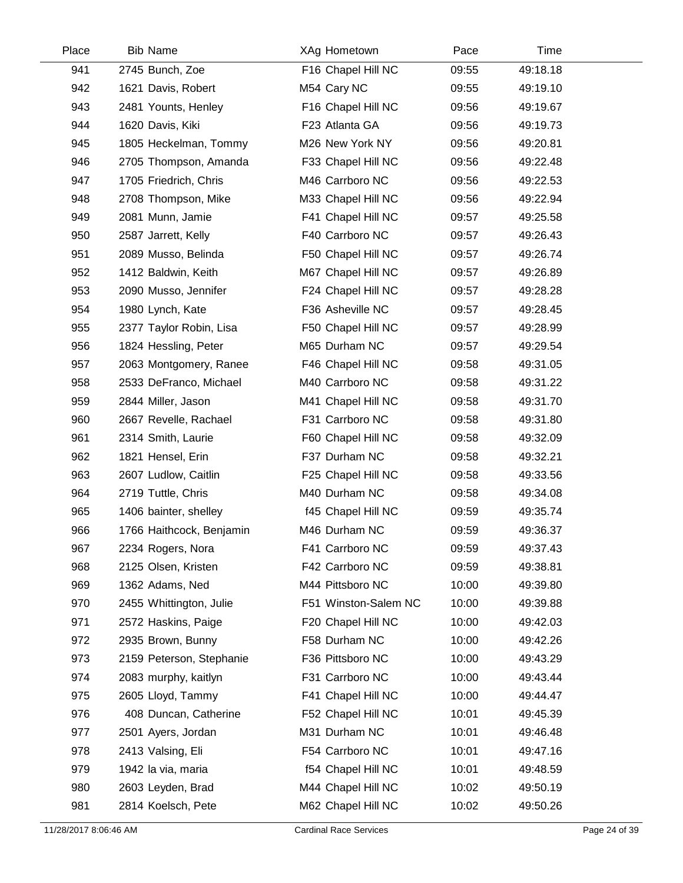| Place | <b>Bib Name</b>          | XAg Hometown         | Pace  | Time     |  |
|-------|--------------------------|----------------------|-------|----------|--|
| 941   | 2745 Bunch, Zoe          | F16 Chapel Hill NC   | 09:55 | 49:18.18 |  |
| 942   | 1621 Davis, Robert       | M54 Cary NC          | 09:55 | 49:19.10 |  |
| 943   | 2481 Younts, Henley      | F16 Chapel Hill NC   | 09:56 | 49:19.67 |  |
| 944   | 1620 Davis, Kiki         | F23 Atlanta GA       | 09:56 | 49:19.73 |  |
| 945   | 1805 Heckelman, Tommy    | M26 New York NY      | 09:56 | 49:20.81 |  |
| 946   | 2705 Thompson, Amanda    | F33 Chapel Hill NC   | 09:56 | 49:22.48 |  |
| 947   | 1705 Friedrich, Chris    | M46 Carrboro NC      | 09:56 | 49:22.53 |  |
| 948   | 2708 Thompson, Mike      | M33 Chapel Hill NC   | 09:56 | 49:22.94 |  |
| 949   | 2081 Munn, Jamie         | F41 Chapel Hill NC   | 09:57 | 49:25.58 |  |
| 950   | 2587 Jarrett, Kelly      | F40 Carrboro NC      | 09:57 | 49:26.43 |  |
| 951   | 2089 Musso, Belinda      | F50 Chapel Hill NC   | 09:57 | 49:26.74 |  |
| 952   | 1412 Baldwin, Keith      | M67 Chapel Hill NC   | 09:57 | 49:26.89 |  |
| 953   | 2090 Musso, Jennifer     | F24 Chapel Hill NC   | 09:57 | 49:28.28 |  |
| 954   | 1980 Lynch, Kate         | F36 Asheville NC     | 09:57 | 49:28.45 |  |
| 955   | 2377 Taylor Robin, Lisa  | F50 Chapel Hill NC   | 09:57 | 49:28.99 |  |
| 956   | 1824 Hessling, Peter     | M65 Durham NC        | 09:57 | 49:29.54 |  |
| 957   | 2063 Montgomery, Ranee   | F46 Chapel Hill NC   | 09:58 | 49:31.05 |  |
| 958   | 2533 DeFranco, Michael   | M40 Carrboro NC      | 09:58 | 49:31.22 |  |
| 959   | 2844 Miller, Jason       | M41 Chapel Hill NC   | 09:58 | 49:31.70 |  |
| 960   | 2667 Revelle, Rachael    | F31 Carrboro NC      | 09:58 | 49:31.80 |  |
| 961   | 2314 Smith, Laurie       | F60 Chapel Hill NC   | 09:58 | 49:32.09 |  |
| 962   | 1821 Hensel, Erin        | F37 Durham NC        | 09:58 | 49:32.21 |  |
| 963   | 2607 Ludlow, Caitlin     | F25 Chapel Hill NC   | 09:58 | 49:33.56 |  |
| 964   | 2719 Tuttle, Chris       | M40 Durham NC        | 09:58 | 49:34.08 |  |
| 965   | 1406 bainter, shelley    | f45 Chapel Hill NC   | 09:59 | 49:35.74 |  |
| 966   | 1766 Haithcock, Benjamin | M46 Durham NC        | 09:59 | 49:36.37 |  |
| 967   | 2234 Rogers, Nora        | F41 Carrboro NC      | 09:59 | 49:37.43 |  |
| 968   | 2125 Olsen, Kristen      | F42 Carrboro NC      | 09:59 | 49:38.81 |  |
| 969   | 1362 Adams, Ned          | M44 Pittsboro NC     | 10:00 | 49:39.80 |  |
| 970   | 2455 Whittington, Julie  | F51 Winston-Salem NC | 10:00 | 49:39.88 |  |
| 971   | 2572 Haskins, Paige      | F20 Chapel Hill NC   | 10:00 | 49:42.03 |  |
| 972   | 2935 Brown, Bunny        | F58 Durham NC        | 10:00 | 49:42.26 |  |
| 973   | 2159 Peterson, Stephanie | F36 Pittsboro NC     | 10:00 | 49:43.29 |  |
| 974   | 2083 murphy, kaitlyn     | F31 Carrboro NC      | 10:00 | 49:43.44 |  |
| 975   | 2605 Lloyd, Tammy        | F41 Chapel Hill NC   | 10:00 | 49:44.47 |  |
| 976   | 408 Duncan, Catherine    | F52 Chapel Hill NC   | 10:01 | 49:45.39 |  |
| 977   | 2501 Ayers, Jordan       | M31 Durham NC        | 10:01 | 49:46.48 |  |
| 978   | 2413 Valsing, Eli        | F54 Carrboro NC      | 10:01 | 49:47.16 |  |
| 979   | 1942 la via, maria       | f54 Chapel Hill NC   | 10:01 | 49:48.59 |  |
| 980   | 2603 Leyden, Brad        | M44 Chapel Hill NC   | 10:02 | 49:50.19 |  |
| 981   | 2814 Koelsch, Pete       | M62 Chapel Hill NC   | 10:02 | 49:50.26 |  |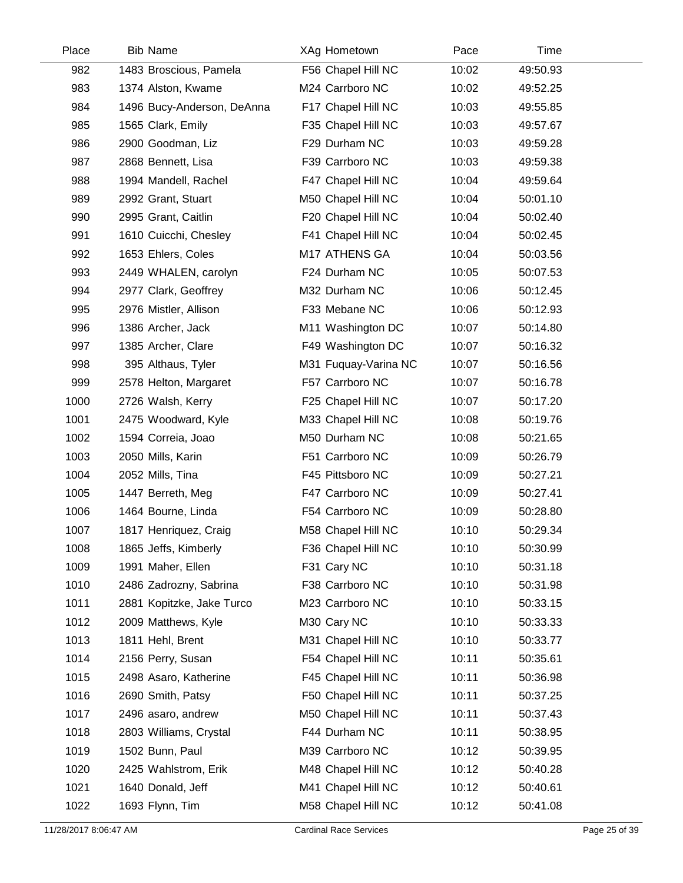| Place | <b>Bib Name</b>            | XAg Hometown         | Pace  | Time     |  |
|-------|----------------------------|----------------------|-------|----------|--|
| 982   | 1483 Broscious, Pamela     | F56 Chapel Hill NC   | 10:02 | 49:50.93 |  |
| 983   | 1374 Alston, Kwame         | M24 Carrboro NC      | 10:02 | 49:52.25 |  |
| 984   | 1496 Bucy-Anderson, DeAnna | F17 Chapel Hill NC   | 10:03 | 49:55.85 |  |
| 985   | 1565 Clark, Emily          | F35 Chapel Hill NC   | 10:03 | 49:57.67 |  |
| 986   | 2900 Goodman, Liz          | F29 Durham NC        | 10:03 | 49:59.28 |  |
| 987   | 2868 Bennett, Lisa         | F39 Carrboro NC      | 10:03 | 49:59.38 |  |
| 988   | 1994 Mandell, Rachel       | F47 Chapel Hill NC   | 10:04 | 49:59.64 |  |
| 989   | 2992 Grant, Stuart         | M50 Chapel Hill NC   | 10:04 | 50:01.10 |  |
| 990   | 2995 Grant, Caitlin        | F20 Chapel Hill NC   | 10:04 | 50:02.40 |  |
| 991   | 1610 Cuicchi, Chesley      | F41 Chapel Hill NC   | 10:04 | 50:02.45 |  |
| 992   | 1653 Ehlers, Coles         | M17 ATHENS GA        | 10:04 | 50:03.56 |  |
| 993   | 2449 WHALEN, carolyn       | F24 Durham NC        | 10:05 | 50:07.53 |  |
| 994   | 2977 Clark, Geoffrey       | M32 Durham NC        | 10:06 | 50:12.45 |  |
| 995   | 2976 Mistler, Allison      | F33 Mebane NC        | 10:06 | 50:12.93 |  |
| 996   | 1386 Archer, Jack          | M11 Washington DC    | 10:07 | 50:14.80 |  |
| 997   | 1385 Archer, Clare         | F49 Washington DC    | 10:07 | 50:16.32 |  |
| 998   | 395 Althaus, Tyler         | M31 Fuquay-Varina NC | 10:07 | 50:16.56 |  |
| 999   | 2578 Helton, Margaret      | F57 Carrboro NC      | 10:07 | 50:16.78 |  |
| 1000  | 2726 Walsh, Kerry          | F25 Chapel Hill NC   | 10:07 | 50:17.20 |  |
| 1001  | 2475 Woodward, Kyle        | M33 Chapel Hill NC   | 10:08 | 50:19.76 |  |
| 1002  | 1594 Correia, Joao         | M50 Durham NC        | 10:08 | 50:21.65 |  |
| 1003  | 2050 Mills, Karin          | F51 Carrboro NC      | 10:09 | 50:26.79 |  |
| 1004  | 2052 Mills, Tina           | F45 Pittsboro NC     | 10:09 | 50:27.21 |  |
| 1005  | 1447 Berreth, Meg          | F47 Carrboro NC      | 10:09 | 50:27.41 |  |
| 1006  | 1464 Bourne, Linda         | F54 Carrboro NC      | 10:09 | 50:28.80 |  |
| 1007  | 1817 Henriquez, Craig      | M58 Chapel Hill NC   | 10:10 | 50:29.34 |  |
| 1008  | 1865 Jeffs, Kimberly       | F36 Chapel Hill NC   | 10:10 | 50:30.99 |  |
| 1009  | 1991 Maher, Ellen          | F31 Cary NC          | 10:10 | 50:31.18 |  |
| 1010  | 2486 Zadrozny, Sabrina     | F38 Carrboro NC      | 10:10 | 50:31.98 |  |
| 1011  | 2881 Kopitzke, Jake Turco  | M23 Carrboro NC      | 10:10 | 50:33.15 |  |
| 1012  | 2009 Matthews, Kyle        | M30 Cary NC          | 10:10 | 50:33.33 |  |
| 1013  | 1811 Hehl, Brent           | M31 Chapel Hill NC   | 10:10 | 50:33.77 |  |
| 1014  | 2156 Perry, Susan          | F54 Chapel Hill NC   | 10:11 | 50:35.61 |  |
| 1015  | 2498 Asaro, Katherine      | F45 Chapel Hill NC   | 10:11 | 50:36.98 |  |
| 1016  | 2690 Smith, Patsy          | F50 Chapel Hill NC   | 10:11 | 50:37.25 |  |
| 1017  | 2496 asaro, andrew         | M50 Chapel Hill NC   | 10:11 | 50:37.43 |  |
| 1018  | 2803 Williams, Crystal     | F44 Durham NC        | 10:11 | 50:38.95 |  |
| 1019  | 1502 Bunn, Paul            | M39 Carrboro NC      | 10:12 | 50:39.95 |  |
| 1020  | 2425 Wahlstrom, Erik       | M48 Chapel Hill NC   | 10:12 | 50:40.28 |  |
| 1021  | 1640 Donald, Jeff          | M41 Chapel Hill NC   | 10:12 | 50:40.61 |  |
| 1022  | 1693 Flynn, Tim            | M58 Chapel Hill NC   | 10:12 | 50:41.08 |  |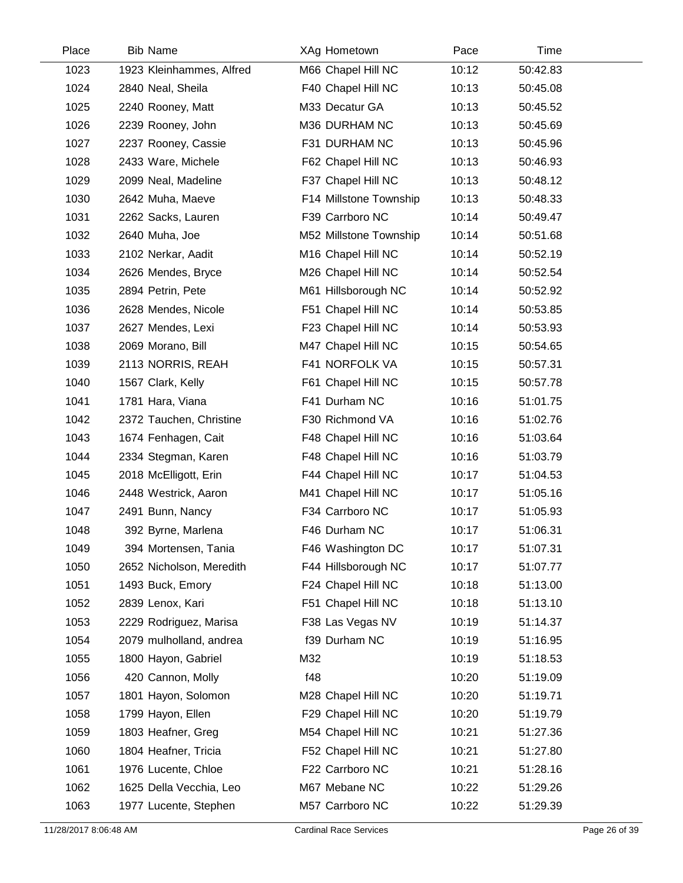| Place | <b>Bib Name</b>          | XAg Hometown           | Pace  | <b>Time</b> |  |
|-------|--------------------------|------------------------|-------|-------------|--|
| 1023  | 1923 Kleinhammes, Alfred | M66 Chapel Hill NC     | 10:12 | 50:42.83    |  |
| 1024  | 2840 Neal, Sheila        | F40 Chapel Hill NC     | 10:13 | 50:45.08    |  |
| 1025  | 2240 Rooney, Matt        | M33 Decatur GA         | 10:13 | 50:45.52    |  |
| 1026  | 2239 Rooney, John        | M36 DURHAM NC          | 10:13 | 50:45.69    |  |
| 1027  | 2237 Rooney, Cassie      | F31 DURHAM NC          | 10:13 | 50:45.96    |  |
| 1028  | 2433 Ware, Michele       | F62 Chapel Hill NC     | 10:13 | 50:46.93    |  |
| 1029  | 2099 Neal, Madeline      | F37 Chapel Hill NC     | 10:13 | 50:48.12    |  |
| 1030  | 2642 Muha, Maeve         | F14 Millstone Township | 10:13 | 50:48.33    |  |
| 1031  | 2262 Sacks, Lauren       | F39 Carrboro NC        | 10:14 | 50:49.47    |  |
| 1032  | 2640 Muha, Joe           | M52 Millstone Township | 10:14 | 50:51.68    |  |
| 1033  | 2102 Nerkar, Aadit       | M16 Chapel Hill NC     | 10:14 | 50:52.19    |  |
| 1034  | 2626 Mendes, Bryce       | M26 Chapel Hill NC     | 10:14 | 50:52.54    |  |
| 1035  | 2894 Petrin, Pete        | M61 Hillsborough NC    | 10:14 | 50:52.92    |  |
| 1036  | 2628 Mendes, Nicole      | F51 Chapel Hill NC     | 10:14 | 50:53.85    |  |
| 1037  | 2627 Mendes, Lexi        | F23 Chapel Hill NC     | 10:14 | 50:53.93    |  |
| 1038  | 2069 Morano, Bill        | M47 Chapel Hill NC     | 10:15 | 50:54.65    |  |
| 1039  | 2113 NORRIS, REAH        | F41 NORFOLK VA         | 10:15 | 50:57.31    |  |
| 1040  | 1567 Clark, Kelly        | F61 Chapel Hill NC     | 10:15 | 50:57.78    |  |
| 1041  | 1781 Hara, Viana         | F41 Durham NC          | 10:16 | 51:01.75    |  |
| 1042  | 2372 Tauchen, Christine  | F30 Richmond VA        | 10:16 | 51:02.76    |  |
| 1043  | 1674 Fenhagen, Cait      | F48 Chapel Hill NC     | 10:16 | 51:03.64    |  |
| 1044  | 2334 Stegman, Karen      | F48 Chapel Hill NC     | 10:16 | 51:03.79    |  |
| 1045  | 2018 McElligott, Erin    | F44 Chapel Hill NC     | 10:17 | 51:04.53    |  |
| 1046  | 2448 Westrick, Aaron     | M41 Chapel Hill NC     | 10:17 | 51:05.16    |  |
| 1047  | 2491 Bunn, Nancy         | F34 Carrboro NC        | 10:17 | 51:05.93    |  |
| 1048  | 392 Byrne, Marlena       | F46 Durham NC          | 10:17 | 51:06.31    |  |
| 1049  | 394 Mortensen, Tania     | F46 Washington DC      | 10:17 | 51:07.31    |  |
| 1050  | 2652 Nicholson, Meredith | F44 Hillsborough NC    | 10:17 | 51:07.77    |  |
| 1051  | 1493 Buck, Emory         | F24 Chapel Hill NC     | 10:18 | 51:13.00    |  |
| 1052  | 2839 Lenox, Kari         | F51 Chapel Hill NC     | 10:18 | 51:13.10    |  |
| 1053  | 2229 Rodriguez, Marisa   | F38 Las Vegas NV       | 10:19 | 51:14.37    |  |
| 1054  | 2079 mulholland, andrea  | f39 Durham NC          | 10:19 | 51:16.95    |  |
| 1055  | 1800 Hayon, Gabriel      | M32                    | 10:19 | 51:18.53    |  |
| 1056  | 420 Cannon, Molly        | f48                    | 10:20 | 51:19.09    |  |
| 1057  | 1801 Hayon, Solomon      | M28 Chapel Hill NC     | 10:20 | 51:19.71    |  |
| 1058  | 1799 Hayon, Ellen        | F29 Chapel Hill NC     | 10:20 | 51:19.79    |  |
| 1059  | 1803 Heafner, Greg       | M54 Chapel Hill NC     | 10:21 | 51:27.36    |  |
| 1060  | 1804 Heafner, Tricia     | F52 Chapel Hill NC     | 10:21 | 51:27.80    |  |
| 1061  | 1976 Lucente, Chloe      | F22 Carrboro NC        | 10:21 | 51:28.16    |  |
| 1062  | 1625 Della Vecchia, Leo  | M67 Mebane NC          | 10:22 | 51:29.26    |  |
| 1063  | 1977 Lucente, Stephen    | M57 Carrboro NC        | 10:22 | 51:29.39    |  |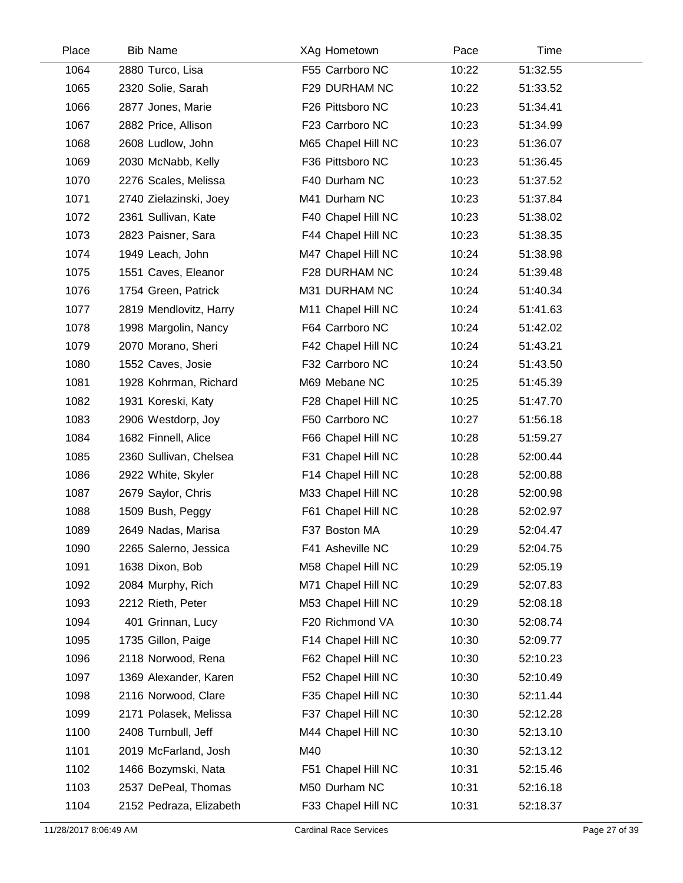| Place | <b>Bib Name</b>         | XAg Hometown       | Pace  | Time     |  |
|-------|-------------------------|--------------------|-------|----------|--|
| 1064  | 2880 Turco, Lisa        | F55 Carrboro NC    | 10:22 | 51:32.55 |  |
| 1065  | 2320 Solie, Sarah       | F29 DURHAM NC      | 10:22 | 51:33.52 |  |
| 1066  | 2877 Jones, Marie       | F26 Pittsboro NC   | 10:23 | 51:34.41 |  |
| 1067  | 2882 Price, Allison     | F23 Carrboro NC    | 10:23 | 51:34.99 |  |
| 1068  | 2608 Ludlow, John       | M65 Chapel Hill NC | 10:23 | 51:36.07 |  |
| 1069  | 2030 McNabb, Kelly      | F36 Pittsboro NC   | 10:23 | 51:36.45 |  |
| 1070  | 2276 Scales, Melissa    | F40 Durham NC      | 10:23 | 51:37.52 |  |
| 1071  | 2740 Zielazinski, Joey  | M41 Durham NC      | 10:23 | 51:37.84 |  |
| 1072  | 2361 Sullivan, Kate     | F40 Chapel Hill NC | 10:23 | 51:38.02 |  |
| 1073  | 2823 Paisner, Sara      | F44 Chapel Hill NC | 10:23 | 51:38.35 |  |
| 1074  | 1949 Leach, John        | M47 Chapel Hill NC | 10:24 | 51:38.98 |  |
| 1075  | 1551 Caves, Eleanor     | F28 DURHAM NC      | 10:24 | 51:39.48 |  |
| 1076  | 1754 Green, Patrick     | M31 DURHAM NC      | 10:24 | 51:40.34 |  |
| 1077  | 2819 Mendlovitz, Harry  | M11 Chapel Hill NC | 10:24 | 51:41.63 |  |
| 1078  | 1998 Margolin, Nancy    | F64 Carrboro NC    | 10:24 | 51:42.02 |  |
| 1079  | 2070 Morano, Sheri      | F42 Chapel Hill NC | 10:24 | 51:43.21 |  |
| 1080  | 1552 Caves, Josie       | F32 Carrboro NC    | 10:24 | 51:43.50 |  |
| 1081  | 1928 Kohrman, Richard   | M69 Mebane NC      | 10:25 | 51:45.39 |  |
| 1082  | 1931 Koreski, Katy      | F28 Chapel Hill NC | 10:25 | 51:47.70 |  |
| 1083  | 2906 Westdorp, Joy      | F50 Carrboro NC    | 10:27 | 51:56.18 |  |
| 1084  | 1682 Finnell, Alice     | F66 Chapel Hill NC | 10:28 | 51:59.27 |  |
| 1085  | 2360 Sullivan, Chelsea  | F31 Chapel Hill NC | 10:28 | 52:00.44 |  |
| 1086  | 2922 White, Skyler      | F14 Chapel Hill NC | 10:28 | 52:00.88 |  |
| 1087  | 2679 Saylor, Chris      | M33 Chapel Hill NC | 10:28 | 52:00.98 |  |
| 1088  | 1509 Bush, Peggy        | F61 Chapel Hill NC | 10:28 | 52:02.97 |  |
| 1089  | 2649 Nadas, Marisa      | F37 Boston MA      | 10:29 | 52:04.47 |  |
| 1090  | 2265 Salerno, Jessica   | F41 Asheville NC   | 10:29 | 52:04.75 |  |
| 1091  | 1638 Dixon, Bob         | M58 Chapel Hill NC | 10:29 | 52:05.19 |  |
| 1092  | 2084 Murphy, Rich       | M71 Chapel Hill NC | 10:29 | 52:07.83 |  |
| 1093  | 2212 Rieth, Peter       | M53 Chapel Hill NC | 10:29 | 52:08.18 |  |
| 1094  | 401 Grinnan, Lucy       | F20 Richmond VA    | 10:30 | 52:08.74 |  |
| 1095  | 1735 Gillon, Paige      | F14 Chapel Hill NC | 10:30 | 52:09.77 |  |
| 1096  | 2118 Norwood, Rena      | F62 Chapel Hill NC | 10:30 | 52:10.23 |  |
| 1097  | 1369 Alexander, Karen   | F52 Chapel Hill NC | 10:30 | 52:10.49 |  |
| 1098  | 2116 Norwood, Clare     | F35 Chapel Hill NC | 10:30 | 52:11.44 |  |
| 1099  | 2171 Polasek, Melissa   | F37 Chapel Hill NC | 10:30 | 52:12.28 |  |
| 1100  | 2408 Turnbull, Jeff     | M44 Chapel Hill NC | 10:30 | 52:13.10 |  |
| 1101  | 2019 McFarland, Josh    | M40                | 10:30 | 52:13.12 |  |
| 1102  | 1466 Bozymski, Nata     | F51 Chapel Hill NC | 10:31 | 52:15.46 |  |
| 1103  | 2537 DePeal, Thomas     | M50 Durham NC      | 10:31 | 52:16.18 |  |
| 1104  | 2152 Pedraza, Elizabeth | F33 Chapel Hill NC | 10:31 | 52:18.37 |  |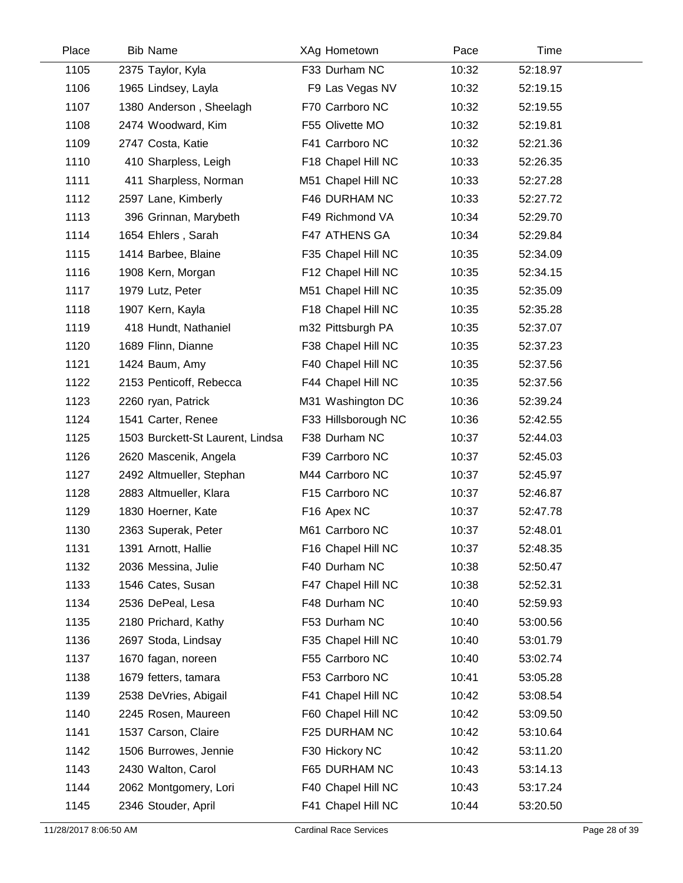| Place | <b>Bib Name</b>                  | XAg Hometown        | Pace  | Time     |
|-------|----------------------------------|---------------------|-------|----------|
| 1105  | 2375 Taylor, Kyla                | F33 Durham NC       | 10:32 | 52:18.97 |
| 1106  | 1965 Lindsey, Layla              | F9 Las Vegas NV     | 10:32 | 52:19.15 |
| 1107  | 1380 Anderson, Sheelagh          | F70 Carrboro NC     | 10:32 | 52:19.55 |
| 1108  | 2474 Woodward, Kim               | F55 Olivette MO     | 10:32 | 52:19.81 |
| 1109  | 2747 Costa, Katie                | F41 Carrboro NC     | 10:32 | 52:21.36 |
| 1110  | 410 Sharpless, Leigh             | F18 Chapel Hill NC  | 10:33 | 52:26.35 |
| 1111  | 411 Sharpless, Norman            | M51 Chapel Hill NC  | 10:33 | 52:27.28 |
| 1112  | 2597 Lane, Kimberly              | F46 DURHAM NC       | 10:33 | 52:27.72 |
| 1113  | 396 Grinnan, Marybeth            | F49 Richmond VA     | 10:34 | 52:29.70 |
| 1114  | 1654 Ehlers, Sarah               | F47 ATHENS GA       | 10:34 | 52:29.84 |
| 1115  | 1414 Barbee, Blaine              | F35 Chapel Hill NC  | 10:35 | 52:34.09 |
| 1116  | 1908 Kern, Morgan                | F12 Chapel Hill NC  | 10:35 | 52:34.15 |
| 1117  | 1979 Lutz, Peter                 | M51 Chapel Hill NC  | 10:35 | 52:35.09 |
| 1118  | 1907 Kern, Kayla                 | F18 Chapel Hill NC  | 10:35 | 52:35.28 |
| 1119  | 418 Hundt, Nathaniel             | m32 Pittsburgh PA   | 10:35 | 52:37.07 |
| 1120  | 1689 Flinn, Dianne               | F38 Chapel Hill NC  | 10:35 | 52:37.23 |
| 1121  | 1424 Baum, Amy                   | F40 Chapel Hill NC  | 10:35 | 52:37.56 |
| 1122  | 2153 Penticoff, Rebecca          | F44 Chapel Hill NC  | 10:35 | 52:37.56 |
| 1123  | 2260 ryan, Patrick               | M31 Washington DC   | 10:36 | 52:39.24 |
| 1124  | 1541 Carter, Renee               | F33 Hillsborough NC | 10:36 | 52:42.55 |
| 1125  | 1503 Burckett-St Laurent, Lindsa | F38 Durham NC       | 10:37 | 52:44.03 |
| 1126  | 2620 Mascenik, Angela            | F39 Carrboro NC     | 10:37 | 52:45.03 |
| 1127  | 2492 Altmueller, Stephan         | M44 Carrboro NC     | 10:37 | 52:45.97 |
| 1128  | 2883 Altmueller, Klara           | F15 Carrboro NC     | 10:37 | 52:46.87 |
| 1129  | 1830 Hoerner, Kate               | F16 Apex NC         | 10:37 | 52:47.78 |
| 1130  | 2363 Superak, Peter              | M61 Carrboro NC     | 10:37 | 52:48.01 |
| 1131  | 1391 Arnott, Hallie              | F16 Chapel Hill NC  | 10:37 | 52:48.35 |
| 1132  | 2036 Messina, Julie              | F40 Durham NC       | 10:38 | 52:50.47 |
| 1133  | 1546 Cates, Susan                | F47 Chapel Hill NC  | 10:38 | 52:52.31 |
| 1134  | 2536 DePeal, Lesa                | F48 Durham NC       | 10:40 | 52:59.93 |
| 1135  | 2180 Prichard, Kathy             | F53 Durham NC       | 10:40 | 53:00.56 |
| 1136  | 2697 Stoda, Lindsay              | F35 Chapel Hill NC  | 10:40 | 53:01.79 |
| 1137  | 1670 fagan, noreen               | F55 Carrboro NC     | 10:40 | 53:02.74 |
| 1138  | 1679 fetters, tamara             | F53 Carrboro NC     | 10:41 | 53:05.28 |
| 1139  | 2538 DeVries, Abigail            | F41 Chapel Hill NC  | 10:42 | 53:08.54 |
| 1140  | 2245 Rosen, Maureen              | F60 Chapel Hill NC  | 10:42 | 53:09.50 |
| 1141  | 1537 Carson, Claire              | F25 DURHAM NC       | 10:42 | 53:10.64 |
| 1142  | 1506 Burrowes, Jennie            | F30 Hickory NC      | 10:42 | 53:11.20 |
| 1143  | 2430 Walton, Carol               | F65 DURHAM NC       | 10:43 | 53:14.13 |
| 1144  | 2062 Montgomery, Lori            | F40 Chapel Hill NC  | 10:43 | 53:17.24 |
| 1145  | 2346 Stouder, April              | F41 Chapel Hill NC  | 10:44 | 53:20.50 |
|       |                                  |                     |       |          |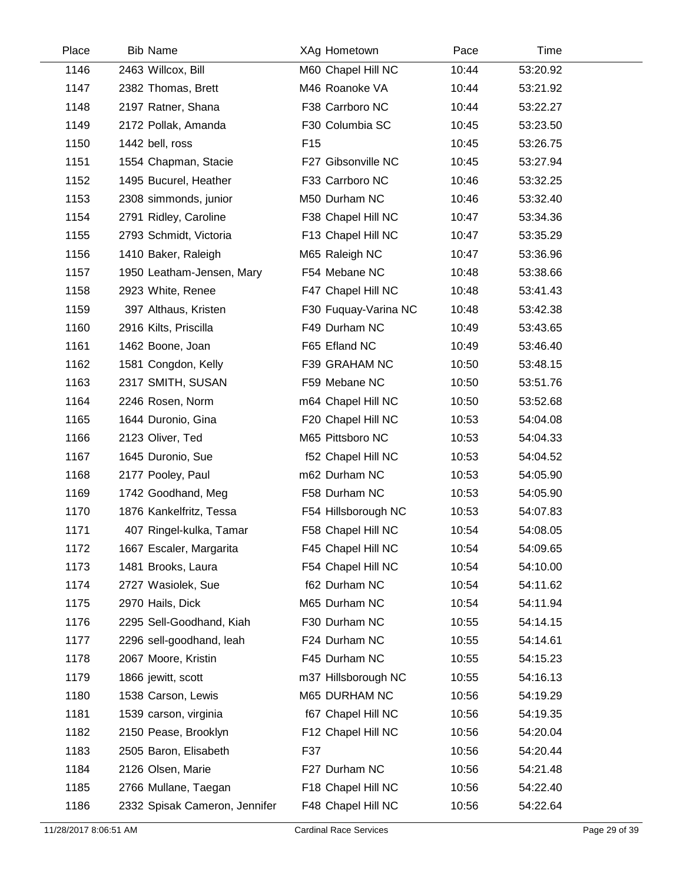| Place | <b>Bib Name</b>               | XAg Hometown         | Pace  | Time     |  |
|-------|-------------------------------|----------------------|-------|----------|--|
| 1146  | 2463 Willcox, Bill            | M60 Chapel Hill NC   | 10:44 | 53:20.92 |  |
| 1147  | 2382 Thomas, Brett            | M46 Roanoke VA       | 10:44 | 53:21.92 |  |
| 1148  | 2197 Ratner, Shana            | F38 Carrboro NC      | 10:44 | 53:22.27 |  |
| 1149  | 2172 Pollak, Amanda           | F30 Columbia SC      | 10:45 | 53:23.50 |  |
| 1150  | 1442 bell, ross               | F <sub>15</sub>      | 10:45 | 53:26.75 |  |
| 1151  | 1554 Chapman, Stacie          | F27 Gibsonville NC   | 10:45 | 53:27.94 |  |
| 1152  | 1495 Bucurel, Heather         | F33 Carrboro NC      | 10:46 | 53:32.25 |  |
| 1153  | 2308 simmonds, junior         | M50 Durham NC        | 10:46 | 53:32.40 |  |
| 1154  | 2791 Ridley, Caroline         | F38 Chapel Hill NC   | 10:47 | 53:34.36 |  |
| 1155  | 2793 Schmidt, Victoria        | F13 Chapel Hill NC   | 10:47 | 53:35.29 |  |
| 1156  | 1410 Baker, Raleigh           | M65 Raleigh NC       | 10:47 | 53:36.96 |  |
| 1157  | 1950 Leatham-Jensen, Mary     | F54 Mebane NC        | 10:48 | 53:38.66 |  |
| 1158  | 2923 White, Renee             | F47 Chapel Hill NC   | 10:48 | 53:41.43 |  |
| 1159  | 397 Althaus, Kristen          | F30 Fuquay-Varina NC | 10:48 | 53:42.38 |  |
| 1160  | 2916 Kilts, Priscilla         | F49 Durham NC        | 10:49 | 53:43.65 |  |
| 1161  | 1462 Boone, Joan              | F65 Efland NC        | 10:49 | 53:46.40 |  |
| 1162  | 1581 Congdon, Kelly           | F39 GRAHAM NC        | 10:50 | 53:48.15 |  |
| 1163  | 2317 SMITH, SUSAN             | F59 Mebane NC        | 10:50 | 53:51.76 |  |
| 1164  | 2246 Rosen, Norm              | m64 Chapel Hill NC   | 10:50 | 53:52.68 |  |
| 1165  | 1644 Duronio, Gina            | F20 Chapel Hill NC   | 10:53 | 54:04.08 |  |
| 1166  | 2123 Oliver, Ted              | M65 Pittsboro NC     | 10:53 | 54:04.33 |  |
| 1167  | 1645 Duronio, Sue             | f52 Chapel Hill NC   | 10:53 | 54:04.52 |  |
| 1168  | 2177 Pooley, Paul             | m62 Durham NC        | 10:53 | 54:05.90 |  |
| 1169  | 1742 Goodhand, Meg            | F58 Durham NC        | 10:53 | 54:05.90 |  |
| 1170  | 1876 Kankelfritz, Tessa       | F54 Hillsborough NC  | 10:53 | 54:07.83 |  |
| 1171  | 407 Ringel-kulka, Tamar       | F58 Chapel Hill NC   | 10:54 | 54:08.05 |  |
| 1172  | 1667 Escaler, Margarita       | F45 Chapel Hill NC   | 10:54 | 54:09.65 |  |
| 1173  | 1481 Brooks, Laura            | F54 Chapel Hill NC   | 10:54 | 54:10.00 |  |
| 1174  | 2727 Wasiolek, Sue            | f62 Durham NC        | 10:54 | 54:11.62 |  |
| 1175  | 2970 Hails, Dick              | M65 Durham NC        | 10:54 | 54:11.94 |  |
| 1176  | 2295 Sell-Goodhand, Kiah      | F30 Durham NC        | 10:55 | 54:14.15 |  |
| 1177  | 2296 sell-goodhand, leah      | F24 Durham NC        | 10:55 | 54:14.61 |  |
| 1178  | 2067 Moore, Kristin           | F45 Durham NC        | 10:55 | 54:15.23 |  |
| 1179  | 1866 jewitt, scott            | m37 Hillsborough NC  | 10:55 | 54:16.13 |  |
| 1180  | 1538 Carson, Lewis            | M65 DURHAM NC        | 10:56 | 54:19.29 |  |
| 1181  | 1539 carson, virginia         | f67 Chapel Hill NC   | 10:56 | 54:19.35 |  |
| 1182  | 2150 Pease, Brooklyn          | F12 Chapel Hill NC   | 10:56 | 54:20.04 |  |
| 1183  | 2505 Baron, Elisabeth         | F37                  | 10:56 | 54:20.44 |  |
| 1184  | 2126 Olsen, Marie             | F27 Durham NC        | 10:56 | 54:21.48 |  |
| 1185  | 2766 Mullane, Taegan          | F18 Chapel Hill NC   | 10:56 | 54:22.40 |  |
| 1186  | 2332 Spisak Cameron, Jennifer | F48 Chapel Hill NC   | 10:56 | 54:22.64 |  |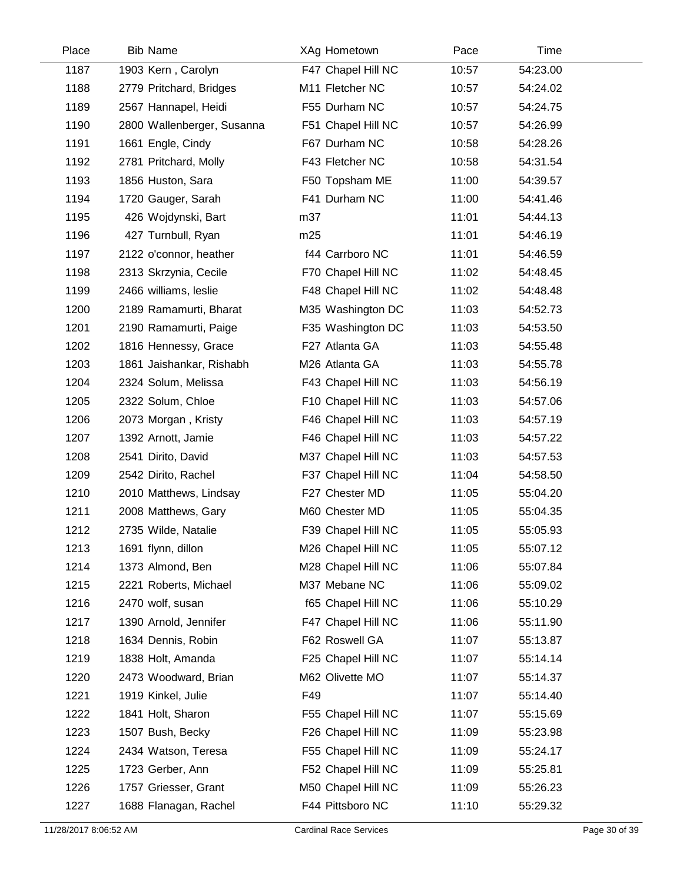| Place | <b>Bib Name</b>            | XAg Hometown       | Pace  | Time     |  |
|-------|----------------------------|--------------------|-------|----------|--|
| 1187  | 1903 Kern, Carolyn         | F47 Chapel Hill NC | 10:57 | 54:23.00 |  |
| 1188  | 2779 Pritchard, Bridges    | M11 Fletcher NC    | 10:57 | 54:24.02 |  |
| 1189  | 2567 Hannapel, Heidi       | F55 Durham NC      | 10:57 | 54:24.75 |  |
| 1190  | 2800 Wallenberger, Susanna | F51 Chapel Hill NC | 10:57 | 54:26.99 |  |
| 1191  | 1661 Engle, Cindy          | F67 Durham NC      | 10:58 | 54:28.26 |  |
| 1192  | 2781 Pritchard, Molly      | F43 Fletcher NC    | 10:58 | 54:31.54 |  |
| 1193  | 1856 Huston, Sara          | F50 Topsham ME     | 11:00 | 54:39.57 |  |
| 1194  | 1720 Gauger, Sarah         | F41 Durham NC      | 11:00 | 54:41.46 |  |
| 1195  | 426 Wojdynski, Bart        | m37                | 11:01 | 54:44.13 |  |
| 1196  | 427 Turnbull, Ryan         | m25                | 11:01 | 54:46.19 |  |
| 1197  | 2122 o'connor, heather     | f44 Carrboro NC    | 11:01 | 54:46.59 |  |
| 1198  | 2313 Skrzynia, Cecile      | F70 Chapel Hill NC | 11:02 | 54:48.45 |  |
| 1199  | 2466 williams, leslie      | F48 Chapel Hill NC | 11:02 | 54:48.48 |  |
| 1200  | 2189 Ramamurti, Bharat     | M35 Washington DC  | 11:03 | 54:52.73 |  |
| 1201  | 2190 Ramamurti, Paige      | F35 Washington DC  | 11:03 | 54:53.50 |  |
| 1202  | 1816 Hennessy, Grace       | F27 Atlanta GA     | 11:03 | 54:55.48 |  |
| 1203  | 1861 Jaishankar, Rishabh   | M26 Atlanta GA     | 11:03 | 54:55.78 |  |
| 1204  | 2324 Solum, Melissa        | F43 Chapel Hill NC | 11:03 | 54:56.19 |  |
| 1205  | 2322 Solum, Chloe          | F10 Chapel Hill NC | 11:03 | 54:57.06 |  |
| 1206  | 2073 Morgan, Kristy        | F46 Chapel Hill NC | 11:03 | 54:57.19 |  |
| 1207  | 1392 Arnott, Jamie         | F46 Chapel Hill NC | 11:03 | 54:57.22 |  |
| 1208  | 2541 Dirito, David         | M37 Chapel Hill NC | 11:03 | 54:57.53 |  |
| 1209  | 2542 Dirito, Rachel        | F37 Chapel Hill NC | 11:04 | 54:58.50 |  |
| 1210  | 2010 Matthews, Lindsay     | F27 Chester MD     | 11:05 | 55:04.20 |  |
| 1211  | 2008 Matthews, Gary        | M60 Chester MD     | 11:05 | 55:04.35 |  |
| 1212  | 2735 Wilde, Natalie        | F39 Chapel Hill NC | 11:05 | 55:05.93 |  |
| 1213  | 1691 flynn, dillon         | M26 Chapel Hill NC | 11:05 | 55:07.12 |  |
| 1214  | 1373 Almond, Ben           | M28 Chapel Hill NC | 11:06 | 55:07.84 |  |
| 1215  | 2221 Roberts, Michael      | M37 Mebane NC      | 11:06 | 55:09.02 |  |
| 1216  | 2470 wolf, susan           | f65 Chapel Hill NC | 11:06 | 55:10.29 |  |
| 1217  | 1390 Arnold, Jennifer      | F47 Chapel Hill NC | 11:06 | 55:11.90 |  |
| 1218  | 1634 Dennis, Robin         | F62 Roswell GA     | 11:07 | 55:13.87 |  |
| 1219  | 1838 Holt, Amanda          | F25 Chapel Hill NC | 11:07 | 55:14.14 |  |
| 1220  | 2473 Woodward, Brian       | M62 Olivette MO    | 11:07 | 55:14.37 |  |
| 1221  | 1919 Kinkel, Julie         | F49                | 11:07 | 55:14.40 |  |
| 1222  | 1841 Holt, Sharon          | F55 Chapel Hill NC | 11:07 | 55:15.69 |  |
| 1223  | 1507 Bush, Becky           | F26 Chapel Hill NC | 11:09 | 55:23.98 |  |
| 1224  | 2434 Watson, Teresa        | F55 Chapel Hill NC | 11:09 | 55:24.17 |  |
| 1225  | 1723 Gerber, Ann           | F52 Chapel Hill NC | 11:09 | 55:25.81 |  |
| 1226  | 1757 Griesser, Grant       | M50 Chapel Hill NC | 11:09 | 55:26.23 |  |
| 1227  | 1688 Flanagan, Rachel      | F44 Pittsboro NC   | 11:10 | 55:29.32 |  |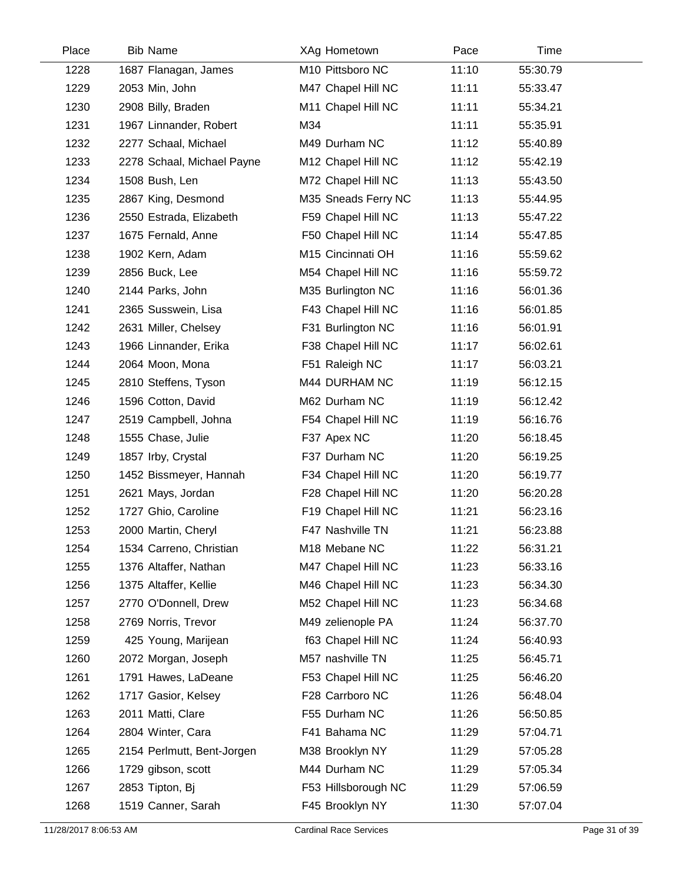| Place | <b>Bib Name</b>            | XAg Hometown        | Pace  | Time     |  |
|-------|----------------------------|---------------------|-------|----------|--|
| 1228  | 1687 Flanagan, James       | M10 Pittsboro NC    | 11:10 | 55:30.79 |  |
| 1229  | 2053 Min, John             | M47 Chapel Hill NC  | 11:11 | 55:33.47 |  |
| 1230  | 2908 Billy, Braden         | M11 Chapel Hill NC  | 11:11 | 55:34.21 |  |
| 1231  | 1967 Linnander, Robert     | M34                 | 11:11 | 55:35.91 |  |
| 1232  | 2277 Schaal, Michael       | M49 Durham NC       | 11:12 | 55:40.89 |  |
| 1233  | 2278 Schaal, Michael Payne | M12 Chapel Hill NC  | 11:12 | 55:42.19 |  |
| 1234  | 1508 Bush, Len             | M72 Chapel Hill NC  | 11:13 | 55:43.50 |  |
| 1235  | 2867 King, Desmond         | M35 Sneads Ferry NC | 11:13 | 55:44.95 |  |
| 1236  | 2550 Estrada, Elizabeth    | F59 Chapel Hill NC  | 11:13 | 55:47.22 |  |
| 1237  | 1675 Fernald, Anne         | F50 Chapel Hill NC  | 11:14 | 55:47.85 |  |
| 1238  | 1902 Kern, Adam            | M15 Cincinnati OH   | 11:16 | 55:59.62 |  |
| 1239  | 2856 Buck, Lee             | M54 Chapel Hill NC  | 11:16 | 55:59.72 |  |
| 1240  | 2144 Parks, John           | M35 Burlington NC   | 11:16 | 56:01.36 |  |
| 1241  | 2365 Susswein, Lisa        | F43 Chapel Hill NC  | 11:16 | 56:01.85 |  |
| 1242  | 2631 Miller, Chelsey       | F31 Burlington NC   | 11:16 | 56:01.91 |  |
| 1243  | 1966 Linnander, Erika      | F38 Chapel Hill NC  | 11:17 | 56:02.61 |  |
| 1244  | 2064 Moon, Mona            | F51 Raleigh NC      | 11:17 | 56:03.21 |  |
| 1245  | 2810 Steffens, Tyson       | M44 DURHAM NC       | 11:19 | 56:12.15 |  |
| 1246  | 1596 Cotton, David         | M62 Durham NC       | 11:19 | 56:12.42 |  |
| 1247  | 2519 Campbell, Johna       | F54 Chapel Hill NC  | 11:19 | 56:16.76 |  |
| 1248  | 1555 Chase, Julie          | F37 Apex NC         | 11:20 | 56:18.45 |  |
| 1249  | 1857 Irby, Crystal         | F37 Durham NC       | 11:20 | 56:19.25 |  |
| 1250  | 1452 Bissmeyer, Hannah     | F34 Chapel Hill NC  | 11:20 | 56:19.77 |  |
| 1251  | 2621 Mays, Jordan          | F28 Chapel Hill NC  | 11:20 | 56:20.28 |  |
| 1252  | 1727 Ghio, Caroline        | F19 Chapel Hill NC  | 11:21 | 56:23.16 |  |
| 1253  | 2000 Martin, Cheryl        | F47 Nashville TN    | 11:21 | 56:23.88 |  |
| 1254  | 1534 Carreno, Christian    | M18 Mebane NC       | 11:22 | 56:31.21 |  |
| 1255  | 1376 Altaffer, Nathan      | M47 Chapel Hill NC  | 11:23 | 56:33.16 |  |
| 1256  | 1375 Altaffer, Kellie      | M46 Chapel Hill NC  | 11:23 | 56:34.30 |  |
| 1257  | 2770 O'Donnell, Drew       | M52 Chapel Hill NC  | 11:23 | 56:34.68 |  |
| 1258  | 2769 Norris, Trevor        | M49 zelienople PA   | 11:24 | 56:37.70 |  |
| 1259  | 425 Young, Marijean        | f63 Chapel Hill NC  | 11:24 | 56:40.93 |  |
| 1260  | 2072 Morgan, Joseph        | M57 nashville TN    | 11:25 | 56:45.71 |  |
| 1261  | 1791 Hawes, LaDeane        | F53 Chapel Hill NC  | 11:25 | 56:46.20 |  |
| 1262  | 1717 Gasior, Kelsey        | F28 Carrboro NC     | 11:26 | 56:48.04 |  |
| 1263  | 2011 Matti, Clare          | F55 Durham NC       | 11:26 | 56:50.85 |  |
| 1264  | 2804 Winter, Cara          | F41 Bahama NC       | 11:29 | 57:04.71 |  |
| 1265  | 2154 Perlmutt, Bent-Jorgen | M38 Brooklyn NY     | 11:29 | 57:05.28 |  |
| 1266  | 1729 gibson, scott         | M44 Durham NC       | 11:29 | 57:05.34 |  |
| 1267  | 2853 Tipton, Bj            | F53 Hillsborough NC | 11:29 | 57:06.59 |  |
| 1268  | 1519 Canner, Sarah         | F45 Brooklyn NY     | 11:30 | 57:07.04 |  |
|       |                            |                     |       |          |  |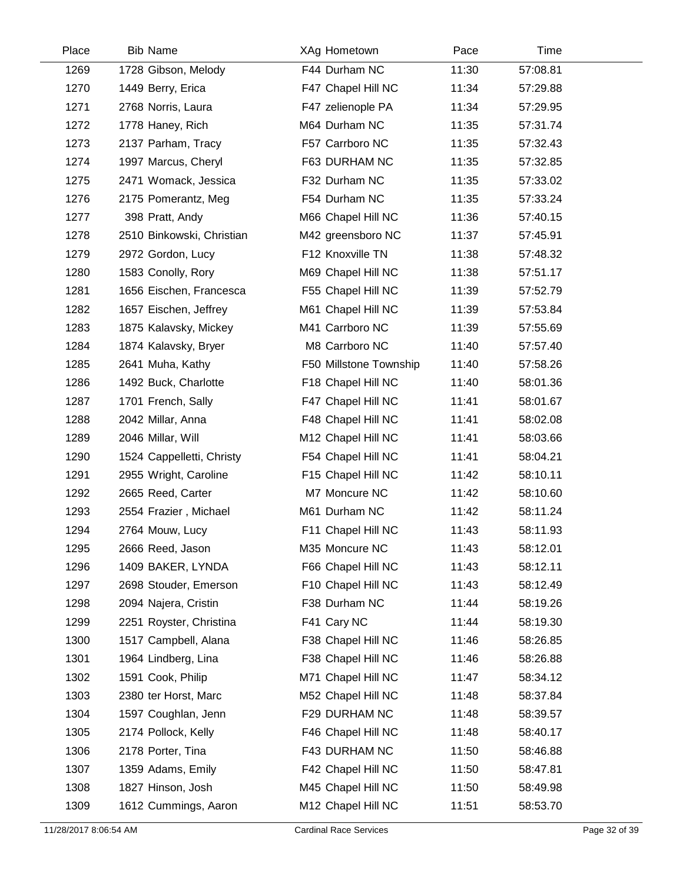| Place | <b>Bib Name</b>           | XAg Hometown           | Pace  | Time     |  |
|-------|---------------------------|------------------------|-------|----------|--|
| 1269  | 1728 Gibson, Melody       | F44 Durham NC          | 11:30 | 57:08.81 |  |
| 1270  | 1449 Berry, Erica         | F47 Chapel Hill NC     | 11:34 | 57:29.88 |  |
| 1271  | 2768 Norris, Laura        | F47 zelienople PA      | 11:34 | 57:29.95 |  |
| 1272  | 1778 Haney, Rich          | M64 Durham NC          | 11:35 | 57:31.74 |  |
| 1273  | 2137 Parham, Tracy        | F57 Carrboro NC        | 11:35 | 57:32.43 |  |
| 1274  | 1997 Marcus, Cheryl       | F63 DURHAM NC          | 11:35 | 57:32.85 |  |
| 1275  | 2471 Womack, Jessica      | F32 Durham NC          | 11:35 | 57:33.02 |  |
| 1276  | 2175 Pomerantz, Meg       | F54 Durham NC          | 11:35 | 57:33.24 |  |
| 1277  | 398 Pratt, Andy           | M66 Chapel Hill NC     | 11:36 | 57:40.15 |  |
| 1278  | 2510 Binkowski, Christian | M42 greensboro NC      | 11:37 | 57:45.91 |  |
| 1279  | 2972 Gordon, Lucy         | F12 Knoxville TN       | 11:38 | 57:48.32 |  |
| 1280  | 1583 Conolly, Rory        | M69 Chapel Hill NC     | 11:38 | 57:51.17 |  |
| 1281  | 1656 Eischen, Francesca   | F55 Chapel Hill NC     | 11:39 | 57:52.79 |  |
| 1282  | 1657 Eischen, Jeffrey     | M61 Chapel Hill NC     | 11:39 | 57:53.84 |  |
| 1283  | 1875 Kalavsky, Mickey     | M41 Carrboro NC        | 11:39 | 57:55.69 |  |
| 1284  | 1874 Kalavsky, Bryer      | M8 Carrboro NC         | 11:40 | 57:57.40 |  |
| 1285  | 2641 Muha, Kathy          | F50 Millstone Township | 11:40 | 57:58.26 |  |
| 1286  | 1492 Buck, Charlotte      | F18 Chapel Hill NC     | 11:40 | 58:01.36 |  |
| 1287  | 1701 French, Sally        | F47 Chapel Hill NC     | 11:41 | 58:01.67 |  |
| 1288  | 2042 Millar, Anna         | F48 Chapel Hill NC     | 11:41 | 58:02.08 |  |
| 1289  | 2046 Millar, Will         | M12 Chapel Hill NC     | 11:41 | 58:03.66 |  |
| 1290  | 1524 Cappelletti, Christy | F54 Chapel Hill NC     | 11:41 | 58:04.21 |  |
| 1291  | 2955 Wright, Caroline     | F15 Chapel Hill NC     | 11:42 | 58:10.11 |  |
| 1292  | 2665 Reed, Carter         | M7 Moncure NC          | 11:42 | 58:10.60 |  |
| 1293  | 2554 Frazier, Michael     | M61 Durham NC          | 11:42 | 58:11.24 |  |
| 1294  | 2764 Mouw, Lucy           | F11 Chapel Hill NC     | 11:43 | 58:11.93 |  |
| 1295  | 2666 Reed, Jason          | M35 Moncure NC         | 11:43 | 58:12.01 |  |
| 1296  | 1409 BAKER, LYNDA         | F66 Chapel Hill NC     | 11:43 | 58:12.11 |  |
| 1297  | 2698 Stouder, Emerson     | F10 Chapel Hill NC     | 11:43 | 58:12.49 |  |
| 1298  | 2094 Najera, Cristin      | F38 Durham NC          | 11:44 | 58:19.26 |  |
| 1299  | 2251 Royster, Christina   | F41 Cary NC            | 11:44 | 58:19.30 |  |
| 1300  | 1517 Campbell, Alana      | F38 Chapel Hill NC     | 11:46 | 58:26.85 |  |
| 1301  | 1964 Lindberg, Lina       | F38 Chapel Hill NC     | 11:46 | 58:26.88 |  |
| 1302  | 1591 Cook, Philip         | M71 Chapel Hill NC     | 11:47 | 58:34.12 |  |
| 1303  | 2380 ter Horst, Marc      | M52 Chapel Hill NC     | 11:48 | 58:37.84 |  |
| 1304  | 1597 Coughlan, Jenn       | F29 DURHAM NC          | 11:48 | 58:39.57 |  |
| 1305  | 2174 Pollock, Kelly       | F46 Chapel Hill NC     | 11:48 | 58:40.17 |  |
| 1306  | 2178 Porter, Tina         | F43 DURHAM NC          | 11:50 | 58:46.88 |  |
| 1307  | 1359 Adams, Emily         | F42 Chapel Hill NC     | 11:50 | 58:47.81 |  |
| 1308  | 1827 Hinson, Josh         | M45 Chapel Hill NC     | 11:50 | 58:49.98 |  |
| 1309  | 1612 Cummings, Aaron      | M12 Chapel Hill NC     | 11:51 | 58:53.70 |  |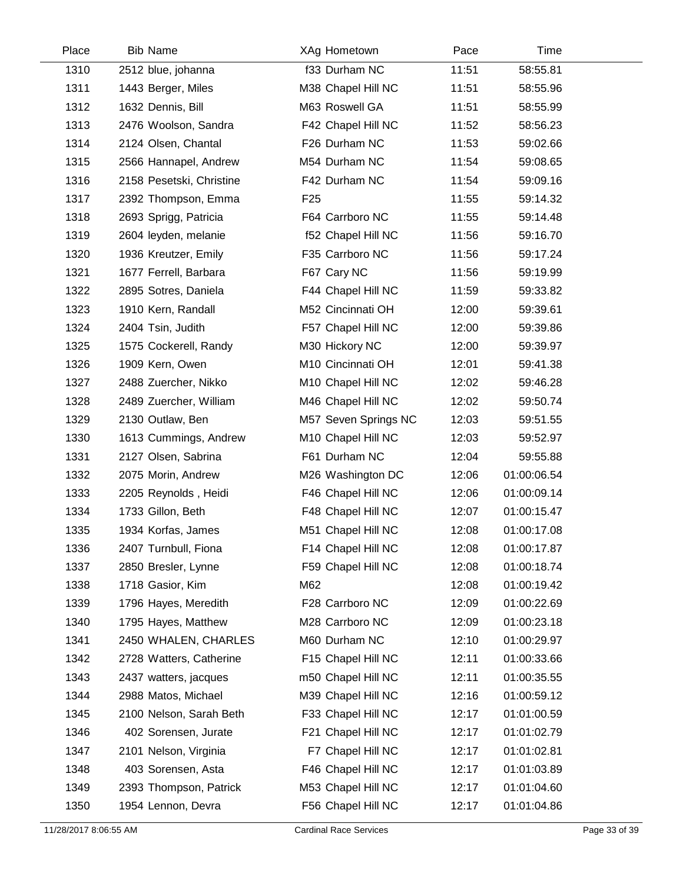| Place | <b>Bib Name</b>          | XAg Hometown         | Pace  | Time        |  |
|-------|--------------------------|----------------------|-------|-------------|--|
| 1310  | 2512 blue, johanna       | f33 Durham NC        | 11:51 | 58:55.81    |  |
| 1311  | 1443 Berger, Miles       | M38 Chapel Hill NC   | 11:51 | 58:55.96    |  |
| 1312  | 1632 Dennis, Bill        | M63 Roswell GA       | 11:51 | 58:55.99    |  |
| 1313  | 2476 Woolson, Sandra     | F42 Chapel Hill NC   | 11:52 | 58:56.23    |  |
| 1314  | 2124 Olsen, Chantal      | F26 Durham NC        | 11:53 | 59:02.66    |  |
| 1315  | 2566 Hannapel, Andrew    | M54 Durham NC        | 11:54 | 59:08.65    |  |
| 1316  | 2158 Pesetski, Christine | F42 Durham NC        | 11:54 | 59:09.16    |  |
| 1317  | 2392 Thompson, Emma      | F <sub>25</sub>      | 11:55 | 59:14.32    |  |
| 1318  | 2693 Sprigg, Patricia    | F64 Carrboro NC      | 11:55 | 59:14.48    |  |
| 1319  | 2604 leyden, melanie     | f52 Chapel Hill NC   | 11:56 | 59:16.70    |  |
| 1320  | 1936 Kreutzer, Emily     | F35 Carrboro NC      | 11:56 | 59:17.24    |  |
| 1321  | 1677 Ferrell, Barbara    | F67 Cary NC          | 11:56 | 59:19.99    |  |
| 1322  | 2895 Sotres, Daniela     | F44 Chapel Hill NC   | 11:59 | 59:33.82    |  |
| 1323  | 1910 Kern, Randall       | M52 Cincinnati OH    | 12:00 | 59:39.61    |  |
| 1324  | 2404 Tsin, Judith        | F57 Chapel Hill NC   | 12:00 | 59:39.86    |  |
| 1325  | 1575 Cockerell, Randy    | M30 Hickory NC       | 12:00 | 59:39.97    |  |
| 1326  | 1909 Kern, Owen          | M10 Cincinnati OH    | 12:01 | 59:41.38    |  |
| 1327  | 2488 Zuercher, Nikko     | M10 Chapel Hill NC   | 12:02 | 59:46.28    |  |
| 1328  | 2489 Zuercher, William   | M46 Chapel Hill NC   | 12:02 | 59:50.74    |  |
| 1329  | 2130 Outlaw, Ben         | M57 Seven Springs NC | 12:03 | 59:51.55    |  |
| 1330  | 1613 Cummings, Andrew    | M10 Chapel Hill NC   | 12:03 | 59:52.97    |  |
| 1331  | 2127 Olsen, Sabrina      | F61 Durham NC        | 12:04 | 59:55.88    |  |
| 1332  | 2075 Morin, Andrew       | M26 Washington DC    | 12:06 | 01:00:06.54 |  |
| 1333  | 2205 Reynolds, Heidi     | F46 Chapel Hill NC   | 12:06 | 01:00:09.14 |  |
| 1334  | 1733 Gillon, Beth        | F48 Chapel Hill NC   | 12:07 | 01:00:15.47 |  |
| 1335  | 1934 Korfas, James       | M51 Chapel Hill NC   | 12:08 | 01:00:17.08 |  |
| 1336  | 2407 Turnbull, Fiona     | F14 Chapel Hill NC   | 12:08 | 01:00:17.87 |  |
| 1337  | 2850 Bresler, Lynne      | F59 Chapel Hill NC   | 12:08 | 01:00:18.74 |  |
| 1338  | 1718 Gasior, Kim         | M62                  | 12:08 | 01:00:19.42 |  |
| 1339  | 1796 Hayes, Meredith     | F28 Carrboro NC      | 12:09 | 01:00:22.69 |  |
| 1340  | 1795 Hayes, Matthew      | M28 Carrboro NC      | 12:09 | 01:00:23.18 |  |
| 1341  | 2450 WHALEN, CHARLES     | M60 Durham NC        | 12:10 | 01:00:29.97 |  |
| 1342  | 2728 Watters, Catherine  | F15 Chapel Hill NC   | 12:11 | 01:00:33.66 |  |
| 1343  | 2437 watters, jacques    | m50 Chapel Hill NC   | 12:11 | 01:00:35.55 |  |
| 1344  | 2988 Matos, Michael      | M39 Chapel Hill NC   | 12:16 | 01:00:59.12 |  |
| 1345  | 2100 Nelson, Sarah Beth  | F33 Chapel Hill NC   | 12:17 | 01:01:00.59 |  |
| 1346  | 402 Sorensen, Jurate     | F21 Chapel Hill NC   | 12:17 | 01:01:02.79 |  |
| 1347  | 2101 Nelson, Virginia    | F7 Chapel Hill NC    | 12:17 | 01:01:02.81 |  |
| 1348  | 403 Sorensen, Asta       | F46 Chapel Hill NC   | 12:17 | 01:01:03.89 |  |
| 1349  | 2393 Thompson, Patrick   | M53 Chapel Hill NC   | 12:17 | 01:01:04.60 |  |
| 1350  | 1954 Lennon, Devra       | F56 Chapel Hill NC   | 12:17 | 01:01:04.86 |  |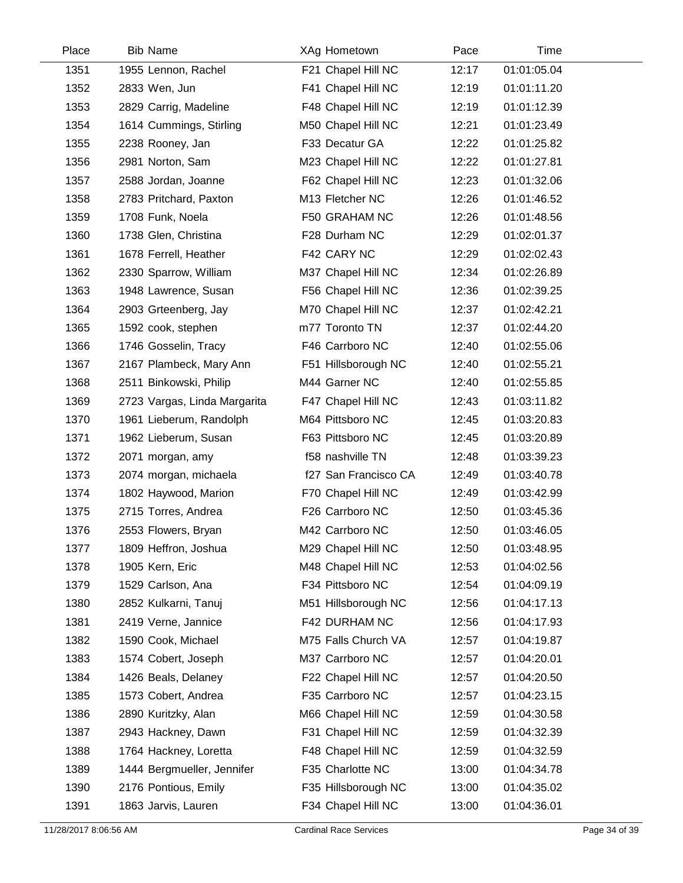| Place | <b>Bib Name</b>              | XAg Hometown         | Pace  | Time        |  |
|-------|------------------------------|----------------------|-------|-------------|--|
| 1351  | 1955 Lennon, Rachel          | F21 Chapel Hill NC   | 12:17 | 01:01:05.04 |  |
| 1352  | 2833 Wen, Jun                | F41 Chapel Hill NC   | 12:19 | 01:01:11.20 |  |
| 1353  | 2829 Carrig, Madeline        | F48 Chapel Hill NC   | 12:19 | 01:01:12.39 |  |
| 1354  | 1614 Cummings, Stirling      | M50 Chapel Hill NC   | 12:21 | 01:01:23.49 |  |
| 1355  | 2238 Rooney, Jan             | F33 Decatur GA       | 12:22 | 01:01:25.82 |  |
| 1356  | 2981 Norton, Sam             | M23 Chapel Hill NC   | 12:22 | 01:01:27.81 |  |
| 1357  | 2588 Jordan, Joanne          | F62 Chapel Hill NC   | 12:23 | 01:01:32.06 |  |
| 1358  | 2783 Pritchard, Paxton       | M13 Fletcher NC      | 12:26 | 01:01:46.52 |  |
| 1359  | 1708 Funk, Noela             | F50 GRAHAM NC        | 12:26 | 01:01:48.56 |  |
| 1360  | 1738 Glen, Christina         | F28 Durham NC        | 12:29 | 01:02:01.37 |  |
| 1361  | 1678 Ferrell, Heather        | F42 CARY NC          | 12:29 | 01:02:02.43 |  |
| 1362  | 2330 Sparrow, William        | M37 Chapel Hill NC   | 12:34 | 01:02:26.89 |  |
| 1363  | 1948 Lawrence, Susan         | F56 Chapel Hill NC   | 12:36 | 01:02:39.25 |  |
| 1364  | 2903 Grteenberg, Jay         | M70 Chapel Hill NC   | 12:37 | 01:02:42.21 |  |
| 1365  | 1592 cook, stephen           | m77 Toronto TN       | 12:37 | 01:02:44.20 |  |
| 1366  | 1746 Gosselin, Tracy         | F46 Carrboro NC      | 12:40 | 01:02:55.06 |  |
| 1367  | 2167 Plambeck, Mary Ann      | F51 Hillsborough NC  | 12:40 | 01:02:55.21 |  |
| 1368  | 2511 Binkowski, Philip       | M44 Garner NC        | 12:40 | 01:02:55.85 |  |
| 1369  | 2723 Vargas, Linda Margarita | F47 Chapel Hill NC   | 12:43 | 01:03:11.82 |  |
| 1370  | 1961 Lieberum, Randolph      | M64 Pittsboro NC     | 12:45 | 01:03:20.83 |  |
| 1371  | 1962 Lieberum, Susan         | F63 Pittsboro NC     | 12:45 | 01:03:20.89 |  |
| 1372  | 2071 morgan, amy             | f58 nashville TN     | 12:48 | 01:03:39.23 |  |
| 1373  | 2074 morgan, michaela        | f27 San Francisco CA | 12:49 | 01:03:40.78 |  |
| 1374  | 1802 Haywood, Marion         | F70 Chapel Hill NC   | 12:49 | 01:03:42.99 |  |
| 1375  | 2715 Torres, Andrea          | F26 Carrboro NC      | 12:50 | 01:03:45.36 |  |
| 1376  | 2553 Flowers, Bryan          | M42 Carrboro NC      | 12:50 | 01:03:46.05 |  |
| 1377  | 1809 Heffron, Joshua         | M29 Chapel Hill NC   | 12:50 | 01:03:48.95 |  |
| 1378  | 1905 Kern, Eric              | M48 Chapel Hill NC   | 12:53 | 01:04:02.56 |  |
| 1379  | 1529 Carlson, Ana            | F34 Pittsboro NC     | 12:54 | 01:04:09.19 |  |
| 1380  | 2852 Kulkarni, Tanuj         | M51 Hillsborough NC  | 12:56 | 01:04:17.13 |  |
| 1381  | 2419 Verne, Jannice          | F42 DURHAM NC        | 12:56 | 01:04:17.93 |  |
| 1382  | 1590 Cook, Michael           | M75 Falls Church VA  | 12:57 | 01:04:19.87 |  |
| 1383  | 1574 Cobert, Joseph          | M37 Carrboro NC      | 12:57 | 01:04:20.01 |  |
| 1384  | 1426 Beals, Delaney          | F22 Chapel Hill NC   | 12:57 | 01:04:20.50 |  |
| 1385  | 1573 Cobert, Andrea          | F35 Carrboro NC      | 12:57 | 01:04:23.15 |  |
| 1386  | 2890 Kuritzky, Alan          | M66 Chapel Hill NC   | 12:59 | 01:04:30.58 |  |
| 1387  | 2943 Hackney, Dawn           | F31 Chapel Hill NC   | 12:59 | 01:04:32.39 |  |
| 1388  | 1764 Hackney, Loretta        | F48 Chapel Hill NC   | 12:59 | 01:04:32.59 |  |
| 1389  | 1444 Bergmueller, Jennifer   | F35 Charlotte NC     | 13:00 | 01:04:34.78 |  |
| 1390  | 2176 Pontious, Emily         | F35 Hillsborough NC  | 13:00 | 01:04:35.02 |  |
| 1391  | 1863 Jarvis, Lauren          | F34 Chapel Hill NC   | 13:00 | 01:04:36.01 |  |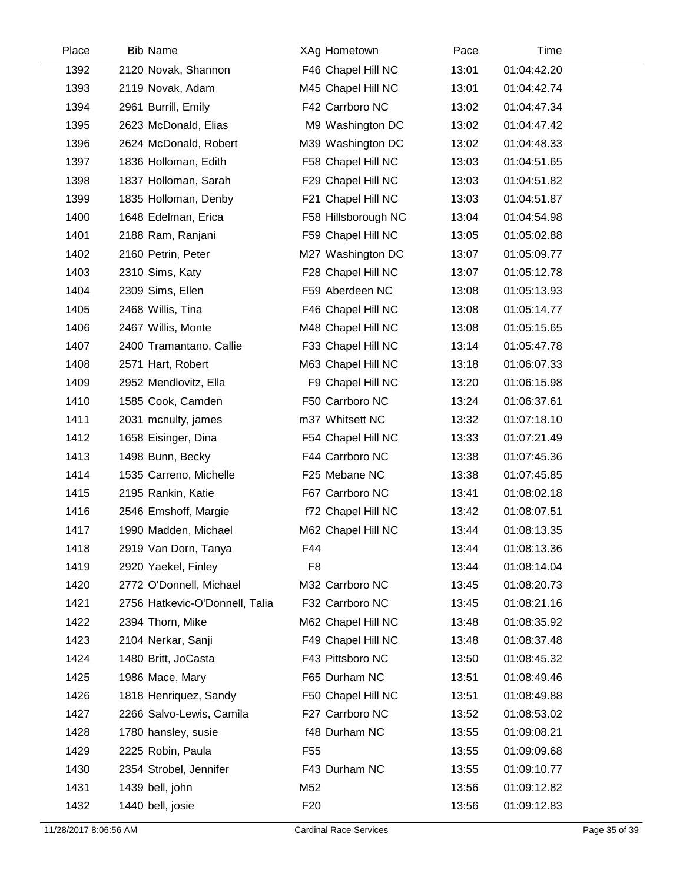| Place | <b>Bib Name</b>                | XAg Hometown        | Pace  | Time        |  |
|-------|--------------------------------|---------------------|-------|-------------|--|
| 1392  | 2120 Novak, Shannon            | F46 Chapel Hill NC  | 13:01 | 01:04:42.20 |  |
| 1393  | 2119 Novak, Adam               | M45 Chapel Hill NC  | 13:01 | 01:04:42.74 |  |
| 1394  | 2961 Burrill, Emily            | F42 Carrboro NC     | 13:02 | 01:04:47.34 |  |
| 1395  | 2623 McDonald, Elias           | M9 Washington DC    | 13:02 | 01:04:47.42 |  |
| 1396  | 2624 McDonald, Robert          | M39 Washington DC   | 13:02 | 01:04:48.33 |  |
| 1397  | 1836 Holloman, Edith           | F58 Chapel Hill NC  | 13:03 | 01:04:51.65 |  |
| 1398  | 1837 Holloman, Sarah           | F29 Chapel Hill NC  | 13:03 | 01:04:51.82 |  |
| 1399  | 1835 Holloman, Denby           | F21 Chapel Hill NC  | 13:03 | 01:04:51.87 |  |
| 1400  | 1648 Edelman, Erica            | F58 Hillsborough NC | 13:04 | 01:04:54.98 |  |
| 1401  | 2188 Ram, Ranjani              | F59 Chapel Hill NC  | 13:05 | 01:05:02.88 |  |
| 1402  | 2160 Petrin, Peter             | M27 Washington DC   | 13:07 | 01:05:09.77 |  |
| 1403  | 2310 Sims, Katy                | F28 Chapel Hill NC  | 13:07 | 01:05:12.78 |  |
| 1404  | 2309 Sims, Ellen               | F59 Aberdeen NC     | 13:08 | 01:05:13.93 |  |
| 1405  | 2468 Willis, Tina              | F46 Chapel Hill NC  | 13:08 | 01:05:14.77 |  |
| 1406  | 2467 Willis, Monte             | M48 Chapel Hill NC  | 13:08 | 01:05:15.65 |  |
| 1407  | 2400 Tramantano, Callie        | F33 Chapel Hill NC  | 13:14 | 01:05:47.78 |  |
| 1408  | 2571 Hart, Robert              | M63 Chapel Hill NC  | 13:18 | 01:06:07.33 |  |
| 1409  | 2952 Mendlovitz, Ella          | F9 Chapel Hill NC   | 13:20 | 01:06:15.98 |  |
| 1410  | 1585 Cook, Camden              | F50 Carrboro NC     | 13:24 | 01:06:37.61 |  |
| 1411  | 2031 mcnulty, james            | m37 Whitsett NC     | 13:32 | 01:07:18.10 |  |
| 1412  | 1658 Eisinger, Dina            | F54 Chapel Hill NC  | 13:33 | 01:07:21.49 |  |
| 1413  | 1498 Bunn, Becky               | F44 Carrboro NC     | 13:38 | 01:07:45.36 |  |
| 1414  | 1535 Carreno, Michelle         | F25 Mebane NC       | 13:38 | 01:07:45.85 |  |
| 1415  | 2195 Rankin, Katie             | F67 Carrboro NC     | 13:41 | 01:08:02.18 |  |
| 1416  | 2546 Emshoff, Margie           | f72 Chapel Hill NC  | 13:42 | 01:08:07.51 |  |
| 1417  | 1990 Madden, Michael           | M62 Chapel Hill NC  | 13:44 | 01:08:13.35 |  |
| 1418  | 2919 Van Dorn, Tanya           | F44                 | 13:44 | 01:08:13.36 |  |
| 1419  | 2920 Yaekel, Finley            | F <sub>8</sub>      | 13:44 | 01:08:14.04 |  |
| 1420  | 2772 O'Donnell, Michael        | M32 Carrboro NC     | 13:45 | 01:08:20.73 |  |
| 1421  | 2756 Hatkevic-O'Donnell, Talia | F32 Carrboro NC     | 13:45 | 01:08:21.16 |  |
| 1422  | 2394 Thorn, Mike               | M62 Chapel Hill NC  | 13:48 | 01:08:35.92 |  |
| 1423  | 2104 Nerkar, Sanji             | F49 Chapel Hill NC  | 13:48 | 01:08:37.48 |  |
| 1424  | 1480 Britt, JoCasta            | F43 Pittsboro NC    | 13:50 | 01:08:45.32 |  |
| 1425  | 1986 Mace, Mary                | F65 Durham NC       | 13:51 | 01:08:49.46 |  |
| 1426  | 1818 Henriquez, Sandy          | F50 Chapel Hill NC  | 13:51 | 01:08:49.88 |  |
| 1427  | 2266 Salvo-Lewis, Camila       | F27 Carrboro NC     | 13:52 | 01:08:53.02 |  |
| 1428  | 1780 hansley, susie            | f48 Durham NC       | 13:55 | 01:09:08.21 |  |
| 1429  | 2225 Robin, Paula              | F <sub>55</sub>     | 13:55 | 01:09:09.68 |  |
| 1430  | 2354 Strobel, Jennifer         | F43 Durham NC       | 13:55 | 01:09:10.77 |  |
| 1431  | 1439 bell, john                | M52                 | 13:56 | 01:09:12.82 |  |
| 1432  | 1440 bell, josie               | F <sub>20</sub>     | 13:56 | 01:09:12.83 |  |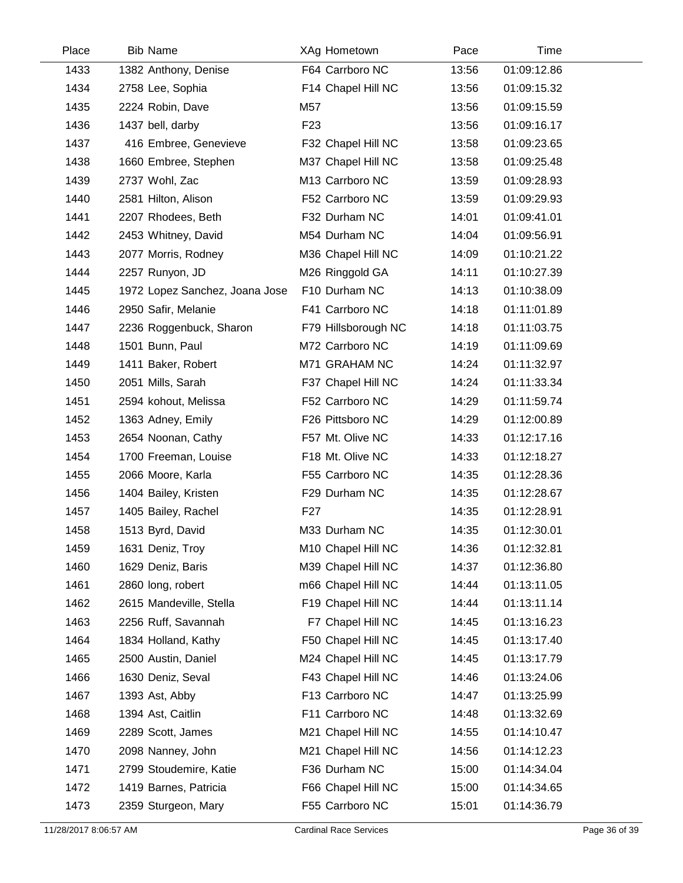| Place | <b>Bib Name</b>                | XAg Hometown        | Pace  | Time        |
|-------|--------------------------------|---------------------|-------|-------------|
| 1433  | 1382 Anthony, Denise           | F64 Carrboro NC     | 13:56 | 01:09:12.86 |
| 1434  | 2758 Lee, Sophia               | F14 Chapel Hill NC  | 13:56 | 01:09:15.32 |
| 1435  | 2224 Robin, Dave               | M57                 | 13:56 | 01:09:15.59 |
| 1436  | 1437 bell, darby               | F <sub>23</sub>     | 13:56 | 01:09:16.17 |
| 1437  | 416 Embree, Genevieve          | F32 Chapel Hill NC  | 13:58 | 01:09:23.65 |
| 1438  | 1660 Embree, Stephen           | M37 Chapel Hill NC  | 13:58 | 01:09:25.48 |
| 1439  | 2737 Wohl, Zac                 | M13 Carrboro NC     | 13:59 | 01:09:28.93 |
| 1440  | 2581 Hilton, Alison            | F52 Carrboro NC     | 13:59 | 01:09:29.93 |
| 1441  | 2207 Rhodees, Beth             | F32 Durham NC       | 14:01 | 01:09:41.01 |
| 1442  | 2453 Whitney, David            | M54 Durham NC       | 14:04 | 01:09:56.91 |
| 1443  | 2077 Morris, Rodney            | M36 Chapel Hill NC  | 14:09 | 01:10:21.22 |
| 1444  | 2257 Runyon, JD                | M26 Ringgold GA     | 14:11 | 01:10:27.39 |
| 1445  | 1972 Lopez Sanchez, Joana Jose | F10 Durham NC       | 14:13 | 01:10:38.09 |
| 1446  | 2950 Safir, Melanie            | F41 Carrboro NC     | 14:18 | 01:11:01.89 |
| 1447  | 2236 Roggenbuck, Sharon        | F79 Hillsborough NC | 14:18 | 01:11:03.75 |
| 1448  | 1501 Bunn, Paul                | M72 Carrboro NC     | 14:19 | 01:11:09.69 |
| 1449  | 1411 Baker, Robert             | M71 GRAHAM NC       | 14:24 | 01:11:32.97 |
| 1450  | 2051 Mills, Sarah              | F37 Chapel Hill NC  | 14:24 | 01:11:33.34 |
| 1451  | 2594 kohout, Melissa           | F52 Carrboro NC     | 14:29 | 01:11:59.74 |
| 1452  | 1363 Adney, Emily              | F26 Pittsboro NC    | 14:29 | 01:12:00.89 |
| 1453  | 2654 Noonan, Cathy             | F57 Mt. Olive NC    | 14:33 | 01:12:17.16 |
| 1454  | 1700 Freeman, Louise           | F18 Mt. Olive NC    | 14:33 | 01:12:18.27 |
| 1455  | 2066 Moore, Karla              | F55 Carrboro NC     | 14:35 | 01:12:28.36 |
| 1456  | 1404 Bailey, Kristen           | F29 Durham NC       | 14:35 | 01:12:28.67 |
| 1457  | 1405 Bailey, Rachel            | F27                 | 14:35 | 01:12:28.91 |
| 1458  | 1513 Byrd, David               | M33 Durham NC       | 14:35 | 01:12:30.01 |
| 1459  | 1631 Deniz, Troy               | M10 Chapel Hill NC  | 14:36 | 01:12:32.81 |
| 1460  | 1629 Deniz, Baris              | M39 Chapel Hill NC  | 14:37 | 01:12:36.80 |
| 1461  | 2860 long, robert              | m66 Chapel Hill NC  | 14:44 | 01:13:11.05 |
| 1462  | 2615 Mandeville, Stella        | F19 Chapel Hill NC  | 14:44 | 01:13:11.14 |
| 1463  | 2256 Ruff, Savannah            | F7 Chapel Hill NC   | 14:45 | 01:13:16.23 |
| 1464  | 1834 Holland, Kathy            | F50 Chapel Hill NC  | 14:45 | 01:13:17.40 |
| 1465  | 2500 Austin, Daniel            | M24 Chapel Hill NC  | 14:45 | 01:13:17.79 |
| 1466  | 1630 Deniz, Seval              | F43 Chapel Hill NC  | 14:46 | 01:13:24.06 |
| 1467  | 1393 Ast, Abby                 | F13 Carrboro NC     | 14:47 | 01:13:25.99 |
| 1468  | 1394 Ast, Caitlin              | F11 Carrboro NC     | 14:48 | 01:13:32.69 |
| 1469  | 2289 Scott, James              | M21 Chapel Hill NC  | 14:55 | 01:14:10.47 |
| 1470  | 2098 Nanney, John              | M21 Chapel Hill NC  | 14:56 | 01:14:12.23 |
| 1471  | 2799 Stoudemire, Katie         | F36 Durham NC       | 15:00 | 01:14:34.04 |
| 1472  | 1419 Barnes, Patricia          | F66 Chapel Hill NC  | 15:00 | 01:14:34.65 |
| 1473  | 2359 Sturgeon, Mary            | F55 Carrboro NC     | 15:01 | 01:14:36.79 |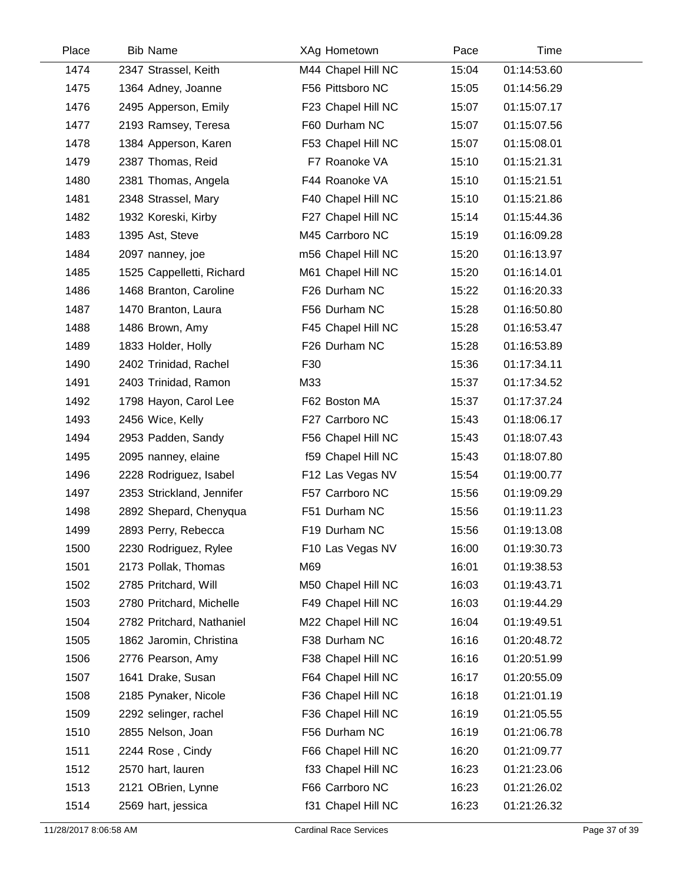| Place | <b>Bib Name</b>           | XAg Hometown       | Pace  | Time        |  |
|-------|---------------------------|--------------------|-------|-------------|--|
| 1474  | 2347 Strassel, Keith      | M44 Chapel Hill NC | 15:04 | 01:14:53.60 |  |
| 1475  | 1364 Adney, Joanne        | F56 Pittsboro NC   | 15:05 | 01:14:56.29 |  |
| 1476  | 2495 Apperson, Emily      | F23 Chapel Hill NC | 15:07 | 01:15:07.17 |  |
| 1477  | 2193 Ramsey, Teresa       | F60 Durham NC      | 15:07 | 01:15:07.56 |  |
| 1478  | 1384 Apperson, Karen      | F53 Chapel Hill NC | 15:07 | 01:15:08.01 |  |
| 1479  | 2387 Thomas, Reid         | F7 Roanoke VA      | 15:10 | 01:15:21.31 |  |
| 1480  | 2381 Thomas, Angela       | F44 Roanoke VA     | 15:10 | 01:15:21.51 |  |
| 1481  | 2348 Strassel, Mary       | F40 Chapel Hill NC | 15:10 | 01:15:21.86 |  |
| 1482  | 1932 Koreski, Kirby       | F27 Chapel Hill NC | 15:14 | 01:15:44.36 |  |
| 1483  | 1395 Ast, Steve           | M45 Carrboro NC    | 15:19 | 01:16:09.28 |  |
| 1484  | 2097 nanney, joe          | m56 Chapel Hill NC | 15:20 | 01:16:13.97 |  |
| 1485  | 1525 Cappelletti, Richard | M61 Chapel Hill NC | 15:20 | 01:16:14.01 |  |
| 1486  | 1468 Branton, Caroline    | F26 Durham NC      | 15:22 | 01:16:20.33 |  |
| 1487  | 1470 Branton, Laura       | F56 Durham NC      | 15:28 | 01:16:50.80 |  |
| 1488  | 1486 Brown, Amy           | F45 Chapel Hill NC | 15:28 | 01:16:53.47 |  |
| 1489  | 1833 Holder, Holly        | F26 Durham NC      | 15:28 | 01:16:53.89 |  |
| 1490  | 2402 Trinidad, Rachel     | F30                | 15:36 | 01:17:34.11 |  |
| 1491  | 2403 Trinidad, Ramon      | M33                | 15:37 | 01:17:34.52 |  |
| 1492  | 1798 Hayon, Carol Lee     | F62 Boston MA      | 15:37 | 01:17:37.24 |  |
| 1493  | 2456 Wice, Kelly          | F27 Carrboro NC    | 15:43 | 01:18:06.17 |  |
| 1494  | 2953 Padden, Sandy        | F56 Chapel Hill NC | 15:43 | 01:18:07.43 |  |
| 1495  | 2095 nanney, elaine       | f59 Chapel Hill NC | 15:43 | 01:18:07.80 |  |
| 1496  | 2228 Rodriguez, Isabel    | F12 Las Vegas NV   | 15:54 | 01:19:00.77 |  |
| 1497  | 2353 Strickland, Jennifer | F57 Carrboro NC    | 15:56 | 01:19:09.29 |  |
| 1498  | 2892 Shepard, Chenyqua    | F51 Durham NC      | 15:56 | 01:19:11.23 |  |
| 1499  | 2893 Perry, Rebecca       | F19 Durham NC      | 15:56 | 01:19:13.08 |  |
| 1500  | 2230 Rodriguez, Rylee     | F10 Las Vegas NV   | 16:00 | 01:19:30.73 |  |
| 1501  | 2173 Pollak, Thomas       | M69                | 16:01 | 01:19:38.53 |  |
| 1502  | 2785 Pritchard, Will      | M50 Chapel Hill NC | 16:03 | 01:19:43.71 |  |
| 1503  | 2780 Pritchard, Michelle  | F49 Chapel Hill NC | 16:03 | 01:19:44.29 |  |
| 1504  | 2782 Pritchard, Nathaniel | M22 Chapel Hill NC | 16:04 | 01:19:49.51 |  |
| 1505  | 1862 Jaromin, Christina   | F38 Durham NC      | 16:16 | 01:20:48.72 |  |
| 1506  | 2776 Pearson, Amy         | F38 Chapel Hill NC | 16:16 | 01:20:51.99 |  |
| 1507  | 1641 Drake, Susan         | F64 Chapel Hill NC | 16:17 | 01:20:55.09 |  |
| 1508  | 2185 Pynaker, Nicole      | F36 Chapel Hill NC | 16:18 | 01:21:01.19 |  |
| 1509  | 2292 selinger, rachel     | F36 Chapel Hill NC | 16:19 | 01:21:05.55 |  |
| 1510  | 2855 Nelson, Joan         | F56 Durham NC      | 16:19 | 01:21:06.78 |  |
| 1511  | 2244 Rose, Cindy          | F66 Chapel Hill NC | 16:20 | 01:21:09.77 |  |
| 1512  | 2570 hart, lauren         | f33 Chapel Hill NC | 16:23 | 01:21:23.06 |  |
| 1513  | 2121 OBrien, Lynne        | F66 Carrboro NC    | 16:23 | 01:21:26.02 |  |
| 1514  | 2569 hart, jessica        | f31 Chapel Hill NC | 16:23 | 01:21:26.32 |  |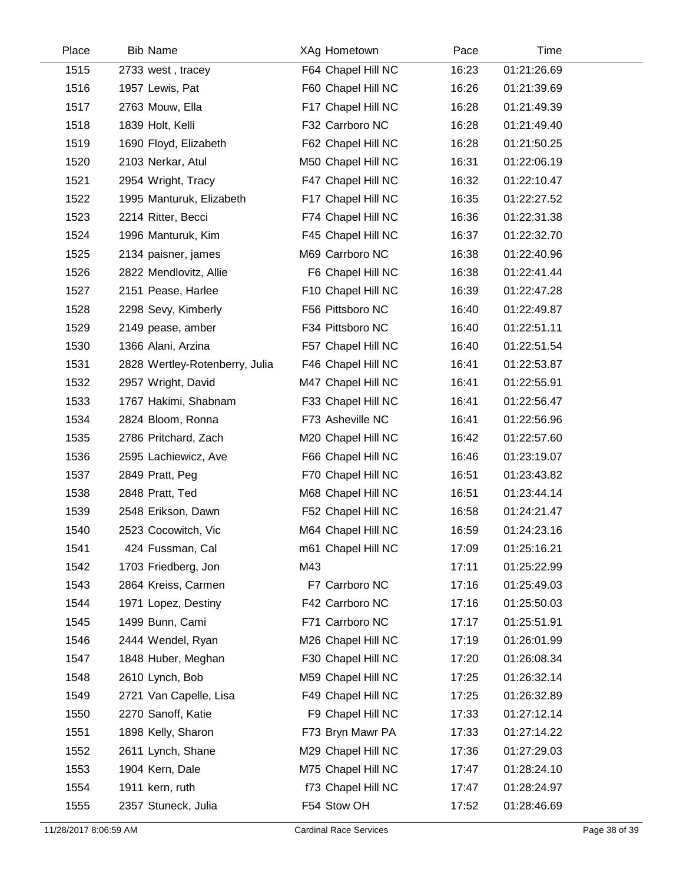| Place | <b>Bib Name</b>                | XAg Hometown       | Pace  | Time        |
|-------|--------------------------------|--------------------|-------|-------------|
| 1515  | 2733 west, tracey              | F64 Chapel Hill NC | 16:23 | 01:21:26.69 |
| 1516  | 1957 Lewis, Pat                | F60 Chapel Hill NC | 16:26 | 01:21:39.69 |
| 1517  | 2763 Mouw, Ella                | F17 Chapel Hill NC | 16:28 | 01:21:49.39 |
| 1518  | 1839 Holt, Kelli               | F32 Carrboro NC    | 16:28 | 01:21:49.40 |
| 1519  | 1690 Floyd, Elizabeth          | F62 Chapel Hill NC | 16:28 | 01:21:50.25 |
| 1520  | 2103 Nerkar, Atul              | M50 Chapel Hill NC | 16:31 | 01:22:06.19 |
| 1521  | 2954 Wright, Tracy             | F47 Chapel Hill NC | 16:32 | 01:22:10.47 |
| 1522  | 1995 Manturuk, Elizabeth       | F17 Chapel Hill NC | 16:35 | 01:22:27.52 |
| 1523  | 2214 Ritter, Becci             | F74 Chapel Hill NC | 16:36 | 01:22:31.38 |
| 1524  | 1996 Manturuk, Kim             | F45 Chapel Hill NC | 16:37 | 01:22:32.70 |
| 1525  | 2134 paisner, james            | M69 Carrboro NC    | 16:38 | 01:22:40.96 |
| 1526  | 2822 Mendlovitz, Allie         | F6 Chapel Hill NC  | 16:38 | 01:22:41.44 |
| 1527  | 2151 Pease, Harlee             | F10 Chapel Hill NC | 16:39 | 01:22:47.28 |
| 1528  | 2298 Sevy, Kimberly            | F56 Pittsboro NC   | 16:40 | 01:22:49.87 |
| 1529  | 2149 pease, amber              | F34 Pittsboro NC   | 16:40 | 01:22:51.11 |
| 1530  | 1366 Alani, Arzina             | F57 Chapel Hill NC | 16:40 | 01:22:51.54 |
| 1531  | 2828 Wertley-Rotenberry, Julia | F46 Chapel Hill NC | 16:41 | 01:22:53.87 |
| 1532  | 2957 Wright, David             | M47 Chapel Hill NC | 16:41 | 01:22:55.91 |
| 1533  | 1767 Hakimi, Shabnam           | F33 Chapel Hill NC | 16:41 | 01:22:56.47 |
| 1534  | 2824 Bloom, Ronna              | F73 Asheville NC   | 16:41 | 01:22:56.96 |
| 1535  | 2786 Pritchard, Zach           | M20 Chapel Hill NC | 16:42 | 01:22:57.60 |
| 1536  | 2595 Lachiewicz, Ave           | F66 Chapel Hill NC | 16:46 | 01:23:19.07 |
| 1537  | 2849 Pratt, Peg                | F70 Chapel Hill NC | 16:51 | 01:23:43.82 |
| 1538  | 2848 Pratt, Ted                | M68 Chapel Hill NC | 16:51 | 01:23:44.14 |
| 1539  | 2548 Erikson, Dawn             | F52 Chapel Hill NC | 16:58 | 01:24:21.47 |
| 1540  | 2523 Cocowitch, Vic            | M64 Chapel Hill NC | 16:59 | 01:24:23.16 |
| 1541  | 424 Fussman, Cal               | m61 Chapel Hill NC | 17:09 | 01:25:16.21 |
| 1542  | 1703 Friedberg, Jon            | M43                | 17:11 | 01:25:22.99 |
| 1543  | 2864 Kreiss, Carmen            | F7 Carrboro NC     | 17:16 | 01:25:49.03 |
| 1544  | 1971 Lopez, Destiny            | F42 Carrboro NC    | 17:16 | 01:25:50.03 |
| 1545  | 1499 Bunn, Cami                | F71 Carrboro NC    | 17:17 | 01:25:51.91 |
| 1546  | 2444 Wendel, Ryan              | M26 Chapel Hill NC | 17:19 | 01:26:01.99 |
| 1547  | 1848 Huber, Meghan             | F30 Chapel Hill NC | 17:20 | 01:26:08.34 |
| 1548  | 2610 Lynch, Bob                | M59 Chapel Hill NC | 17:25 | 01:26:32.14 |
| 1549  | 2721 Van Capelle, Lisa         | F49 Chapel Hill NC | 17:25 | 01:26:32.89 |
| 1550  | 2270 Sanoff, Katie             | F9 Chapel Hill NC  | 17:33 | 01:27:12.14 |
| 1551  | 1898 Kelly, Sharon             | F73 Bryn Mawr PA   | 17:33 | 01:27:14.22 |
| 1552  | 2611 Lynch, Shane              | M29 Chapel Hill NC | 17:36 | 01:27:29.03 |
| 1553  | 1904 Kern, Dale                | M75 Chapel Hill NC | 17:47 | 01:28:24.10 |
| 1554  | 1911 kern, ruth                | f73 Chapel Hill NC | 17:47 | 01:28:24.97 |
| 1555  | 2357 Stuneck, Julia            | F54 Stow OH        | 17:52 | 01:28:46.69 |